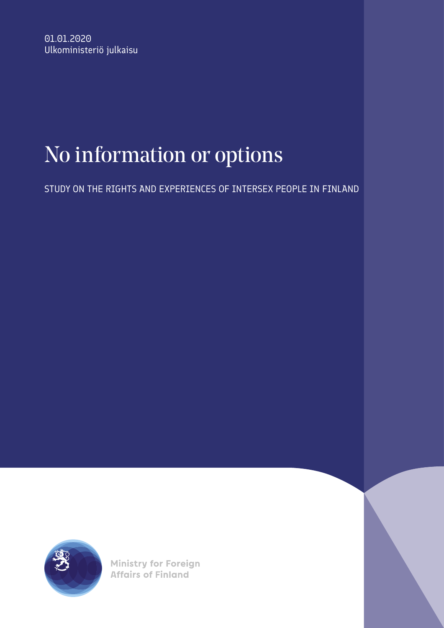# No information or options

STUDY ON THE RIGHTS AND EXPERIENCES OF INTERSEX PEOPLE IN FINLAND



**Ministry for Foreign Affairs of Finland**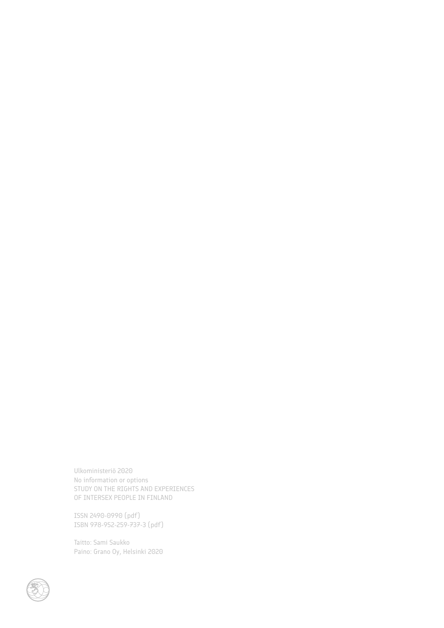Ulkoministeriö 2020 No information or options STUDY ON THE RIGHTS AND EXPERIENCES OF INTERSEX PEOPLE IN FINLAND

ISSN 2490-0990 (pdf) ISBN 978-952-259-737-3 (pdf)

Taitto: Sami Saukko Paino: Grano Oy, Helsinki 2020

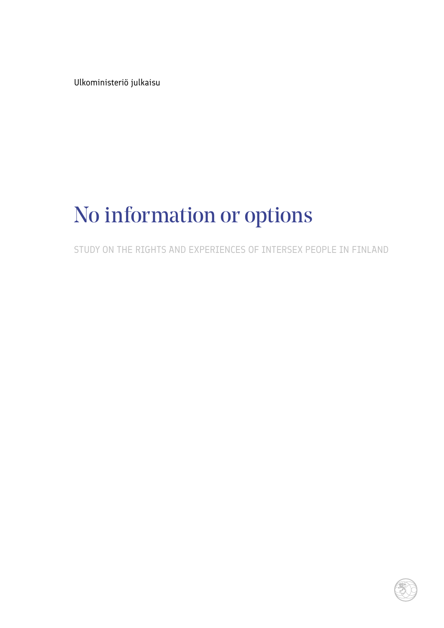Ulkoministeriö julkaisu

# No information or options

STUDY ON THE RIGHTS AND EXPERIENCES OF INTERSEX PEOPLE IN FINLAND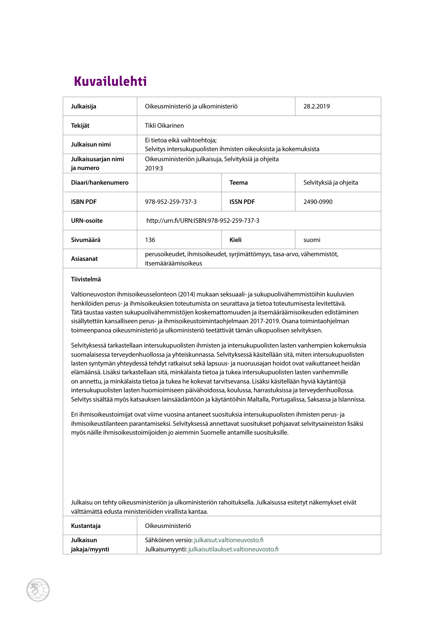# **Kuvailulehti Kuvailulehti**

| Julkaisija                       | Oikeusministeriö ja ulkoministeriö                                                               |                 | 28.2.2019              |  |
|----------------------------------|--------------------------------------------------------------------------------------------------|-----------------|------------------------|--|
| Tekijät                          | Tikli Oikarinen                                                                                  |                 |                        |  |
| Julkaisun nimi                   | Ei tietoa eikä vaihtoehtoja;<br>Selvitys intersukupuolisten ihmisten oikeuksista ja kokemuksista |                 |                        |  |
| Julkaisusarjan nimi<br>ja numero | Oikeusministeriön julkaisuja, Selvityksiä ja ohjeita<br>2019:3                                   |                 |                        |  |
| Diaari/hankenumero               |                                                                                                  | <b>Teema</b>    | Selvityksiä ja ohjeita |  |
| <b>ISBN PDF</b>                  | 978-952-259-737-3                                                                                | <b>ISSN PDF</b> | 2490-0990              |  |
| URN-osoite                       | http://urn.fi/URN:ISBN:978-952-259-737-3                                                         |                 |                        |  |
| Sivumäärä                        | 136                                                                                              | Kieli           | suomi                  |  |
| Asiasanat                        | perusoikeudet, ihmisoikeudet, syrjimättömyys, tasa-arvo, vähemmistöt,<br>itsemääräämisoikeus     |                 |                        |  |

#### **Tiivistelmä**

Valtioneuvoston ihmisoikeusselonteon (2014) mukaan seksuaali- ja sukupuolivähemmistöihin kuuluvien henkilöiden perus- ja ihmisoikeuksien toteutumista on seurattava ja tietoa toteutumisesta levitettävä. Tätä taustaa vasten sukupuolivähemmistöjen koskemattomuuden ja itsemääräämisoikeuden edistäminen sisällytettiin kansalliseen perus- ja ihmisoikeustoimintaohjelmaan 2017-2019. Osana toimintaohjelman toimeenpanoa oikeusministeriö ja ulkoministeriö teetättivät tämän ulkopuolisen selvityksen.

Selvityksessä tarkastellaan intersukupuolisten ihmisten ja intersukupuolisten lasten vanhempien kokemuksia suomalaisessa terveydenhuollossa ja yhteiskunnassa. Selvityksessä käsitellään sitä, miten intersukupuolisten lasten syntymän yhteydessä tehdyt ratkaisut sekä lapsuus- ja nuoruusajan hoidot ovat vaikuttaneet heidän elämäänsä. Lisäksi tarkastellaan sitä, minkälaista tietoa ja tukea intersukupuolisten lasten vanhemmille on annettu, ja minkälaista tietoa ja tukea he kokevat tarvitsevansa. Lisäksi käsitellään hyviä käytäntöjä intersukupuolisten lasten huomioimiseen päivähoidossa, koulussa, harrastuksissa ja terveydenhuollossa. Selvitys sisältää myös katsauksen lainsäädäntöön ja käytäntöihin Maltalla, Portugalissa, Saksassa ja Islannissa.

Eri ihmisoikeustoimijat ovat viime vuosina antaneet suosituksia intersukupuolisten ihmisten perus- ja ihmisoikeustilanteen parantamiseksi. Selvityksessä annettavat suositukset pohjaavat selvitysaineiston lisäksi myös näille ihmisoikeustoimijoiden jo aiemmin Suomelle antamille suosituksille.

Julkaisu on tehty oikeusministeriön ja ulkoministeriön rahoituksella. Julkaisussa esitetyt näkemykset eivät välttämättä edusta ministeriöiden virallista kantaa.

| Kustantaja       | Oikeusministeriö                                    |
|------------------|-----------------------------------------------------|
| <b>Julkaisun</b> | Sähköinen versio: julkaisut.valtioneuvosto.fi       |
| jakaja/myynti    | Julkaisumyynti: julkaisutilaukset.valtioneuvosto.fi |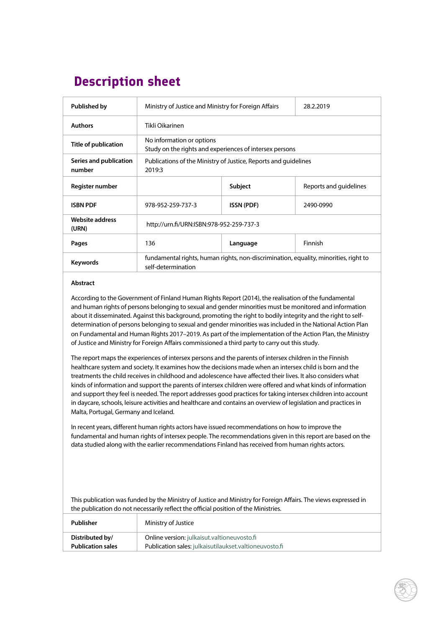# **Description sheet Description sheet**

| <b>Published by</b>              | Ministry of Justice and Ministry for Foreign Affairs                                                       |                   | 28.2.2019              |  |
|----------------------------------|------------------------------------------------------------------------------------------------------------|-------------------|------------------------|--|
| Authors                          | Tikli Oikarinen                                                                                            |                   |                        |  |
| Title of publication             | No information or options<br>Study on the rights and experiences of intersex persons                       |                   |                        |  |
| Series and publication<br>number | Publications of the Ministry of Justice, Reports and guidelines<br>2019:3                                  |                   |                        |  |
| Register number                  |                                                                                                            | <b>Subject</b>    | Reports and quidelines |  |
| <b>ISBN PDF</b>                  | 978-952-259-737-3                                                                                          | <b>ISSN (PDF)</b> | 2490-0990              |  |
| Website address<br>(URN)         | http://urn.fi/URN:ISBN:978-952-259-737-3                                                                   |                   |                        |  |
| Pages                            | 136                                                                                                        | Language          | Finnish                |  |
| Keywords                         | fundamental rights, human rights, non-discrimination, equality, minorities, right to<br>self-determination |                   |                        |  |

#### **Abstract**

According to the Government of Finland Human Rights Report (2014), the realisation of the fundamental and human rights of persons belonging to sexual and gender minorities must be monitored and information about it disseminated. Against this background, promoting the right to bodily integrity and the right to selfdetermination of persons belonging to sexual and gender minorities was included in the National Action Plan on Fundamental and Human Rights 2017–2019. As part of the implementation of the Action Plan, the Ministry of Justice and Ministry for Foreign Affairs commissioned a third party to carry out this study.

The report maps the experiences of intersex persons and the parents of intersex children in the Finnish healthcare system and society. It examines how the decisions made when an intersex child is born and the treatments the child receives in childhood and adolescence have affected their lives. It also considers what kinds of information and support the parents of intersex children were offered and what kinds of information and support they feel is needed. The report addresses good practices for taking intersex children into account in daycare, schools, leisure activities and healthcare and contains an overview of legislation and practices in Malta, Portugal, Germany and Iceland.

In recent years, different human rights actors have issued recommendations on how to improve the fundamental and human rights of intersex people. The recommendations given in this report are based on the data studied along with the earlier recommendations Finland has received from human rights actors.

This publication was funded by the Ministry of Justice and Ministry for Foreign Affairs. The views expressed in the publication do not necessarily reflect the official position of the Ministries.

| Publisher                | Ministry of Justice                                    |
|--------------------------|--------------------------------------------------------|
| Distributed by/          | Online version: julkaisut.valtioneuvosto.fi            |
| <b>Publication sales</b> | Publication sales: julkaisutilaukset.valtioneuvosto.fi |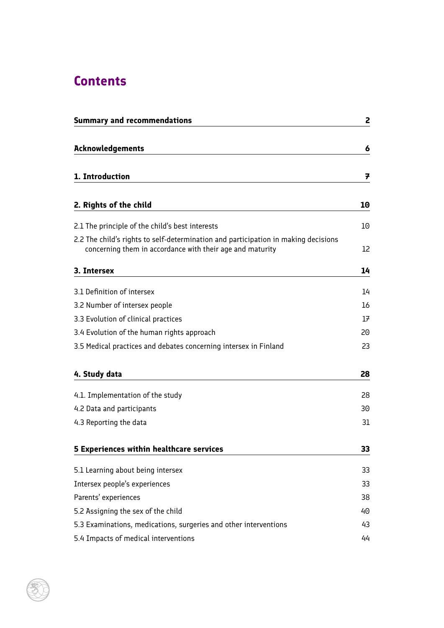# <span id="page-5-0"></span>**Contents**

| <b>Summary and recommendations</b>                                                                                                              | 2  |
|-------------------------------------------------------------------------------------------------------------------------------------------------|----|
| <b>Acknowledgements</b>                                                                                                                         | 6  |
|                                                                                                                                                 |    |
| 1. Introduction                                                                                                                                 | 7  |
| 2. Rights of the child                                                                                                                          | 10 |
| 2.1 The principle of the child's best interests                                                                                                 | 10 |
| 2.2 The child's rights to self-determination and participation in making decisions<br>concerning them in accordance with their age and maturity | 12 |
| 3. Intersex                                                                                                                                     | 14 |
| 3.1 Definition of intersex                                                                                                                      | 14 |
| 3.2 Number of intersex people                                                                                                                   | 16 |
| 3.3 Evolution of clinical practices                                                                                                             | 17 |
| 3.4 Evolution of the human rights approach                                                                                                      | 20 |
| 3.5 Medical practices and debates concerning intersex in Finland                                                                                | 23 |
| 4. Study data                                                                                                                                   | 28 |
| 4.1. Implementation of the study                                                                                                                | 28 |
| 4.2 Data and participants                                                                                                                       | 30 |
| 4.3 Reporting the data                                                                                                                          | 31 |
| 5 Experiences within healthcare services                                                                                                        | 33 |
| 5.1 Learning about being intersex                                                                                                               | 33 |
| Intersex people's experiences                                                                                                                   | 33 |
| Parents' experiences                                                                                                                            | 38 |
| 5.2 Assigning the sex of the child                                                                                                              | 40 |
| 5.3 Examinations, medications, surgeries and other interventions                                                                                | 43 |
| 5.4 Impacts of medical interventions                                                                                                            | 44 |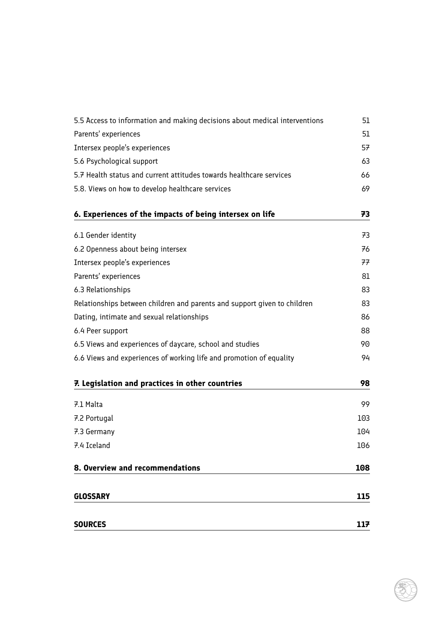| <b>SOURCES</b>                                                             | 117 |
|----------------------------------------------------------------------------|-----|
|                                                                            |     |
| <b>GLOSSARY</b>                                                            | 115 |
| 8. Overview and recommendations                                            | 108 |
| 7.4 Iceland                                                                | 106 |
| 7.3 Germany                                                                | 104 |
| 7.2 Portugal                                                               | 103 |
| 7.1 Malta                                                                  | 99  |
| 7. Legislation and practices in other countries                            | 98  |
| 6.6 Views and experiences of working life and promotion of equality        | 94  |
| 6.5 Views and experiences of daycare, school and studies                   | 90  |
| 6.4 Peer support                                                           | 88  |
| Dating, intimate and sexual relationships                                  | 86  |
| Relationships between children and parents and support given to children   | 83  |
| 6.3 Relationships                                                          | 83  |
| Parents' experiences                                                       | 81  |
| Intersex people's experiences                                              | 77  |
| 6.2 Openness about being intersex                                          | 76  |
| 6.1 Gender identity                                                        | 73  |
| 6. Experiences of the impacts of being intersex on life                    | 73  |
| 5.8. Views on how to develop healthcare services                           | 69  |
| 5.7 Health status and current attitudes towards healthcare services        | 66  |
| 5.6 Psychological support                                                  | 63  |
| Intersex people's experiences                                              | 57  |
| Parents' experiences                                                       | 51  |
| 5.5 Access to information and making decisions about medical interventions | 51  |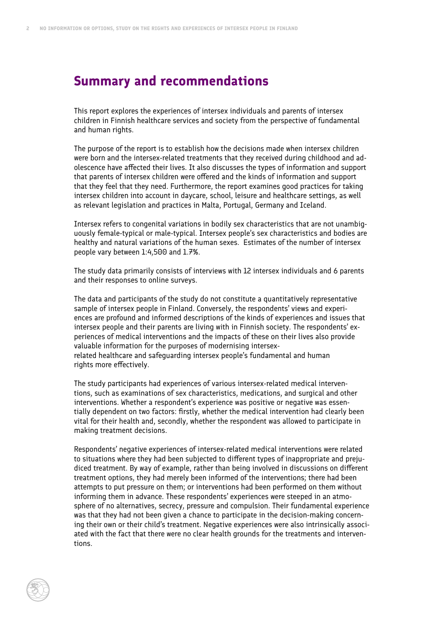### <span id="page-7-0"></span>**Summary and recommendations**

This report explores the experiences of intersex individuals and parents of intersex children in Finnish healthcare services and society from the perspective of fundamental and human rights.

The purpose of the report is to establish how the decisions made when intersex children were born and the intersex-related treatments that they received during childhood and adolescence have affected their lives. It also discusses the types of information and support that parents of intersex children were offered and the kinds of information and support that they feel that they need. Furthermore, the report examines good practices for taking intersex children into account in daycare, school, leisure and healthcare settings, as well as relevant legislation and practices in Malta, Portugal, Germany and Iceland.

Intersex refers to congenital variations in bodily sex characteristics that are not unambiguously female-typical or male-typical. Intersex people's sex characteristics and bodies are healthy and natural variations of the human sexes. Estimates of the number of intersex people vary between 1:4,500 and 1.7%.

The study data primarily consists of interviews with 12 intersex individuals and 6 parents and their responses to online surveys.

The data and participants of the study do not constitute a quantitatively representative sample of intersex people in Finland. Conversely, the respondents' views and experiences are profound and informed descriptions of the kinds of experiences and issues that intersex people and their parents are living with in Finnish society. The respondents' experiences of medical interventions and the impacts of these on their lives also provide valuable information for the purposes of modernising intersexrelated healthcare and safeguarding intersex people's fundamental and human rights more effectively.

The study participants had experiences of various intersex-related medical interventions, such as examinations of sex characteristics, medications, and surgical and other interventions. Whether a respondent's experience was positive or negative was essentially dependent on two factors: firstly, whether the medical intervention had clearly been vital for their health and, secondly, whether the respondent was allowed to participate in making treatment decisions.

Respondents' negative experiences of intersex-related medical interventions were related to situations where they had been subjected to different types of inappropriate and prejudiced treatment. By way of example, rather than being involved in discussions on different treatment options, they had merely been informed of the interventions; there had been attempts to put pressure on them; or interventions had been performed on them without informing them in advance. These respondents' experiences were steeped in an atmosphere of no alternatives, secrecy, pressure and compulsion. Their fundamental experience was that they had not been given a chance to participate in the decision-making concerning their own or their child's treatment. Negative experiences were also intrinsically associated with the fact that there were no clear health grounds for the treatments and interventions.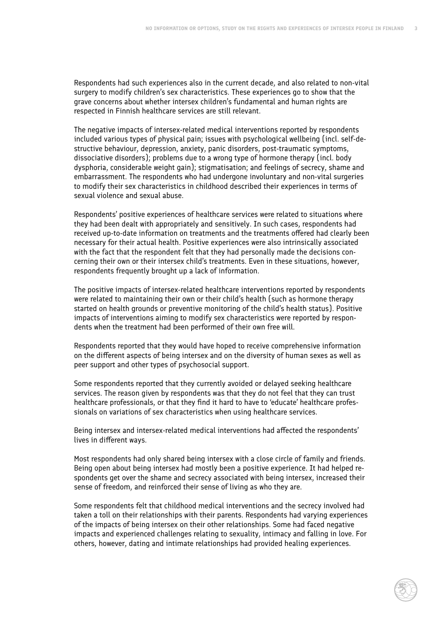Respondents had such experiences also in the current decade, and also related to non-vital surgery to modify children's sex characteristics. These experiences go to show that the grave concerns about whether intersex children's fundamental and human rights are respected in Finnish healthcare services are still relevant.

The negative impacts of intersex-related medical interventions reported by respondents included various types of physical pain; issues with psychological wellbeing (incl. self-destructive behaviour, depression, anxiety, panic disorders, post-traumatic symptoms, dissociative disorders); problems due to a wrong type of hormone therapy (incl. body dysphoria, considerable weight gain); stigmatisation; and feelings of secrecy, shame and embarrassment. The respondents who had undergone involuntary and non-vital surgeries to modify their sex characteristics in childhood described their experiences in terms of sexual violence and sexual abuse.

Respondents' positive experiences of healthcare services were related to situations where they had been dealt with appropriately and sensitively. In such cases, respondents had received up-to-date information on treatments and the treatments offered had clearly been necessary for their actual health. Positive experiences were also intrinsically associated with the fact that the respondent felt that they had personally made the decisions concerning their own or their intersex child's treatments. Even in these situations, however, respondents frequently brought up a lack of information.

The positive impacts of intersex-related healthcare interventions reported by respondents were related to maintaining their own or their child's health (such as hormone therapy started on health grounds or preventive monitoring of the child's health status). Positive impacts of interventions aiming to modify sex characteristics were reported by respondents when the treatment had been performed of their own free will.

Respondents reported that they would have hoped to receive comprehensive information on the different aspects of being intersex and on the diversity of human sexes as well as peer support and other types of psychosocial support.

Some respondents reported that they currently avoided or delayed seeking healthcare services. The reason given by respondents was that they do not feel that they can trust healthcare professionals, or that they find it hard to have to 'educate' healthcare professionals on variations of sex characteristics when using healthcare services.

Being intersex and intersex-related medical interventions had affected the respondents' lives in different ways.

Most respondents had only shared being intersex with a close circle of family and friends. Being open about being intersex had mostly been a positive experience. It had helped respondents get over the shame and secrecy associated with being intersex, increased their sense of freedom, and reinforced their sense of living as who they are.

Some respondents felt that childhood medical interventions and the secrecy involved had taken a toll on their relationships with their parents. Respondents had varying experiences of the impacts of being intersex on their other relationships. Some had faced negative impacts and experienced challenges relating to sexuality, intimacy and falling in love. For others, however, dating and intimate relationships had provided healing experiences.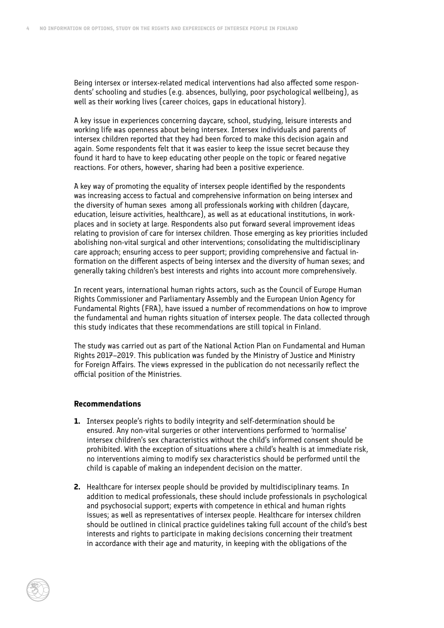Being intersex or intersex-related medical interventions had also affected some respondents' schooling and studies (e.g. absences, bullying, poor psychological wellbeing), as well as their working lives (career choices, gaps in educational history).

A key issue in experiences concerning daycare, school, studying, leisure interests and working life was openness about being intersex. Intersex individuals and parents of intersex children reported that they had been forced to make this decision again and again. Some respondents felt that it was easier to keep the issue secret because they found it hard to have to keep educating other people on the topic or feared negative reactions. For others, however, sharing had been a positive experience.

A key way of promoting the equality of intersex people identified by the respondents was increasing access to factual and comprehensive information on being intersex and the diversity of human sexes among all professionals working with children (daycare, education, leisure activities, healthcare), as well as at educational institutions, in workplaces and in society at large. Respondents also put forward several improvement ideas relating to provision of care for intersex children. Those emerging as key priorities included abolishing non-vital surgical and other interventions; consolidating the multidisciplinary care approach; ensuring access to peer support; providing comprehensive and factual information on the different aspects of being intersex and the diversity of human sexes; and generally taking children's best interests and rights into account more comprehensively.

In recent years, international human rights actors, such as the Council of Europe Human Rights Commissioner and Parliamentary Assembly and the European Union Agency for Fundamental Rights (FRA), have issued a number of recommendations on how to improve the fundamental and human rights situation of intersex people. The data collected through this study indicates that these recommendations are still topical in Finland.

The study was carried out as part of the National Action Plan on Fundamental and Human Rights 2017–2019. This publication was funded by the Ministry of Justice and Ministry for Foreign Affairs. The views expressed in the publication do not necessarily reflect the official position of the Ministries.

#### **Recommendations**

- **1.** Intersex people's rights to bodily integrity and self-determination should be ensured. Any non-vital surgeries or other interventions performed to 'normalise' intersex children's sex characteristics without the child's informed consent should be prohibited. With the exception of situations where a child's health is at immediate risk, no interventions aiming to modify sex characteristics should be performed until the child is capable of making an independent decision on the matter.
- **2.** Healthcare for intersex people should be provided by multidisciplinary teams. In addition to medical professionals, these should include professionals in psychological and psychosocial support; experts with competence in ethical and human rights issues; as well as representatives of intersex people. Healthcare for intersex children should be outlined in clinical practice guidelines taking full account of the child's best interests and rights to participate in making decisions concerning their treatment in accordance with their age and maturity, in keeping with the obligations of the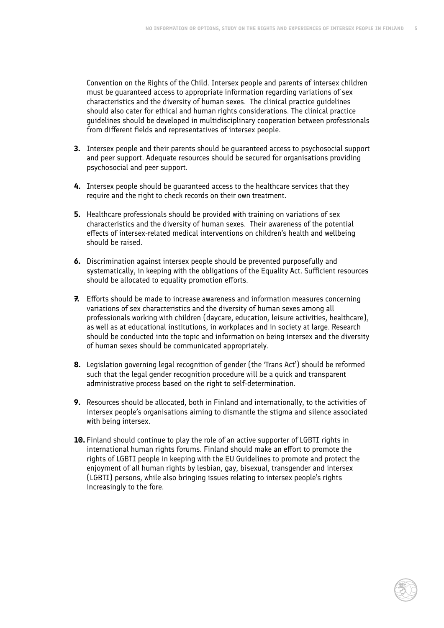Convention on the Rights of the Child. Intersex people and parents of intersex children must be guaranteed access to appropriate information regarding variations of sex characteristics and the diversity of human sexes. The clinical practice guidelines should also cater for ethical and human rights considerations. The clinical practice guidelines should be developed in multidisciplinary cooperation between professionals from different fields and representatives of intersex people.

- **3.** Intersex people and their parents should be guaranteed access to psychosocial support and peer support. Adequate resources should be secured for organisations providing psychosocial and peer support.
- **4.** Intersex people should be guaranteed access to the healthcare services that they require and the right to check records on their own treatment.
- **5.** Healthcare professionals should be provided with training on variations of sex characteristics and the diversity of human sexes. Their awareness of the potential effects of intersex-related medical interventions on children's health and wellbeing should be raised.
- **6.** Discrimination against intersex people should be prevented purposefully and systematically, in keeping with the obligations of the Equality Act. Sufficient resources should be allocated to equality promotion efforts.
- **7.** Efforts should be made to increase awareness and information measures concerning variations of sex characteristics and the diversity of human sexes among all professionals working with children (daycare, education, leisure activities, healthcare), as well as at educational institutions, in workplaces and in society at large. Research should be conducted into the topic and information on being intersex and the diversity of human sexes should be communicated appropriately.
- **8.** Legislation governing legal recognition of gender (the 'Trans Act') should be reformed such that the legal gender recognition procedure will be a quick and transparent administrative process based on the right to self-determination.
- **9.** Resources should be allocated, both in Finland and internationally, to the activities of intersex people's organisations aiming to dismantle the stigma and silence associated with being intersex.
- **10.** Finland should continue to play the role of an active supporter of LGBTI rights in international human rights forums. Finland should make an effort to promote the rights of LGBTI people in keeping with the EU Guidelines to promote and protect the enjoyment of all human rights by lesbian, gay, bisexual, transgender and intersex (LGBTI) persons, while also bringing issues relating to intersex people's rights increasingly to the fore.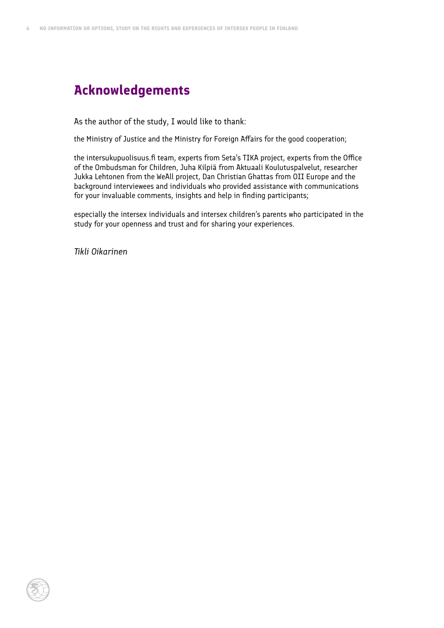## <span id="page-11-0"></span>**Acknowledgements**

As the author of the study, I would like to thank:

the Ministry of Justice and the Ministry for Foreign Affairs for the good cooperation;

the intersukupuolisuus.fi team, experts from Seta's TIKA project, experts from the Office of the Ombudsman for Children, Juha Kilpiä from Aktuaali Koulutuspalvelut, researcher Jukka Lehtonen from the WeAll project, Dan Christian Ghattas from OII Europe and the background interviewees and individuals who provided assistance with communications for your invaluable comments, insights and help in finding participants;

especially the intersex individuals and intersex children's parents who participated in the study for your openness and trust and for sharing your experiences.

*Tikli Oikarinen*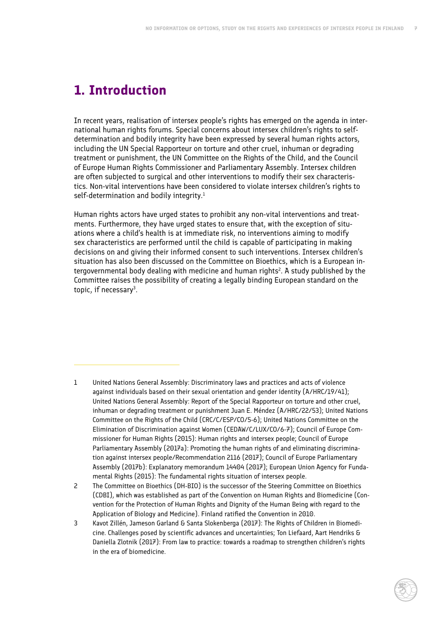# <span id="page-12-0"></span>**1. Introduction**

In recent years, realisation of intersex people's rights has emerged on the agenda in international human rights forums. Special concerns about intersex children's rights to selfdetermination and bodily integrity have been expressed by several human rights actors, including the UN Special Rapporteur on torture and other cruel, inhuman or degrading treatment or punishment, the UN Committee on the Rights of the Child, and the Council of Europe Human Rights Commissioner and Parliamentary Assembly. Intersex children are often subjected to surgical and other interventions to modify their sex characteristics. Non-vital interventions have been considered to violate intersex children's rights to self-determination and bodily integrity.<sup>1</sup>

Human rights actors have urged states to prohibit any non-vital interventions and treatments. Furthermore, they have urged states to ensure that, with the exception of situations where a child's health is at immediate risk, no interventions aiming to modify sex characteristics are performed until the child is capable of participating in making decisions on and giving their informed consent to such interventions. Intersex children's situation has also been discussed on the Committee on Bioethics, which is a European intergovernmental body dealing with medicine and human rights<sup>2</sup>. A study published by the Committee raises the possibility of creating a legally binding European standard on the topic, if necessary<sup>3</sup>.

- 1 United Nations General Assembly: Discriminatory laws and practices and acts of violence against individuals based on their sexual orientation and gender identity (A/HRC/19/41); United Nations General Assembly: Report of the Special Rapporteur on torture and other cruel, inhuman or degrading treatment or punishment Juan E. Méndez (A/HRC/22/53); United Nations Committee on the Rights of the Child (CRC/C/ESP/CO/5-6); United Nations Committee on the Elimination of Discrimination against Women (CEDAW/C/LUX/CO/6-7); Council of Europe Commissioner for Human Rights (2015): Human rights and intersex people; Council of Europe Parliamentary Assembly (2017a): Promoting the human rights of and eliminating discrimination against intersex people/Recommendation 2116 (2017); Council of Europe Parliamentary Assembly (2017b): Explanatory memorandum 14404 (2017); European Union Agency for Fundamental Rights (2015): The fundamental rights situation of intersex people.
- 2 The Committee on Bioethics (DH-BIO) is the successor of the Steering Committee on Bioethics (CDBI), which was established as part of the Convention on Human Rights and Biomedicine (Convention for the Protection of Human Rights and Dignity of the Human Being with regard to the Application of Biology and Medicine). Finland ratified the Convention in 2010.
- 3 Kavot Zillén, Jameson Garland & Santa Slokenberga (2017): The Rights of Children in Biomedicine. Challenges posed by scientific advances and uncertainties; Ton Liefaard, Aart Hendriks & Daniella Zlotnik (2017): From law to practice: towards a roadmap to strengthen children's rights in the era of biomedicine.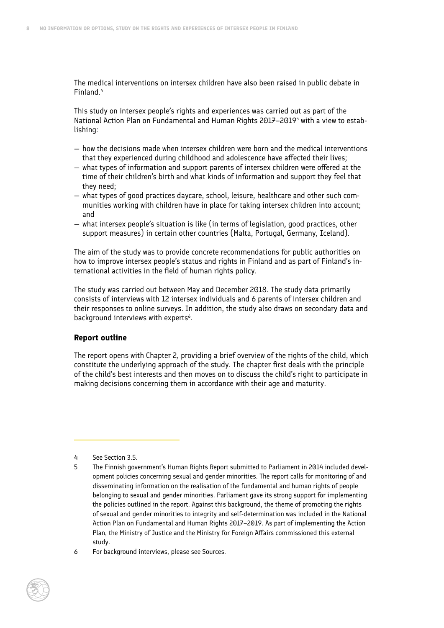The medical interventions on intersex children have also been raised in public debate in Finland.4

This study on intersex people's rights and experiences was carried out as part of the National Action Plan on Fundamental and Human Rights 2017–20195 with a view to establishing:

- how the decisions made when intersex children were born and the medical interventions that they experienced during childhood and adolescence have affected their lives;
- what types of information and support parents of intersex children were offered at the time of their children's birth and what kinds of information and support they feel that they need;
- what types of good practices daycare, school, leisure, healthcare and other such communities working with children have in place for taking intersex children into account; and
- what intersex people's situation is like (in terms of legislation, good practices, other support measures) in certain other countries (Malta, Portugal, Germany, Iceland).

The aim of the study was to provide concrete recommendations for public authorities on how to improve intersex people's status and rights in Finland and as part of Finland's international activities in the field of human rights policy.

The study was carried out between May and December 2018. The study data primarily consists of interviews with 12 intersex individuals and 6 parents of intersex children and their responses to online surveys. In addition, the study also draws on secondary data and background interviews with experts<sup>6</sup>.

#### **Report outline**

The report opens with Chapter 2, providing a brief overview of the rights of the child, which constitute the underlying approach of the study. The chapter first deals with the principle of the child's best interests and then moves on to discuss the child's right to participate in making decisions concerning them in accordance with their age and maturity.

4 See Section 3.5.

<sup>5</sup> The Finnish government's Human Rights Report submitted to Parliament in 2014 included development policies concerning sexual and gender minorities. The report calls for monitoring of and disseminating information on the realisation of the fundamental and human rights of people belonging to sexual and gender minorities. Parliament gave its strong support for implementing the policies outlined in the report. Against this background, the theme of promoting the rights of sexual and gender minorities to integrity and self-determination was included in the National Action Plan on Fundamental and Human Rights 2017–2019. As part of implementing the Action Plan, the Ministry of Justice and the Ministry for Foreign Affairs commissioned this external study.

<sup>6</sup> For background interviews, please see Sources.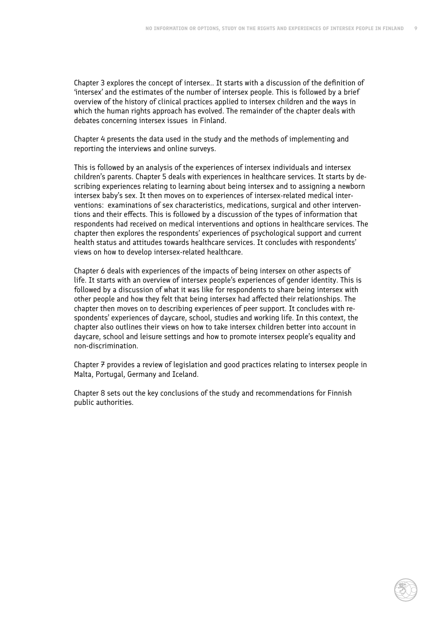Chapter 3 explores the concept of intersex.. It starts with a discussion of the definition of 'intersex' and the estimates of the number of intersex people. This is followed by a brief overview of the history of clinical practices applied to intersex children and the ways in which the human rights approach has evolved. The remainder of the chapter deals with debates concerning intersex issues in Finland.

Chapter 4 presents the data used in the study and the methods of implementing and reporting the interviews and online surveys.

This is followed by an analysis of the experiences of intersex individuals and intersex children's parents. Chapter 5 deals with experiences in healthcare services. It starts by describing experiences relating to learning about being intersex and to assigning a newborn intersex baby's sex. It then moves on to experiences of intersex-related medical interventions: examinations of sex characteristics, medications, surgical and other interventions and their effects. This is followed by a discussion of the types of information that respondents had received on medical interventions and options in healthcare services. The chapter then explores the respondents' experiences of psychological support and current health status and attitudes towards healthcare services. It concludes with respondents' views on how to develop intersex-related healthcare.

Chapter 6 deals with experiences of the impacts of being intersex on other aspects of life. It starts with an overview of intersex people's experiences of gender identity. This is followed by a discussion of what it was like for respondents to share being intersex with other people and how they felt that being intersex had affected their relationships. The chapter then moves on to describing experiences of peer support. It concludes with respondents' experiences of daycare, school, studies and working life. In this context, the chapter also outlines their views on how to take intersex children better into account in daycare, school and leisure settings and how to promote intersex people's equality and non-discrimination.

Chapter  $\overline{\tau}$  provides a review of legislation and good practices relating to intersex people in Malta, Portugal, Germany and Iceland.

Chapter 8 sets out the key conclusions of the study and recommendations for Finnish public authorities.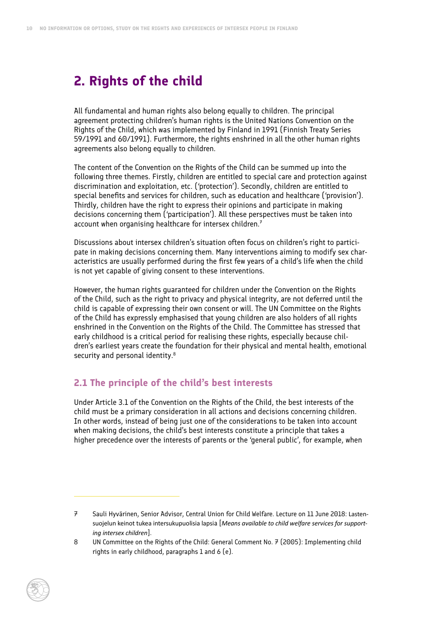## <span id="page-15-0"></span>**2. Rights of the child**

All fundamental and human rights also belong equally to children. The principal agreement protecting children's human rights is the United Nations Convention on the Rights of the Child, which was implemented by Finland in 1991 (Finnish Treaty Series 59/1991 and 60/1991). Furthermore, the rights enshrined in all the other human rights agreements also belong equally to children.

The content of the Convention on the Rights of the Child can be summed up into the following three themes. Firstly, children are entitled to special care and protection against discrimination and exploitation, etc. ('protection'). Secondly, children are entitled to special benefits and services for children, such as education and healthcare ('provision'). Thirdly, children have the right to express their opinions and participate in making decisions concerning them ('participation'). All these perspectives must be taken into account when organising healthcare for intersex children. $7$ 

Discussions about intersex children's situation often focus on children's right to participate in making decisions concerning them. Many interventions aiming to modify sex characteristics are usually performed during the first few years of a child's life when the child is not yet capable of giving consent to these interventions.

However, the human rights guaranteed for children under the Convention on the Rights of the Child, such as the right to privacy and physical integrity, are not deferred until the child is capable of expressing their own consent or will. The UN Committee on the Rights of the Child has expressly emphasised that young children are also holders of all rights enshrined in the Convention on the Rights of the Child. The Committee has stressed that early childhood is a critical period for realising these rights, especially because children's earliest years create the foundation for their physical and mental health, emotional security and personal identity.<sup>8</sup>

#### **2.1 The principle of the child's best interests**

Under Article 3.1 of the Convention on the Rights of the Child, the best interests of the child must be a primary consideration in all actions and decisions concerning children. In other words, instead of being just one of the considerations to be taken into account when making decisions, the child's best interests constitute a principle that takes a higher precedence over the interests of parents or the 'general public', for example, when

<sup>7</sup> Sauli Hyvärinen, Senior Advisor, Central Union for Child Welfare. Lecture on 11 June 2018: Lastensuojelun keinot tukea intersukupuolisia lapsia [*Means available to child welfare services for supporting intersex children*].

<sup>8</sup> UN Committee on the Rights of the Child: General Comment No. 7 (2005): Implementing child rights in early childhood, paragraphs 1 and 6 (e).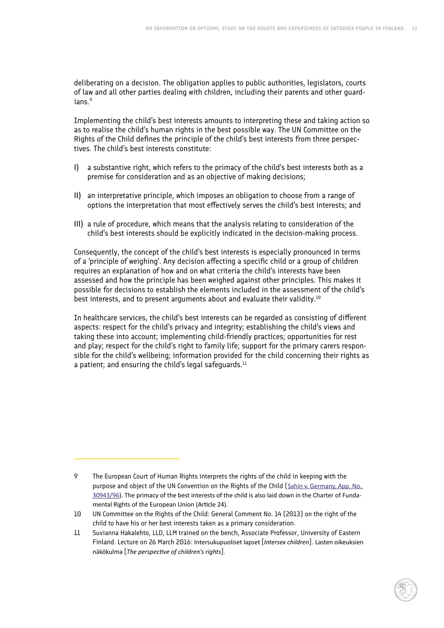deliberating on a decision. The obligation applies to public authorities, legislators, courts of law and all other parties dealing with children, including their parents and other guardians.<sup>9</sup>

Implementing the child's best interests amounts to interpreting these and taking action so as to realise the child's human rights in the best possible way. The UN Committee on the Rights of the Child defines the principle of the child's best interests from three perspectives. The child's best interests constitute:

- I) a substantive right, which refers to the primacy of the child's best interests both as a premise for consideration and as an objective of making decisions;
- II) an interpretative principle, which imposes an obligation to choose from a range of options the interpretation that most effectively serves the child's best interests; and
- III) a rule of procedure, which means that the analysis relating to consideration of the child's best interests should be explicitly indicated in the decision-making process.

Consequently, the concept of the child's best interests is especially pronounced in terms of a 'principle of weighing'. Any decision affecting a specific child or a group of children requires an explanation of how and on what criteria the child's interests have been assessed and how the principle has been weighed against other principles. This makes it possible for decisions to establish the elements included in the assessment of the child's best interests, and to present arguments about and evaluate their validity.10

In healthcare services, the child's best interests can be regarded as consisting of different aspects: respect for the child's privacy and integrity; establishing the child's views and taking these into account; implementing child-friendly practices; opportunities for rest and play; respect for the child's right to family life; support for the primary carers responsible for the child's wellbeing; information provided for the child concerning their rights as a patient; and ensuring the child's legal safeguards. $11$ 

<sup>9</sup> The European Court of Human Rights interprets the rights of the child in keeping with the purpose and object of the UN Convention on the Rights of the Child (Sahin v. Germany, App. No. 30943/96). The primacy of the best interests of the child is also laid down in the Charter of Fundamental Rights of the European Union (Article 24).

<sup>10</sup> UN Committee on the Rights of the Child: General Comment No. 14 (2013) on the right of the child to have his or her best interests taken as a primary consideration.

<sup>11</sup> Suvianna Hakalehto, LLD, LLM trained on the bench, Associate Professor, University of Eastern Finland. Lecture on 26 March 2016: Intersukupuoliset lapset [*Intersex children*]. Lasten oikeuksien näkökulma [*The perspective of children's rights*].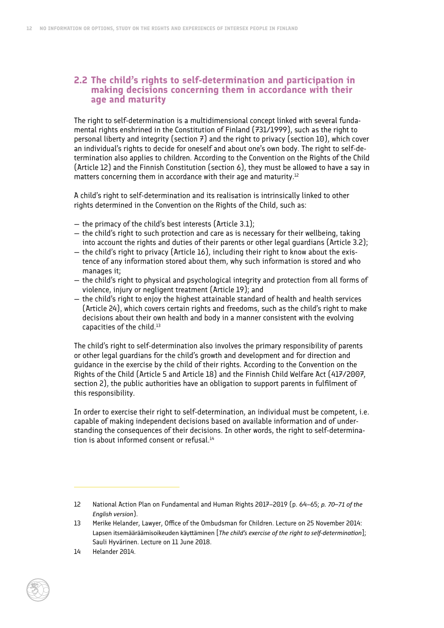#### <span id="page-17-0"></span>**2.2 The child's rights to self-determination and participation in making decisions concerning them in accordance with their age and maturity**

The right to self-determination is a multidimensional concept linked with several fundamental rights enshrined in the Constitution of Finland (731/1999), such as the right to personal liberty and integrity (section  $\vec{z}$ ) and the right to privacy (section 10), which cover an individual's rights to decide for oneself and about one's own body. The right to self-determination also applies to children. According to the Convention on the Rights of the Child (Article 12) and the Finnish Constitution (section 6), they must be allowed to have a say in matters concerning them in accordance with their age and maturity.<sup>12</sup>

A child's right to self-determination and its realisation is intrinsically linked to other rights determined in the Convention on the Rights of the Child, such as:

- the primacy of the child's best interests (Article 3.1);
- the child's right to such protection and care as is necessary for their wellbeing, taking into account the rights and duties of their parents or other legal guardians (Article 3.2);
- the child's right to privacy (Article 16), including their right to know about the existence of any information stored about them, why such information is stored and who manages it;
- the child's right to physical and psychological integrity and protection from all forms of violence, injury or negligent treatment (Article 19); and
- $-$  the child's right to enjoy the highest attainable standard of health and health services (Article 24), which covers certain rights and freedoms, such as the child's right to make decisions about their own health and body in a manner consistent with the evolving capacities of the child.<sup>13</sup>

The child's right to self-determination also involves the primary responsibility of parents or other legal guardians for the child's growth and development and for direction and guidance in the exercise by the child of their rights. According to the Convention on the Rights of the Child (Article 5 and Article 18) and the Finnish Child Welfare Act (417/2007, section 2), the public authorities have an obligation to support parents in fulfilment of this responsibility.

In order to exercise their right to self-determination, an individual must be competent, i.e. capable of making independent decisions based on available information and of understanding the consequences of their decisions. In other words, the right to self-determination is about informed consent or refusal.<sup>14</sup>

<sup>14</sup> Helander 2014.



<sup>12</sup> National Action Plan on Fundamental and Human Rights 2017–2019 (p. 64–65; *p. 70–71 of the English version*).

<sup>13</sup> Merike Helander, Lawyer, Office of the Ombudsman for Children. Lecture on 25 November 2014: Lapsen itsemääräämisoikeuden käyttäminen [*The child's exercise of the right to self-determination*]; Sauli Hyvärinen. Lecture on 11 June 2018.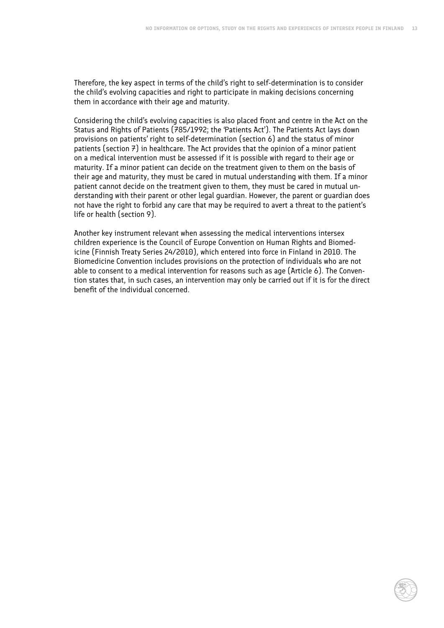Therefore, the key aspect in terms of the child's right to self-determination is to consider the child's evolving capacities and right to participate in making decisions concerning them in accordance with their age and maturity.

Considering the child's evolving capacities is also placed front and centre in the Act on the Status and Rights of Patients (785/1992; the 'Patients Act'). The Patients Act lays down provisions on patients' right to self-determination (section 6) and the status of minor patients (section  $\vec{r}$ ) in healthcare. The Act provides that the opinion of a minor patient on a medical intervention must be assessed if it is possible with regard to their age or maturity. If a minor patient can decide on the treatment given to them on the basis of their age and maturity, they must be cared in mutual understanding with them. If a minor patient cannot decide on the treatment given to them, they must be cared in mutual understanding with their parent or other legal guardian. However, the parent or guardian does not have the right to forbid any care that may be required to avert a threat to the patient's life or health (section 9).

Another key instrument relevant when assessing the medical interventions intersex children experience is the Council of Europe Convention on Human Rights and Biomedicine (Finnish Treaty Series 24/2010), which entered into force in Finland in 2010. The Biomedicine Convention includes provisions on the protection of individuals who are not able to consent to a medical intervention for reasons such as age (Article 6). The Convention states that, in such cases, an intervention may only be carried out if it is for the direct benefit of the individual concerned.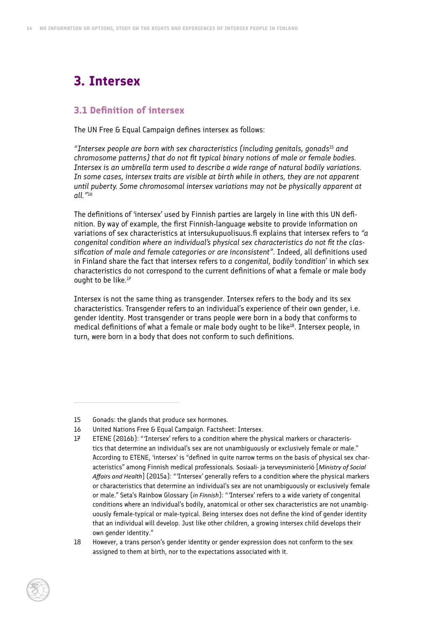### <span id="page-19-0"></span>**3. Intersex**

#### **3.1 Definition of intersex**

The UN Free & Equal Campaign defines intersex as follows:

*"Intersex people are born with sex characteristics (including genitals, gonads*<sup>15</sup> *and chromosome patterns) that do not fit typical binary notions of male or female bodies. Intersex is an umbrella term used to describe a wide range of natural bodily variations. In some cases, intersex traits are visible at birth while in others, they are not apparent until puberty. Some chromosomal intersex variations may not be physically apparent at all."*<sup>16</sup>

The definitions of 'intersex' used by Finnish parties are largely in line with this UN definition. By way of example, the first Finnish-language website to provide information on variations of sex characteristics at intersukupuolisuus.fi explains that intersex refers to *"a congenital condition where an individual's physical sex characteristics do not fit the classification of male and female categories or are inconsistent".* Indeed, all definitions used in Finland share the fact that intersex refers to *a congenital, bodily 'condition'* in which sex characteristics do not correspond to the current definitions of what a female or male body ought to be like. $17$ 

Intersex is not the same thing as transgender. Intersex refers to the body and its sex characteristics. Transgender refers to an individual's experience of their own gender, i.e. gender identity. Most transgender or trans people were born in a body that conforms to medical definitions of what a female or male body ought to be like<sup>18</sup>. Intersex people, in turn, were born in a body that does not conform to such definitions.

- 16 United Nations Free & Equal Campaign. Factsheet: Intersex.
- 17 ETENE (2016b): "'Intersex' refers to a condition where the physical markers or characteristics that determine an individual's sex are not unambiguously or exclusively female or male." According to ETENE, 'intersex' is "defined in quite narrow terms on the basis of physical sex characteristics" among Finnish medical professionals. Sosiaali- ja terveysministeriö [*Ministry of Social Affairs and Health*] (2015a): "'Intersex' generally refers to a condition where the physical markers or characteristics that determine an individual's sex are not unambiguously or exclusively female or male." Seta's Rainbow Glossary (*in Finnish*): "'Intersex' refers to a wide variety of congenital conditions where an individual's bodily, anatomical or other sex characteristics are not unambiguously female-typical or male-typical. Being intersex does not define the kind of gender identity that an individual will develop. Just like other children, a growing intersex child develops their own gender identity."

<sup>18</sup> However, a trans person's gender identity or gender expression does not conform to the sex assigned to them at birth, nor to the expectations associated with it.



<sup>15</sup> Gonads: the glands that produce sex hormones.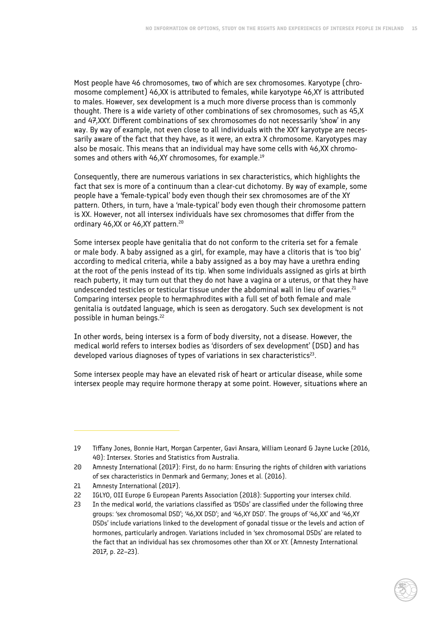Most people have 46 chromosomes, two of which are sex chromosomes. Karyotype (chromosome complement) 46,XX is attributed to females, while karyotype 46,XY is attributed to males. However, sex development is a much more diverse process than is commonly thought. There is a wide variety of other combinations of sex chromosomes, such as 45,X and 47,XXY. Different combinations of sex chromosomes do not necessarily 'show' in any way. By way of example, not even close to all individuals with the XXY karyotype are necessarily aware of the fact that they have, as it were, an extra X chromosome. Karyotypes may also be mosaic. This means that an individual may have some cells with 46,XX chromosomes and others with 46,XY chromosomes, for example.19

Consequently, there are numerous variations in sex characteristics, which highlights the fact that sex is more of a continuum than a clear-cut dichotomy. By way of example, some people have a 'female-typical' body even though their sex chromosomes are of the XY pattern. Others, in turn, have a 'male-typical' body even though their chromosome pattern is XX. However, not all intersex individuals have sex chromosomes that differ from the ordinary 46,XX or 46,XY pattern.20

Some intersex people have genitalia that do not conform to the criteria set for a female or male body. A baby assigned as a girl, for example, may have a clitoris that is 'too big' according to medical criteria, while a baby assigned as a boy may have a urethra ending at the root of the penis instead of its tip. When some individuals assigned as girls at birth reach puberty, it may turn out that they do not have a vagina or a uterus, or that they have undescended testicles or testicular tissue under the abdominal wall in lieu of ovaries.<sup>21</sup> Comparing intersex people to hermaphrodites with a full set of both female and male genitalia is outdated language, which is seen as derogatory. Such sex development is not possible in human beings.22

In other words, being intersex is a form of body diversity, not a disease. However, the medical world refers to intersex bodies as 'disorders of sex development' (DSD) and has developed various diagnoses of types of variations in sex characteristics<sup>23</sup>.

Some intersex people may have an elevated risk of heart or articular disease, while some intersex people may require hormone therapy at some point. However, situations where an

<sup>19</sup> Tiffany Jones, Bonnie Hart, Morgan Carpenter, Gavi Ansara, William Leonard & Jayne Lucke (2016, 40): Intersex. Stories and Statistics from Australia.

<sup>20</sup> Amnesty International (2017): First, do no harm: Ensuring the rights of children with variations of sex characteristics in Denmark and Germany; Jones et al. (2016).

<sup>21</sup> Amnesty International (2017).

<sup>22</sup> IGLYO, OII Europe & European Parents Association (2018): Supporting your intersex child.

<sup>23</sup> In the medical world, the variations classified as 'DSDs' are classified under the following three groups: 'sex chromosomal DSD'; '46,XX DSD'; and '46,XY DSD'. The groups of '46,XX' and '46,XY DSDs' include variations linked to the development of gonadal tissue or the levels and action of hormones, particularly androgen. Variations included in 'sex chromosomal DSDs' are related to the fact that an individual has sex chromosomes other than XX or XY. (Amnesty International 2017, p. 22–23).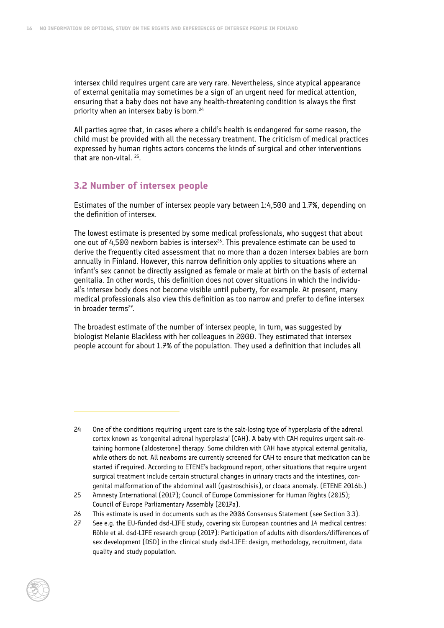<span id="page-21-0"></span>intersex child requires urgent care are very rare. Nevertheless, since atypical appearance of external genitalia may sometimes be a sign of an urgent need for medical attention, ensuring that a baby does not have any health-threatening condition is always the first priority when an intersex baby is born.<sup>24</sup>

All parties agree that, in cases where a child's health is endangered for some reason, the child must be provided with all the necessary treatment. The criticism of medical practices expressed by human rights actors concerns the kinds of surgical and other interventions that are non-vital. 25.

#### **3.2 Number of intersex people**

Estimates of the number of intersex people vary between 1:4,500 and 1.7%, depending on the definition of intersex.

The lowest estimate is presented by some medical professionals, who suggest that about one out of 4,500 newborn babies is intersex<sup>26</sup>. This prevalence estimate can be used to derive the frequently cited assessment that no more than a dozen intersex babies are born annually in Finland. However, this narrow definition only applies to situations where an infant's sex cannot be directly assigned as female or male at birth on the basis of external genitalia. In other words, this definition does not cover situations in which the individual's intersex body does not become visible until puberty, for example. At present, many medical professionals also view this definition as too narrow and prefer to define intersex in broader terms $^{27}$ .

The broadest estimate of the number of intersex people, in turn, was suggested by biologist Melanie Blackless with her colleagues in 2000. They estimated that intersex people account for about 1.7% of the population. They used a definition that includes all

<sup>24</sup> One of the conditions requiring urgent care is the salt-losing type of hyperplasia of the adrenal cortex known as 'congenital adrenal hyperplasia' (CAH). A baby with CAH requires urgent salt-retaining hormone (aldosterone) therapy. Some children with CAH have atypical external genitalia, while others do not. All newborns are currently screened for CAH to ensure that medication can be started if required. According to ETENE's background report, other situations that require urgent surgical treatment include certain structural changes in urinary tracts and the intestines, congenital malformation of the abdominal wall (gastroschisis), or cloaca anomaly. (ETENE 2016b.)

<sup>25</sup> Amnesty International (2017); Council of Europe Commissioner for Human Rights (2015); Council of Europe Parliamentary Assembly (2017a).

<sup>26</sup> This estimate is used in documents such as the 2006 Consensus Statement (see Section 3.3).

<sup>27</sup> See e.g. the EU-funded dsd-LIFE study, covering six European countries and 14 medical centres: Röhle et al. dsd-LIFE research group (2017): Participation of adults with disorders/differences of sex development (DSD) in the clinical study dsd-LIFE: design, methodology, recruitment, data quality and study population.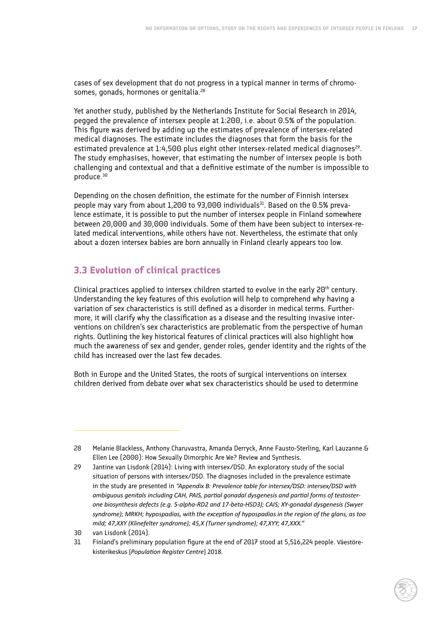<span id="page-22-0"></span>cases of sex development that do not progress in a typical manner in terms of chromosomes, gonads, hormones or genitalia.<sup>28</sup>

Yet another study, published by the Netherlands Institute for Social Research in 2014, pegged the prevalence of intersex people at 1:200, i.e. about 0.5% of the population. This figure was derived by adding up the estimates of prevalence of intersex-related medical diagnoses. The estimate includes the diagnoses that form the basis for the estimated prevalence at  $1.4,500$  plus eight other intersex-related medical diagnoses<sup>29</sup>. The study emphasises, however, that estimating the number of intersex people is both challenging and contextual and that a definitive estimate of the number is impossible to produce.30

Depending on the chosen definition, the estimate for the number of Finnish intersex people may vary from about  $1,200$  to  $93,000$  individuals<sup>31</sup>. Based on the  $0.5\%$  prevalence estimate, it is possible to put the number of intersex people in Finland somewhere between 20,000 and 30,000 individuals. Some of them have been subject to intersex-related medical interventions, while others have not. Nevertheless, the estimate that only about a dozen intersex babies are born annually in Finland clearly appears too low.

#### **3.3 Evolution of clinical practices**

Clinical practices applied to intersex children started to evolve in the early  $20<sup>th</sup>$  century. Understanding the key features of this evolution will help to comprehend why having a variation of sex characteristics is still defined as a disorder in medical terms. Furthermore, it will clarify why the classification as a disease and the resulting invasive interventions on children's sex characteristics are problematic from the perspective of human rights. Outlining the key historical features of clinical practices will also highlight how much the awareness of sex and gender, gender roles, gender identity and the rights of the child has increased over the last few decades.

Both in Europe and the United States, the roots of surgical interventions on intersex children derived from debate over what sex characteristics should be used to determine

<sup>28</sup> Melanie Blackless, Anthony Charuvastra, Amanda Derryck, Anne Fausto-Sterling, Karl Lauzanne & Ellen Lee (2000): How Sexually Dimorphic Are We? Review and Synthesis.

<sup>29</sup> Jantine van Lisdonk (2014): Living with intersex/DSD. An exploratory study of the social situation of persons with intersex/DSD. The diagnoses included in the prevalence estimate in the study are presented in *"Appendix B: Prevalence table for intersex/DSD: intersex/DSD with ambiguous genitals including CAH, PAIS, partial gonadal dysgenesis and partial forms of testosterone biosynthesis defects (e.g. 5-alpha-RD2 and 17-beta-HSD3); CAIS; XY-gonadal dysgenesis (Swyer syndrome); MRKH; hypospadias, with the exception of hypospadias in the region of the glans, as too mild; 47,XXY (Klinefelter syndrome); 45,X (Turner syndrome); 47,XYY; 47,XXX."* 

<sup>30</sup> van Lisdonk (2014).

<sup>31</sup> Finland's preliminary population figure at the end of 2017 stood at 5,516,224 people. Väestörekisterikeskus [*Population Register Centre*] 2018.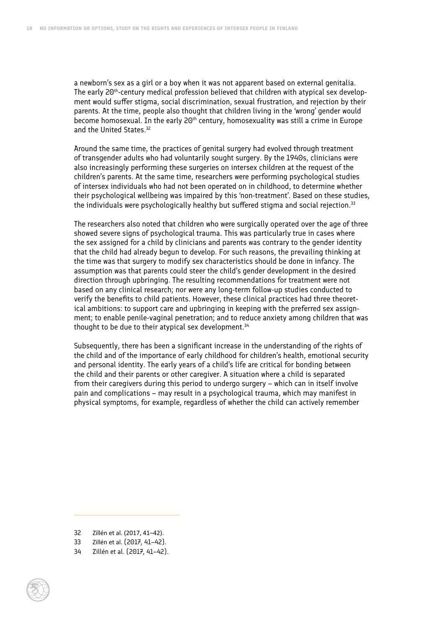a newborn's sex as a girl or a boy when it was not apparent based on external genitalia. The early 20<sup>th</sup>-century medical profession believed that children with atypical sex development would suffer stigma, social discrimination, sexual frustration, and rejection by their parents. At the time, people also thought that children living in the 'wrong' gender would become homosexual. In the early 20<sup>th</sup> century, homosexuality was still a crime in Europe and the United States.<sup>32</sup>

Around the same time, the practices of genital surgery had evolved through treatment of transgender adults who had voluntarily sought surgery. By the 1940s, clinicians were also increasingly performing these surgeries on intersex children at the request of the children's parents. At the same time, researchers were performing psychological studies of intersex individuals who had not been operated on in childhood, to determine whether their psychological wellbeing was impaired by this 'non-treatment'. Based on these studies, the individuals were psychologically healthy but suffered stigma and social rejection.<sup>33</sup>

The researchers also noted that children who were surgically operated over the age of three showed severe signs of psychological trauma. This was particularly true in cases where the sex assigned for a child by clinicians and parents was contrary to the gender identity that the child had already begun to develop. For such reasons, the prevailing thinking at the time was that surgery to modify sex characteristics should be done in infancy. The assumption was that parents could steer the child's gender development in the desired direction through upbringing. The resulting recommendations for treatment were not based on any clinical research; nor were any long-term follow-up studies conducted to verify the benefits to child patients. However, these clinical practices had three theoretical ambitions: to support care and upbringing in keeping with the preferred sex assignment; to enable penile-vaginal penetration; and to reduce anxiety among children that was thought to be due to their atypical sex development.<sup>34</sup>

Subsequently, there has been a significant increase in the understanding of the rights of the child and of the importance of early childhood for children's health, emotional security and personal identity. The early years of a child's life are critical for bonding between the child and their parents or other caregiver. A situation where a child is separated from their caregivers during this period to undergo surgery – which can in itself involve pain and complications – may result in a psychological trauma, which may manifest in physical symptoms, for example, regardless of whether the child can actively remember

<sup>34</sup> Zillén et al. (2017, 41–42).



<sup>32</sup> Zillén et al. (2017, 41–42).

<sup>33</sup> Zillén et al. (2017, 41–42).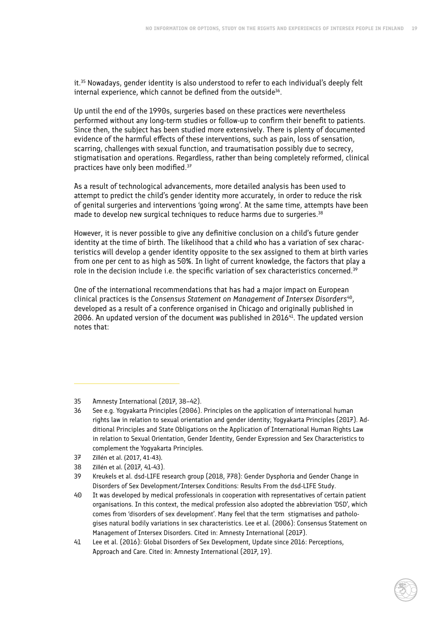it.<sup>35</sup> Nowadays, gender identity is also understood to refer to each individual's deeply felt internal experience, which cannot be defined from the outside<sup>36</sup>.

Up until the end of the 1990s, surgeries based on these practices were nevertheless performed without any long-term studies or follow-up to confirm their benefit to patients. Since then, the subject has been studied more extensively. There is plenty of documented evidence of the harmful effects of these interventions, such as pain, loss of sensation, scarring, challenges with sexual function, and traumatisation possibly due to secrecy, stigmatisation and operations. Regardless, rather than being completely reformed, clinical practices have only been modified.37

As a result of technological advancements, more detailed analysis has been used to attempt to predict the child's gender identity more accurately, in order to reduce the risk of genital surgeries and interventions 'going wrong'. At the same time, attempts have been made to develop new surgical techniques to reduce harms due to surgeries.<sup>38</sup>

However, it is never possible to give any definitive conclusion on a child's future gender identity at the time of birth. The likelihood that a child who has a variation of sex characteristics will develop a gender identity opposite to the sex assigned to them at birth varies from one per cent to as high as 50%. In light of current knowledge, the factors that play a role in the decision include i.e. the specific variation of sex characteristics concerned.<sup>39</sup>

One of the international recommendations that has had a major impact on European clinical practices is the *Consensus Statement on Management of Intersex Disorders*40, developed as a result of a conference organised in Chicago and originally published in 2006. An updated version of the document was published in  $201641$ . The updated version notes that:

- 37 Zillén et al. (2017, 41-43).
- 38 Zillén et al. (2017, 41-43).

<sup>35</sup> Amnesty International (2017, 38–42).

<sup>36</sup> See e.g. Yogyakarta Principles (2006). Principles on the application of international human rights law in relation to sexual orientation and gender identity; Yogyakarta Principles (2017). Additional Principles and State Obligations on the Application of International Human Rights Law in relation to Sexual Orientation, Gender Identity, Gender Expression and Sex Characteristics to complement the Yogyakarta Principles.

<sup>39</sup> Kreukels et al. dsd-LIFE research group (2018, 778): Gender Dysphoria and Gender Change in Disorders of Sex Development/Intersex Conditions: Results From the dsd-LIFE Study.

<sup>40</sup> It was developed by medical professionals in cooperation with representatives of certain patient organisations. In this context, the medical profession also adopted the abbreviation 'DSD', which comes from 'disorders of sex development'. Many feel that the term stigmatises and pathologises natural bodily variations in sex characteristics. Lee et al. (2006): Consensus Statement on Management of Intersex Disorders. Cited in: Amnesty International (2017).

<sup>41</sup> Lee et al. (2016): Global Disorders of Sex Development, Update since 2016: Perceptions, Approach and Care. Cited in: Amnesty International (2017, 19).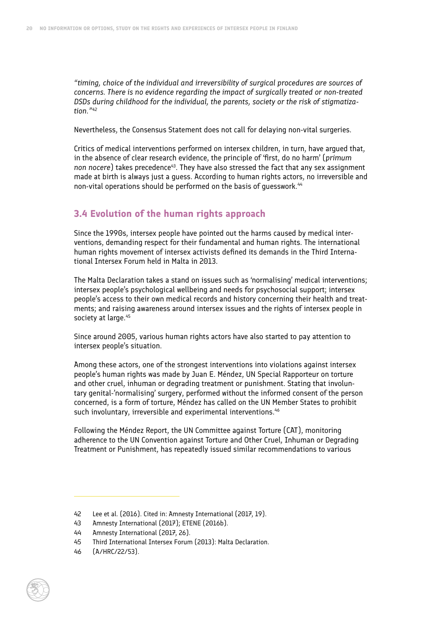<span id="page-25-0"></span>*"timing, choice of the individual and irreversibility of surgical procedures are sources of concerns. There is no evidence regarding the impact of surgically treated or non-treated DSDs during childhood for the individual, the parents, society or the risk of stigmatization."<sup>42</sup>*

Nevertheless, the Consensus Statement does not call for delaying non-vital surgeries.

Critics of medical interventions performed on intersex children, in turn, have argued that, in the absence of clear research evidence, the principle of 'first, do no harm' (*primum non nocere*) takes precedence43. They have also stressed the fact that any sex assignment made at birth is always just a guess. According to human rights actors, no irreversible and non-vital operations should be performed on the basis of quesswork.<sup>44</sup>

#### **3.4 Evolution of the human rights approach**

Since the 1990s, intersex people have pointed out the harms caused by medical interventions, demanding respect for their fundamental and human rights. The international human rights movement of intersex activists defined its demands in the Third International Intersex Forum held in Malta in 2013.

The Malta Declaration takes a stand on issues such as 'normalising' medical interventions; intersex people's psychological wellbeing and needs for psychosocial support; intersex people's access to their own medical records and history concerning their health and treatments; and raising awareness around intersex issues and the rights of intersex people in society at large.<sup>45</sup>

Since around 2005, various human rights actors have also started to pay attention to intersex people's situation.

Among these actors, one of the strongest interventions into violations against intersex people's human rights was made by Juan E. Méndez, UN Special Rapporteur on torture and other cruel, inhuman or degrading treatment or punishment. Stating that involuntary genital-'normalising' surgery, performed without the informed consent of the person concerned, is a form of torture, Méndez has called on the UN Member States to prohibit such involuntary, irreversible and experimental interventions.<sup>46</sup>

Following the Méndez Report, the UN Committee against Torture (CAT), monitoring adherence to the UN Convention against Torture and Other Cruel, Inhuman or Degrading Treatment or Punishment, has repeatedly issued similar recommendations to various

<sup>46</sup> (A/HRC/22/53).



<sup>42</sup> Lee et al. (2016). Cited in: Amnesty International (2017, 19).

<sup>43</sup> Amnesty International (2017); ETENE (2016b).

<sup>44</sup> Amnesty International (2017, 26).

<sup>45</sup> Third International Intersex Forum (2013): Malta Declaration.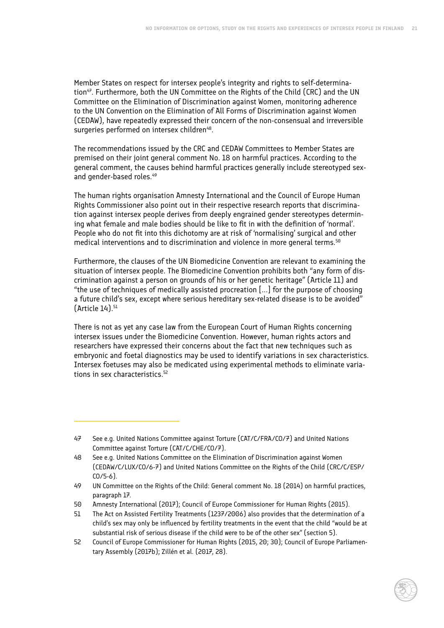Member States on respect for intersex people's integrity and rights to self-determination<sup>47</sup>. Furthermore, both the UN Committee on the Rights of the Child (CRC) and the UN Committee on the Elimination of Discrimination against Women, monitoring adherence to the UN Convention on the Elimination of All Forms of Discrimination against Women (CEDAW), have repeatedly expressed their concern of the non-consensual and irreversible surgeries performed on intersex children<sup>48</sup>.

The recommendations issued by the CRC and CEDAW Committees to Member States are premised on their joint general comment No. 18 on harmful practices. According to the general comment, the causes behind harmful practices generally include stereotyped sexand gender-based roles.<sup>49</sup>

The human rights organisation Amnesty International and the Council of Europe Human Rights Commissioner also point out in their respective research reports that discrimination against intersex people derives from deeply engrained gender stereotypes determining what female and male bodies should be like to fit in with the definition of 'normal'. People who do not fit into this dichotomy are at risk of 'normalising' surgical and other medical interventions and to discrimination and violence in more general terms.<sup>50</sup>

Furthermore, the clauses of the UN Biomedicine Convention are relevant to examining the situation of intersex people. The Biomedicine Convention prohibits both "any form of discrimination against a person on grounds of his or her genetic heritage" (Article 11) and "the use of techniques of medically assisted procreation [...] for the purpose of choosing a future child's sex, except where serious hereditary sex-related disease is to be avoided"  $[Article 14]<sup>51</sup>$ 

There is not as yet any case law from the European Court of Human Rights concerning intersex issues under the Biomedicine Convention. However, human rights actors and researchers have expressed their concerns about the fact that new techniques such as embryonic and foetal diagnostics may be used to identify variations in sex characteristics. Intersex foetuses may also be medicated using experimental methods to eliminate variations in sex characteristics.<sup>52</sup>

<sup>47</sup> See e.g. United Nations Committee against Torture (CAT/C/FRA/CO/7) and United Nations Committee against Torture (CAT/C/CHE/CO/7).

<sup>48</sup> See e.g. United Nations Committee on the Elimination of Discrimination against Women (CEDAW/C/LUX/CO/6-7) and United Nations Committee on the Rights of the Child (CRC/C/ESP/ CO/5-6).

<sup>49</sup> UN Committee on the Rights of the Child: General comment No. 18 (2014) on harmful practices, paragraph 17.

<sup>50</sup> Amnesty International (2017); Council of Europe Commissioner for Human Rights (2015).

<sup>51</sup> The Act on Assisted Fertility Treatments (1237/2006) also provides that the determination of a child's sex may only be influenced by fertility treatments in the event that the child "would be at substantial risk of serious disease if the child were to be of the other sex" (section 5).

<sup>52</sup> Council of Europe Commissioner for Human Rights (2015, 20; 30); Council of Europe Parliamentary Assembly (2017b); Zillén et al. (2017, 28).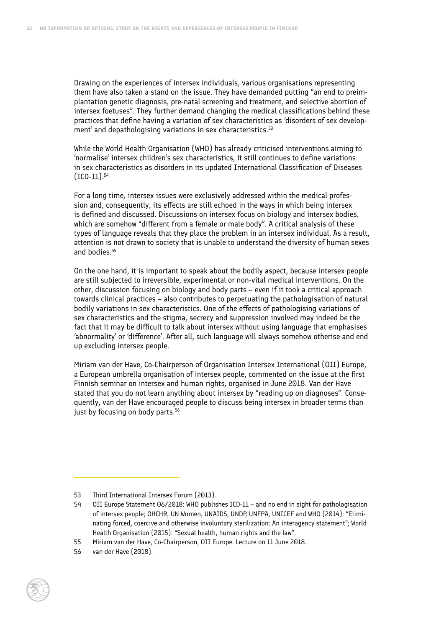Drawing on the experiences of intersex individuals, various organisations representing them have also taken a stand on the issue. They have demanded putting "an end to preimplantation genetic diagnosis, pre-natal screening and treatment, and selective abortion of intersex foetuses". They further demand changing the medical classifications behind these practices that define having a variation of sex characteristics as 'disorders of sex development' and depathologising variations in sex characteristics.<sup>53</sup>

While the World Health Organisation (WHO) has already criticised interventions aiming to 'normalise' intersex children's sex characteristics, it still continues to define variations in sex characteristics as disorders in its updated International Classification of Diseases (ICD-11).54

For a long time, intersex issues were exclusively addressed within the medical profession and, consequently, its effects are still echoed in the ways in which being intersex is defined and discussed. Discussions on intersex focus on biology and intersex bodies, which are somehow "different from a female or male body". A critical analysis of these types of language reveals that they place the problem in an intersex individual. As a result, attention is not drawn to society that is unable to understand the diversity of human sexes and bodies<sup>55</sup>

On the one hand, it is important to speak about the bodily aspect, because intersex people are still subjected to irreversible, experimental or non-vital medical interventions. On the other, discussion focusing on biology and body parts – even if it took a critical approach towards clinical practices – also contributes to perpetuating the pathologisation of natural bodily variations in sex characteristics. One of the effects of pathologising variations of sex characteristics and the stigma, secrecy and suppression involved may indeed be the fact that it may be difficult to talk about intersex without using language that emphasises 'abnormality' or 'difference'. After all, such language will always somehow otherise and end up excluding intersex people.

Miriam van der Have, Co-Chairperson of Organisation Intersex International (OII) Europe, a European umbrella organisation of intersex people, commented on the issue at the first Finnish seminar on intersex and human rights, organised in June 2018. Van der Have stated that you do not learn anything about intersex by "reading up on diagnoses". Consequently, van der Have encouraged people to discuss being intersex in broader terms than just by focusing on body parts.<sup>56</sup>

<sup>56</sup> van der Have (2018).



<sup>53</sup> Third International Intersex Forum (2013).

<sup>54</sup> OII Europe Statement 06/2018: WHO publishes ICD-11 – and no end in sight for pathologisation of intersex people; OHCHR, UN Women, UNAIDS, UNDP, UNFPA, UNICEF and WHO (2014): "Eliminating forced, coercive and otherwise involuntary sterilization: An interagency statement"; World Health Organisation (2015): "Sexual health, human rights and the law".

<sup>55</sup> Miriam van der Have, Co-Chairperson, OII Europe. Lecture on 11 June 2018.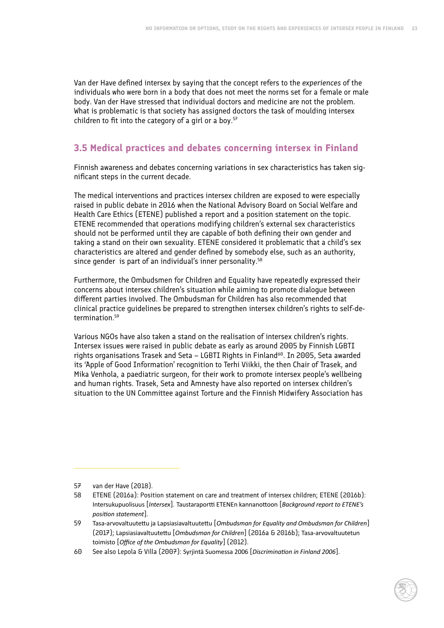<span id="page-28-0"></span>Van der Have defined intersex by saying that the concept refers to the *experiences* of the individuals who were born in a body that does not meet the norms set for a female or male body. Van der Have stressed that individual doctors and medicine are not the problem. What is problematic is that society has assigned doctors the task of moulding intersex children to fit into the category of a girl or a boy. $57$ 

#### **3.5 Medical practices and debates concerning intersex in Finland**

Finnish awareness and debates concerning variations in sex characteristics has taken significant steps in the current decade.

The medical interventions and practices intersex children are exposed to were especially raised in public debate in 2016 when the National Advisory Board on Social Welfare and Health Care Ethics (ETENE) published a report and a position statement on the topic. ETENE recommended that operations modifying children's external sex characteristics should not be performed until they are capable of both defining their own gender and taking a stand on their own sexuality. ETENE considered it problematic that a child's sex characteristics are altered and gender defined by somebody else, such as an authority, since gender is part of an individual's inner personality.<sup>58</sup>

Furthermore, the Ombudsmen for Children and Equality have repeatedly expressed their concerns about intersex children's situation while aiming to promote dialogue between different parties involved. The Ombudsman for Children has also recommended that clinical practice guidelines be prepared to strengthen intersex children's rights to self-determination.59

Various NGOs have also taken a stand on the realisation of intersex children's rights. Intersex issues were raised in public debate as early as around 2005 by Finnish LGBTI rights organisations Trasek and Seta – LGBTI Rights in Finland<sup>60</sup>. In 2005, Seta awarded its 'Apple of Good Information' recognition to Terhi Viikki, the then Chair of Trasek, and Mika Venhola, a paediatric surgeon, for their work to promote intersex people's wellbeing and human rights. Trasek, Seta and Amnesty have also reported on intersex children's situation to the UN Committee against Torture and the Finnish Midwifery Association has

<sup>57</sup> van der Have (2018).

<sup>58</sup> ETENE (2016a): Position statement on care and treatment of intersex children; ETENE (2016b): Intersukupuolisuus [*Intersex*]. Taustaraportti ETENEn kannanottoon [*Background report to ETENE's position statement*].

<sup>59</sup> Tasa-arvovaltuutettu ja Lapsiasiavaltuutettu [*Ombudsman for Equality and Ombudsman for Children*] (2017); Lapsiasiavaltuutettu [*Ombudsman for Children*] (2016a & 2016b); Tasa-arvovaltuutetun toimisto [*Office of the Ombudsman for Equality*] (2012).

<sup>60</sup> See also Lepola & Villa (2007): Syrjintä Suomessa 2006 [*Discrimination in Finland 2006*].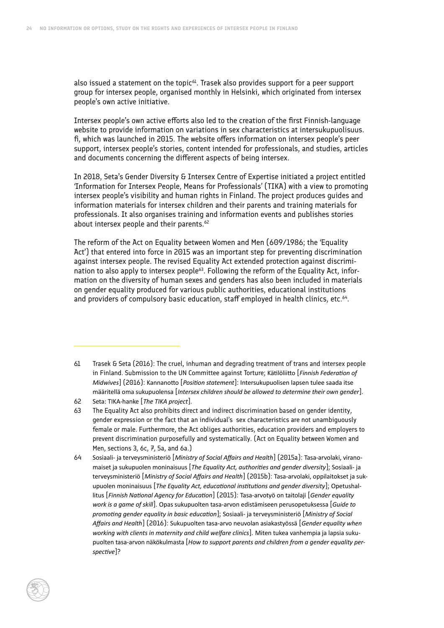also issued a statement on the topic $61$ . Trasek also provides support for a peer support group for intersex people, organised monthly in Helsinki, which originated from intersex people's own active initiative.

Intersex people's own active efforts also led to the creation of the first Finnish-language website to provide information on variations in sex characteristics at intersukupuolisuus. fi, which was launched in 2015. The website offers information on intersex people's peer support, intersex people's stories, content intended for professionals, and studies, articles and documents concerning the different aspects of being intersex.

In 2018, Seta's Gender Diversity & Intersex Centre of Expertise initiated a project entitled 'Information for Intersex People, Means for Professionals' (TIKA) with a view to promoting intersex people's visibility and human rights in Finland. The project produces guides and information materials for intersex children and their parents and training materials for professionals. It also organises training and information events and publishes stories about intersex people and their parents.<sup>62</sup>

The reform of the Act on Equality between Women and Men (609/1986; the 'Equality Act') that entered into force in 2015 was an important step for preventing discrimination against intersex people. The revised Equality Act extended protection against discrimination to also apply to intersex people<sup>63</sup>. Following the reform of the Equality Act, information on the diversity of human sexes and genders has also been included in materials on gender equality produced for various public authorities, educational institutions and providers of compulsory basic education, staff employed in health clinics, etc.<sup>64</sup>.

- 61 Trasek & Seta (2016): The cruel, inhuman and degrading treatment of trans and intersex people in Finland. Submission to the UN Committee against Torture; Kätilöliitto [*Finnish Federation of Midwives*] (2016): Kannanotto [*Position statement*]: Intersukupuolisen lapsen tulee saada itse määritellä oma sukupuolensa [*Intersex children should be allowed to determine their own gender*].
- 62 Seta: TIKA-hanke [*The TIKA project*].
- 63 The Equality Act also prohibits direct and indirect discrimination based on gender identity, gender expression or the fact that an individual's sex characteristics are not unambiguously female or male. Furthermore, the Act obliges authorities, education providers and employers to prevent discrimination purposefully and systematically. (Act on Equality between Women and Men, sections 3, 6c, 7, 5a, and 6a.)
- 64 Sosiaali- ja terveysministeriö [*Ministry of Social Affairs and Health*] (2015a): Tasa-arvolaki, viranomaiset ja sukupuolen moninaisuus [*The Equality Act, authorities and gender diversity*]; Sosiaali- ja terveysministeriö [*Ministry of Social Affairs and Health*] (2015b): Tasa-arvolaki, oppilaitokset ja sukupuolen moninaisuus [*The Equality Act, educational institutions and gender diversity*]; Opetushallitus [*Finnish National Agency for Education*] (2015): Tasa-arvotyö on taitolaji [*Gender equality work is a game of skill*]. Opas sukupuolten tasa-arvon edistämiseen perusopetuksessa [*Guide to promoting gender equality in basic education*]; Sosiaali- ja terveysministeriö [*Ministry of Social Affairs and Health*] (2016): Sukupuolten tasa-arvo neuvolan asiakastyössä [*Gender equality when working with clients in maternity and child welfare clinics*]. Miten tukea vanhempia ja lapsia sukupuolten tasa-arvon näkökulmasta [*How to support parents and children from a gender equality perspective*]?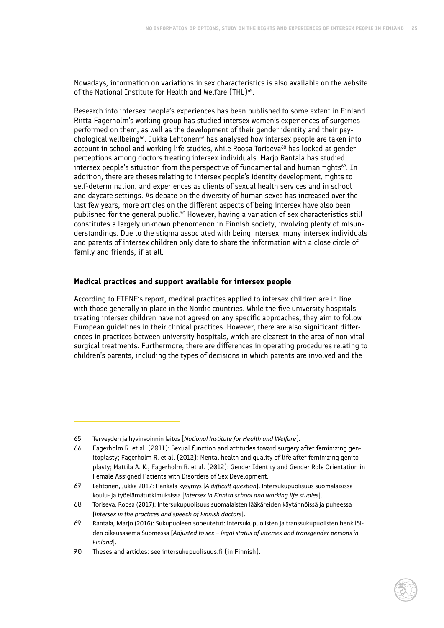Nowadays, information on variations in sex characteristics is also available on the website of the National Institute for Health and Welfare (THL)<sup>65</sup>.

Research into intersex people's experiences has been published to some extent in Finland. Riitta Fagerholm's working group has studied intersex women's experiences of surgeries performed on them, as well as the development of their gender identity and their psychological wellbeing<sup>66</sup>. Jukka Lehtonen<sup>67</sup> has analysed how intersex people are taken into account in school and working life studies, while Roosa Toriseva<sup>68</sup> has looked at gender perceptions among doctors treating intersex individuals. Marjo Rantala has studied intersex people's situation from the perspective of fundamental and human rights $69$ . In addition, there are theses relating to intersex people's identity development, rights to self-determination, and experiences as clients of sexual health services and in school and daycare settings. As debate on the diversity of human sexes has increased over the last few years, more articles on the different aspects of being intersex have also been published for the general public.<sup>70</sup> However, having a variation of sex characteristics still constitutes a largely unknown phenomenon in Finnish society, involving plenty of misunderstandings. Due to the stigma associated with being intersex, many intersex individuals and parents of intersex children only dare to share the information with a close circle of family and friends, if at all.

#### **Medical practices and support available for intersex people**

According to ETENE's report, medical practices applied to intersex children are in line with those generally in place in the Nordic countries. While the five university hospitals treating intersex children have not agreed on any specific approaches, they aim to follow European guidelines in their clinical practices. However, there are also significant differences in practices between university hospitals, which are clearest in the area of non-vital surgical treatments. Furthermore, there are differences in operating procedures relating to children's parents, including the types of decisions in which parents are involved and the

<sup>65</sup> Terveyden ja hyvinvoinnin laitos [*National Institute for Health and Welfare*].

<sup>66</sup> Fagerholm R. et al. (2011): Sexual function and attitudes toward surgery after feminizing genitoplasty; Fagerholm R. et al. (2012): Mental health and quality of life after feminizing genitoplasty; Mattila A. K., Fagerholm R. et al. (2012): Gender Identity and Gender Role Orientation in Female Assigned Patients with Disorders of Sex Development.

<sup>67</sup> Lehtonen, Jukka 2017: Hankala kysymys [*A difficult question*]. Intersukupuolisuus suomalaisissa koulu- ja työelämätutkimuksissa [*Intersex in Finnish school and working life studies*].

<sup>68</sup> Toriseva, Roosa (2017): Intersukupuolisuus suomalaisten lääkäreiden käytännöissä ja puheessa [*Intersex in the practices and speech of Finnish doctors*].

<sup>69</sup> Rantala, Marjo (2016): Sukupuoleen sopeutetut: Intersukupuolisten ja transsukupuolisten henkilöiden oikeusasema Suomessa [*Adjusted to sex ‒ legal status of intersex and transgender persons in Finland*].

<sup>70</sup> Theses and articles: see intersukupuolisuus.fi (in Finnish).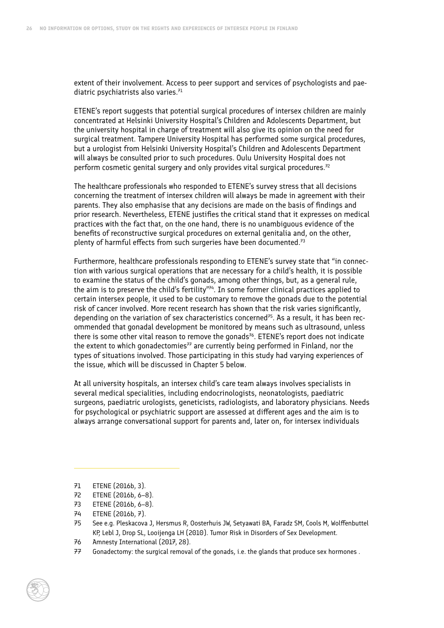extent of their involvement. Access to peer support and services of psychologists and paediatric psychiatrists also varies. $71$ 

ETENE's report suggests that potential surgical procedures of intersex children are mainly concentrated at Helsinki University Hospital's Children and Adolescents Department, but the university hospital in charge of treatment will also give its opinion on the need for surgical treatment. Tampere University Hospital has performed some surgical procedures, but a urologist from Helsinki University Hospital's Children and Adolescents Department will always be consulted prior to such procedures. Oulu University Hospital does not perform cosmetic genital surgery and only provides vital surgical procedures. $72$ 

The healthcare professionals who responded to ETENE's survey stress that all decisions concerning the treatment of intersex children will always be made in agreement with their parents. They also emphasise that any decisions are made on the basis of findings and prior research. Nevertheless, ETENE justifies the critical stand that it expresses on medical practices with the fact that, on the one hand, there is no unambiguous evidence of the benefits of reconstructive surgical procedures on external genitalia and, on the other, plenty of harmful effects from such surgeries have been documented.<sup>73</sup>

Furthermore, healthcare professionals responding to ETENE's survey state that "in connection with various surgical operations that are necessary for a child's health, it is possible to examine the status of the child's gonads, among other things, but, as a general rule, the aim is to preserve the child's fertility"<sup>74</sup>. In some former clinical practices applied to certain intersex people, it used to be customary to remove the gonads due to the potential risk of cancer involved. More recent research has shown that the risk varies significantly, depending on the variation of sex characteristics concerned $75$ . As a result, it has been recommended that gonadal development be monitored by means such as ultrasound, unless there is some other vital reason to remove the gonads<sup>76</sup>. ETENE's report does not indicate the extent to which gonadectomies $77$  are currently being performed in Finland, nor the types of situations involved. Those participating in this study had varying experiences of the issue, which will be discussed in Chapter 5 below.

At all university hospitals, an intersex child's care team always involves specialists in several medical specialities, including endocrinologists, neonatologists, paediatric surgeons, paediatric urologists, geneticists, radiologists, and laboratory physicians. Needs for psychological or psychiatric support are assessed at different ages and the aim is to always arrange conversational support for parents and, later on, for intersex individuals

76 Amnesty International (2017, 28).

<sup>71</sup> ETENE (2016b, 3).

<sup>72</sup> ETENE (2016b, 6–8).

<sup>73</sup> ETENE (2016b, 6–8).

<sup>74</sup> ETENE (2016b, 7).

<sup>75</sup> See e.g. Pleskacova J, Hersmus R, Oosterhuis JW, Setyawati BA, Faradz SM, Cools M, Wolffenbuttel KP, Lebl J, Drop SL, Looijenga LH (2010). Tumor Risk in Disorders of Sex Development.

<sup>77</sup> Gonadectomy: the surgical removal of the gonads, i.e. the glands that produce sex hormones .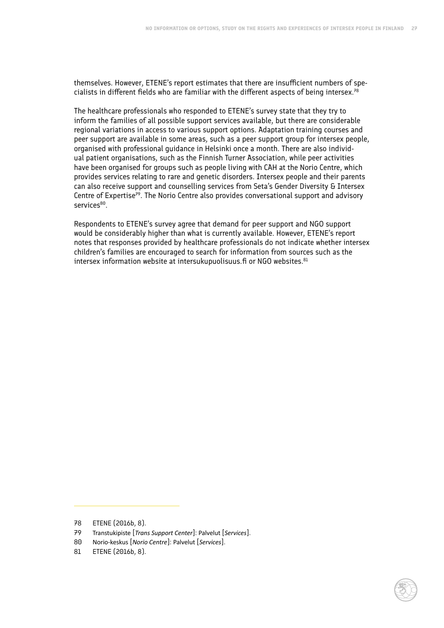themselves. However, ETENE's report estimates that there are insufficient numbers of specialists in different fields who are familiar with the different aspects of being intersex.<sup>78</sup>

The healthcare professionals who responded to ETENE's survey state that they try to inform the families of all possible support services available, but there are considerable regional variations in access to various support options. Adaptation training courses and peer support are available in some areas, such as a peer support group for intersex people, organised with professional guidance in Helsinki once a month. There are also individual patient organisations, such as the Finnish Turner Association, while peer activities have been organised for groups such as people living with CAH at the Norio Centre, which provides services relating to rare and genetic disorders. Intersex people and their parents can also receive support and counselling services from Seta's Gender Diversity & Intersex Centre of Expertise<sup>79</sup>. The Norio Centre also provides conversational support and advisory services<sup>80</sup>.

Respondents to ETENE's survey agree that demand for peer support and NGO support would be considerably higher than what is currently available. However, ETENE's report notes that responses provided by healthcare professionals do not indicate whether intersex children's families are encouraged to search for information from sources such as the intersex information website at intersukupuolisuus.fi or NGO websites. $81$ 



<sup>78</sup> ETENE (2016b, 8).

<sup>79</sup> Transtukipiste [*Trans Support Center*]: Palvelut [*Services*].

<sup>80</sup> Norio-keskus [*Norio Centre*]: Palvelut [*Services*].

<sup>81</sup> ETENE (2016b, 8).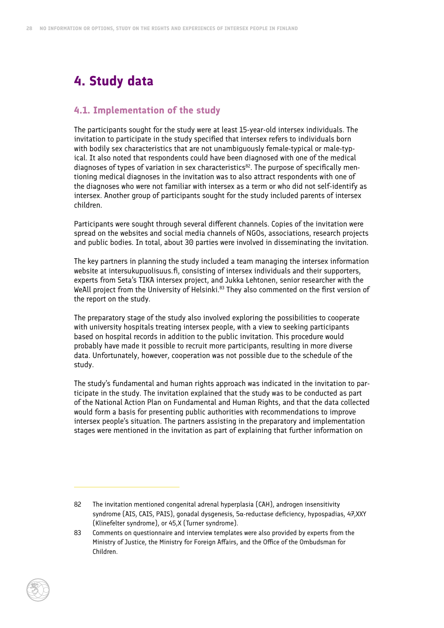# <span id="page-33-0"></span>**4. Study data**

#### **4.1. Implementation of the study**

The participants sought for the study were at least 15-year-old intersex individuals. The invitation to participate in the study specified that intersex refers to individuals born with bodily sex characteristics that are not unambiguously female-typical or male-typical. It also noted that respondents could have been diagnosed with one of the medical diagnoses of types of variation in sex characteristics<sup>82</sup>. The purpose of specifically mentioning medical diagnoses in the invitation was to also attract respondents with one of the diagnoses who were not familiar with intersex as a term or who did not self-identify as intersex. Another group of participants sought for the study included parents of intersex children.

Participants were sought through several different channels. Copies of the invitation were spread on the websites and social media channels of NGOs, associations, research projects and public bodies. In total, about 30 parties were involved in disseminating the invitation.

The key partners in planning the study included a team managing the intersex information website at intersukupuolisuus.fi, consisting of intersex individuals and their supporters, experts from Seta's TIKA intersex project, and Jukka Lehtonen, senior researcher with the WeAll project from the University of Helsinki.<sup>83</sup> They also commented on the first version of the report on the study.

The preparatory stage of the study also involved exploring the possibilities to cooperate with university hospitals treating intersex people, with a view to seeking participants based on hospital records in addition to the public invitation. This procedure would probably have made it possible to recruit more participants, resulting in more diverse data. Unfortunately, however, cooperation was not possible due to the schedule of the study.

The study's fundamental and human rights approach was indicated in the invitation to participate in the study. The invitation explained that the study was to be conducted as part of the National Action Plan on Fundamental and Human Rights, and that the data collected would form a basis for presenting public authorities with recommendations to improve intersex people's situation. The partners assisting in the preparatory and implementation stages were mentioned in the invitation as part of explaining that further information on

<sup>82</sup> The invitation mentioned congenital adrenal hyperplasia (CAH), androgen insensitivity syndrome (AIS, CAIS, PAIS), gonadal dysgenesis, 5α-reductase deficiency, hypospadias, 47,XXY (Klinefelter syndrome), or 45,X (Turner syndrome).

<sup>83</sup> Comments on questionnaire and interview templates were also provided by experts from the Ministry of Justice, the Ministry for Foreign Affairs, and the Office of the Ombudsman for Children.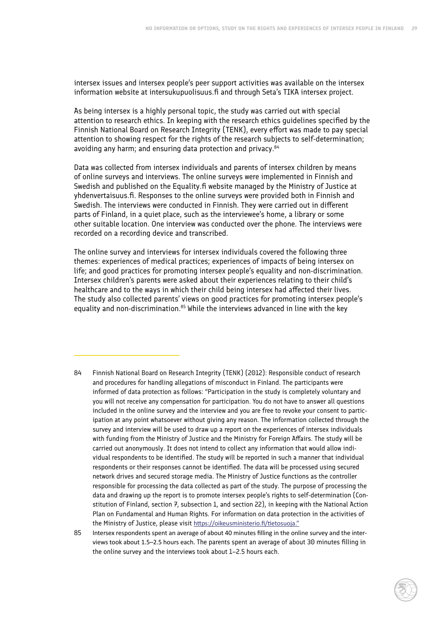intersex issues and intersex people's peer support activities was available on the intersex information website at intersukupuolisuus.fi and through Seta's TIKA intersex project.

As being intersex is a highly personal topic, the study was carried out with special attention to research ethics. In keeping with the research ethics guidelines specified by the Finnish National Board on Research Integrity (TENK), every effort was made to pay special attention to showing respect for the rights of the research subjects to self-determination; avoiding any harm; and ensuring data protection and privacy.<sup>84</sup>

Data was collected from intersex individuals and parents of intersex children by means of online surveys and interviews. The online surveys were implemented in Finnish and Swedish and published on the Equality.fi website managed by the Ministry of Justice at yhdenvertaisuus.fi. Responses to the online surveys were provided both in Finnish and Swedish. The interviews were conducted in Finnish. They were carried out in different parts of Finland, in a quiet place, such as the interviewee's home, a library or some other suitable location. One interview was conducted over the phone. The interviews were recorded on a recording device and transcribed.

The online survey and interviews for intersex individuals covered the following three themes: experiences of medical practices; experiences of impacts of being intersex on life; and good practices for promoting intersex people's equality and non-discrimination. Intersex children's parents were asked about their experiences relating to their child's healthcare and to the ways in which their child being intersex had affected their lives. The study also collected parents' views on good practices for promoting intersex people's equality and non-discrimination.<sup>85</sup> While the interviews advanced in line with the key

- 84 Finnish National Board on Research Integrity (TENK) (2012): Responsible conduct of research and procedures for handling allegations of misconduct in Finland. The participants were informed of data protection as follows: "Participation in the study is completely voluntary and you will not receive any compensation for participation. You do not have to answer all questions included in the online survey and the interview and you are free to revoke your consent to participation at any point whatsoever without giving any reason. The information collected through the survey and interview will be used to draw up a report on the experiences of intersex individuals with funding from the Ministry of Justice and the Ministry for Foreign Affairs. The study will be carried out anonymously. It does not intend to collect any information that would allow individual respondents to be identified. The study will be reported in such a manner that individual respondents or their responses cannot be identified. The data will be processed using secured network drives and secured storage media. The Ministry of Justice functions as the controller responsible for processing the data collected as part of the study. The purpose of processing the data and drawing up the report is to promote intersex people's rights to self-determination (Constitution of Finland, section 7, subsection 1, and section 22), in keeping with the National Action Plan on Fundamental and Human Rights. For information on data protection in the activities of the Ministry of Justice, please visit <https://oikeusministerio.fi/tietosuoja>."
- 85 Intersex respondents spent an average of about 40 minutes filling in the online survey and the interviews took about 1.5–2.5 hours each. The parents spent an average of about 30 minutes filling in the online survey and the interviews took about 1–2.5 hours each.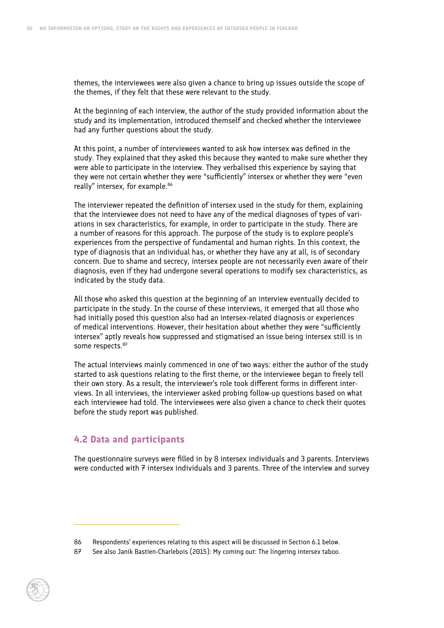<span id="page-35-0"></span>themes, the interviewees were also given a chance to bring up issues outside the scope of the themes, if they felt that these were relevant to the study.

At the beginning of each interview, the author of the study provided information about the study and its implementation, introduced themself and checked whether the interviewee had any further questions about the study.

At this point, a number of interviewees wanted to ask how intersex was defined in the study. They explained that they asked this because they wanted to make sure whether they were able to participate in the interview. They verbalised this experience by saying that they were not certain whether they were "sufficiently" intersex or whether they were "even really" intersex, for example.<sup>86</sup>

The interviewer repeated the definition of intersex used in the study for them, explaining that the interviewee does not need to have any of the medical diagnoses of types of variations in sex characteristics, for example, in order to participate in the study. There are a number of reasons for this approach. The purpose of the study is to explore people's experiences from the perspective of fundamental and human rights. In this context, the type of diagnosis that an individual has, or whether they have any at all, is of secondary concern. Due to shame and secrecy, intersex people are not necessarily even aware of their diagnosis, even if they had undergone several operations to modify sex characteristics, as indicated by the study data.

All those who asked this question at the beginning of an interview eventually decided to participate in the study. In the course of these interviews, it emerged that all those who had initially posed this question also had an intersex-related diagnosis or experiences of medical interventions. However, their hesitation about whether they were "sufficiently intersex" aptly reveals how suppressed and stigmatised an issue being intersex still is in some respects. 87

The actual interviews mainly commenced in one of two ways: either the author of the study started to ask questions relating to the first theme, or the interviewee began to freely tell their own story. As a result, the interviewer's role took different forms in different interviews. In all interviews, the interviewer asked probing follow-up questions based on what each interviewee had told. The interviewees were also given a chance to check their quotes before the study report was published.

#### **4.2 Data and participants**

The questionnaire surveys were filled in by 8 intersex individuals and 3 parents. Interviews were conducted with  $\overline{z}$  intersex individuals and 3 parents. Three of the interview and survey

<sup>86</sup> Respondents' experiences relating to this aspect will be discussed in Section 6.1 below.

<sup>87</sup> See also Janik Bastien-Charlebois (2015): My coming out: The lingering intersex taboo.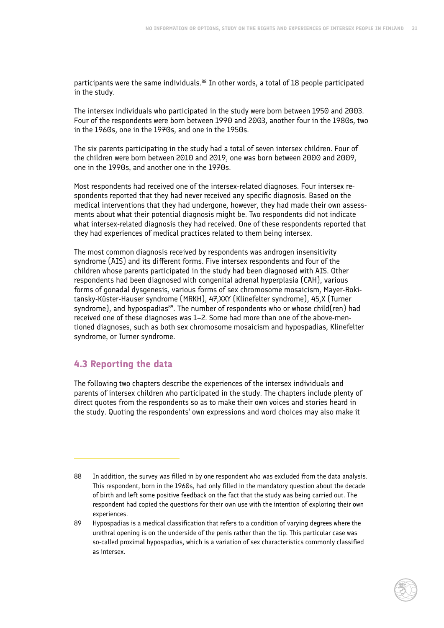participants were the same individuals.<sup>88</sup> In other words, a total of 18 people participated in the study.

The intersex individuals who participated in the study were born between 1950 and 2003. Four of the respondents were born between 1990 and 2003, another four in the 1980s, two in the 1960s, one in the 1970s, and one in the 1950s.

The six parents participating in the study had a total of seven intersex children. Four of the children were born between 2010 and 2019, one was born between 2000 and 2009, one in the 1990s, and another one in the 1970s.

Most respondents had received one of the intersex-related diagnoses. Four intersex respondents reported that they had never received any specific diagnosis. Based on the medical interventions that they had undergone, however, they had made their own assessments about what their potential diagnosis might be. Two respondents did not indicate what intersex-related diagnosis they had received. One of these respondents reported that they had experiences of medical practices related to them being intersex.

The most common diagnosis received by respondents was androgen insensitivity syndrome (AIS) and its different forms. Five intersex respondents and four of the children whose parents participated in the study had been diagnosed with AIS. Other respondents had been diagnosed with congenital adrenal hyperplasia (CAH), various forms of gonadal dysgenesis, various forms of sex chromosome mosaicism, Mayer-Rokitansky-Küster-Hauser syndrome (MRKH), 47,XXY (Klinefelter syndrome), 45,X (Turner syndrome), and hypospadias<sup>89</sup>. The number of respondents who or whose child(ren) had received one of these diagnoses was 1–2. Some had more than one of the above-mentioned diagnoses, such as both sex chromosome mosaicism and hypospadias, Klinefelter syndrome, or Turner syndrome.

# **4.3 Reporting the data**

The following two chapters describe the experiences of the intersex individuals and parents of intersex children who participated in the study. The chapters include plenty of direct quotes from the respondents so as to make their own voices and stories heard in the study. Quoting the respondents' own expressions and word choices may also make it

<sup>88</sup> In addition, the survey was filled in by one respondent who was excluded from the data analysis. This respondent, born in the 1960s, had only filled in the mandatory question about the decade of birth and left some positive feedback on the fact that the study was being carried out. The respondent had copied the questions for their own use with the intention of exploring their own experiences.

<sup>89</sup> Hypospadias is a medical classification that refers to a condition of varying degrees where the urethral opening is on the underside of the penis rather than the tip. This particular case was so-called proximal hypospadias, which is a variation of sex characteristics commonly classified as intersex.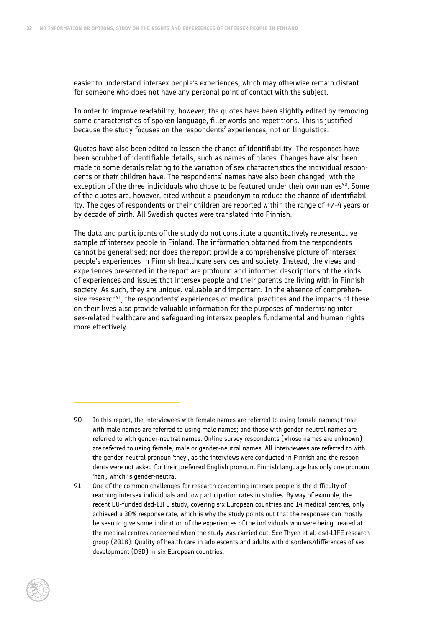easier to understand intersex people's experiences, which may otherwise remain distant for someone who does not have any personal point of contact with the subject.

In order to improve readability, however, the quotes have been slightly edited by removing some characteristics of spoken language, filler words and repetitions. This is justified because the study focuses on the respondents' experiences, not on linguistics.

Quotes have also been edited to lessen the chance of identifiability. The responses have been scrubbed of identifiable details, such as names of places. Changes have also been made to some details relating to the variation of sex characteristics the individual respondents or their children have. The respondents' names have also been changed, with the exception of the three individuals who chose to be featured under their own names<sup>90</sup>. Some of the quotes are, however, cited without a pseudonym to reduce the chance of identifiability. The ages of respondents or their children are reported within the range of +/-4 years or by decade of birth. All Swedish quotes were translated into Finnish.

The data and participants of the study do not constitute a quantitatively representative sample of intersex people in Finland. The information obtained from the respondents cannot be generalised; nor does the report provide a comprehensive picture of intersex people's experiences in Finnish healthcare services and society. Instead, the views and experiences presented in the report are profound and informed descriptions of the kinds of experiences and issues that intersex people and their parents are living with in Finnish society. As such, they are unique, valuable and important. In the absence of comprehensive research<sup>91</sup>, the respondents' experiences of medical practices and the impacts of these on their lives also provide valuable information for the purposes of modernising intersex-related healthcare and safeguarding intersex people's fundamental and human rights more effectively.

- 90 In this report, the interviewees with female names are referred to using female names; those with male names are referred to using male names; and those with gender-neutral names are referred to with gender-neutral names. Online survey respondents (whose names are unknown) are referred to using female, male or gender-neutral names. All interviewees are referred to with the gender-neutral pronoun 'they', as the interviews were conducted in Finnish and the respondents were not asked for their preferred English pronoun. Finnish language has only one pronoun 'hän', which is gender-neutral.
- 91 One of the common challenges for research concerning intersex people is the difficulty of reaching intersex individuals and low participation rates in studies. By way of example, the recent EU-funded dsd-LIFE study, covering six European countries and 14 medical centres, only achieved a 30% response rate, which is why the study points out that the responses can mostly be seen to give some indication of the experiences of the individuals who were being treated at the medical centres concerned when the study was carried out. See Thyen et al. dsd-LIFE research group (2018): Quality of health care in adolescents and adults with disorders/differences of sex development (DSD) in six European countries.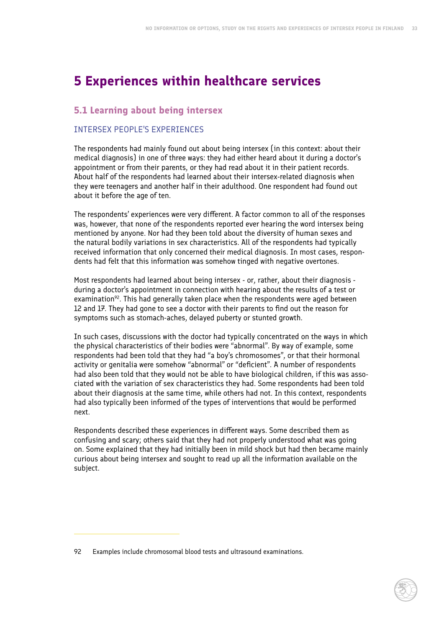# **5 Experiences within healthcare services**

# **5.1 Learning about being intersex**

## INTERSEX PEOPLE'S EXPERIENCES

The respondents had mainly found out about being intersex (in this context: about their medical diagnosis) in one of three ways: they had either heard about it during a doctor's appointment or from their parents, or they had read about it in their patient records. About half of the respondents had learned about their intersex-related diagnosis when they were teenagers and another half in their adulthood. One respondent had found out about it before the age of ten.

The respondents' experiences were very different. A factor common to all of the responses was, however, that none of the respondents reported ever hearing the word intersex being mentioned by anyone. Nor had they been told about the diversity of human sexes and the natural bodily variations in sex characteristics. All of the respondents had typically received information that only concerned their medical diagnosis. In most cases, respondents had felt that this information was somehow tinged with negative overtones.

Most respondents had learned about being intersex - or, rather, about their diagnosis during a doctor's appointment in connection with hearing about the results of a test or examination<sup>92</sup>. This had generally taken place when the respondents were aged between 12 and 17. They had gone to see a doctor with their parents to find out the reason for symptoms such as stomach-aches, delayed puberty or stunted growth.

In such cases, discussions with the doctor had typically concentrated on the ways in which the physical characteristics of their bodies were "abnormal". By way of example, some respondents had been told that they had "a boy's chromosomes", or that their hormonal activity or genitalia were somehow "abnormal" or "deficient". A number of respondents had also been told that they would not be able to have biological children, if this was associated with the variation of sex characteristics they had. Some respondents had been told about their diagnosis at the same time, while others had not. In this context, respondents had also typically been informed of the types of interventions that would be performed next.

Respondents described these experiences in different ways. Some described them as confusing and scary; others said that they had not properly understood what was going on. Some explained that they had initially been in mild shock but had then became mainly curious about being intersex and sought to read up all the information available on the subject.

<sup>92</sup> Examples include chromosomal blood tests and ultrasound examinations.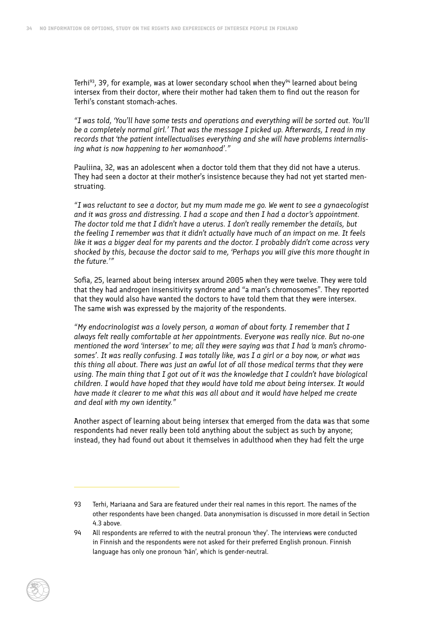Terhi<sup>93</sup>, 39, for example, was at lower secondary school when they<sup>94</sup> learned about being intersex from their doctor, where their mother had taken them to find out the reason for Terhi's constant stomach-aches.

*"I was told, 'You'll have some tests and operations and everything will be sorted out. You'll be a completely normal girl.' That was the message I picked up. Afterwards, I read in my records that 'the patient intellectualises everything and she will have problems internalising what is now happening to her womanhood'."*

Pauliina, 32, was an adolescent when a doctor told them that they did not have a uterus. They had seen a doctor at their mother's insistence because they had not yet started menstruating.

*"I was reluctant to see a doctor, but my mum made me go. We went to see a gynaecologist and it was gross and distressing. I had a scope and then I had a doctor's appointment. The doctor told me that I didn't have a uterus. I don't really remember the details, but the feeling I remember was that it didn't actually have much of an impact on me. It feels like it was a bigger deal for my parents and the doctor. I probably didn't come across very shocked by this, because the doctor said to me, 'Perhaps you will give this more thought in the future.'"*

Sofia, 25, learned about being intersex around 2005 when they were twelve. They were told that they had androgen insensitivity syndrome and "a man's chromosomes". They reported that they would also have wanted the doctors to have told them that they were intersex. The same wish was expressed by the majority of the respondents.

*"My endocrinologist was a lovely person, a woman of about forty. I remember that I always felt really comfortable at her appointments. Everyone was really nice. But no-one mentioned the word 'intersex' to me; all they were saying was that I had 'a man's chromosomes'. It was really confusing. I was totally like, was I a girl or a boy now, or what was this thing all about. There was just an awful lot of all those medical terms that they were using. The main thing that I got out of it was the knowledge that I couldn't have biological children. I would have hoped that they would have told me about being intersex. It would have made it clearer to me what this was all about and it would have helped me create and deal with my own identity."*

Another aspect of learning about being intersex that emerged from the data was that some respondents had never really been told anything about the subject as such by anyone; instead, they had found out about it themselves in adulthood when they had felt the urge

<sup>93</sup> Terhi, Mariaana and Sara are featured under their real names in this report. The names of the other respondents have been changed. Data anonymisation is discussed in more detail in Section 4.3 above.

<sup>94</sup> All respondents are referred to with the neutral pronoun 'they'. The interviews were conducted in Finnish and the respondents were not asked for their preferred English pronoun. Finnish language has only one pronoun 'hän', which is gender-neutral.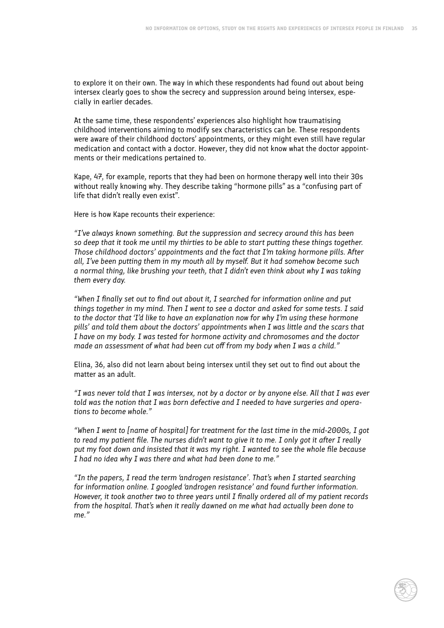to explore it on their own. The way in which these respondents had found out about being intersex clearly goes to show the secrecy and suppression around being intersex, especially in earlier decades.

At the same time, these respondents' experiences also highlight how traumatising childhood interventions aiming to modify sex characteristics can be. These respondents were aware of their childhood doctors' appointments, or they might even still have regular medication and contact with a doctor. However, they did not know what the doctor appointments or their medications pertained to.

Kape, 47, for example, reports that they had been on hormone therapy well into their 30s without really knowing why. They describe taking "hormone pills" as a "confusing part of life that didn't really even exist".

Here is how Kape recounts their experience:

*"I've always known something. But the suppression and secrecy around this has been so deep that it took me until my thirties to be able to start putting these things together. Those childhood doctors' appointments and the fact that I'm taking hormone pills. After all, I've been putting them in my mouth all by myself. But it had somehow become such a normal thing, like brushing your teeth, that I didn't even think about why I was taking them every day.*

*"When I finally set out to find out about it, I searched for information online and put things together in my mind. Then I went to see a doctor and asked for some tests. I said to the doctor that 'I'd like to have an explanation now for why I'm using these hormone pills' and told them about the doctors' appointments when I was little and the scars that I have on my body. I was tested for hormone activity and chromosomes and the doctor made an assessment of what had been cut off from my body when I was a child."*

Elina, 36, also did not learn about being intersex until they set out to find out about the matter as an adult.

*"I was never told that I was intersex, not by a doctor or by anyone else. All that I was ever told was the notion that I was born defective and I needed to have surgeries and operations to become whole."*

*"When I went to [name of hospital] for treatment for the last time in the mid-2000s, I got to read my patient file. The nurses didn't want to give it to me. I only got it after I really put my foot down and insisted that it was my right. I wanted to see the whole file because I had no idea why I was there and what had been done to me."*

*"In the papers, I read the term 'androgen resistance'. That's when I started searching for information online. I googled 'androgen resistance' and found further information. However, it took another two to three years until I finally ordered all of my patient records from the hospital. That's when it really dawned on me what had actually been done to me."*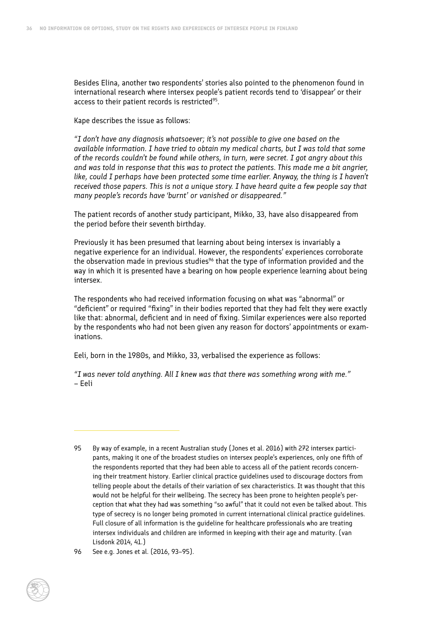Besides Elina, another two respondents' stories also pointed to the phenomenon found in international research where intersex people's patient records tend to 'disappear' or their access to their patient records is restricted<sup>95</sup>.

Kape describes the issue as follows:

*"I don't have any diagnosis whatsoever; it's not possible to give one based on the available information. I have tried to obtain my medical charts, but I was told that some of the records couldn't be found while others, in turn, were secret. I got angry about this and was told in response that this was to protect the patients. This made me a bit angrier,*  like, could I perhaps have been protected some time earlier. Anyway, the thing is I haven't *received those papers. This is not a unique story. I have heard quite a few people say that many people's records have 'burnt' or vanished or disappeared."*

The patient records of another study participant, Mikko, 33, have also disappeared from the period before their seventh birthday.

Previously it has been presumed that learning about being intersex is invariably a negative experience for an individual. However, the respondents' experiences corroborate the observation made in previous studies<sup>96</sup> that the type of information provided and the way in which it is presented have a bearing on how people experience learning about being intersex.

The respondents who had received information focusing on what was "abnormal" or "deficient" or required "fixing" in their bodies reported that they had felt they were exactly like that: abnormal, deficient and in need of fixing. Similar experiences were also reported by the respondents who had not been given any reason for doctors' appointments or examinations.

Eeli, born in the 1980s, and Mikko, 33, verbalised the experience as follows:

*"I was never told anything. All I knew was that there was something wrong with me."*  – Eeli

<sup>95</sup> By way of example, in a recent Australian study (Jones et al. 2016) with 272 intersex participants, making it one of the broadest studies on intersex people's experiences, only one fifth of the respondents reported that they had been able to access all of the patient records concerning their treatment history. Earlier clinical practice guidelines used to discourage doctors from telling people about the details of their variation of sex characteristics. It was thought that this would not be helpful for their wellbeing. The secrecy has been prone to heighten people's perception that what they had was something "so awful" that it could not even be talked about. This type of secrecy is no longer being promoted in current international clinical practice guidelines. Full closure of all information is the guideline for healthcare professionals who are treating intersex individuals and children are informed in keeping with their age and maturity. (van Lisdonk 2014, 41.)

<sup>96</sup> See e.g. Jones et al. (2016, 93–95).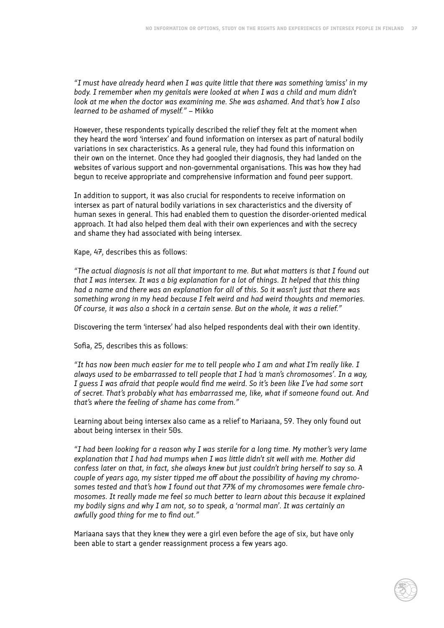*"I must have already heard when I was quite little that there was something 'amiss' in my body. I remember when my genitals were looked at when I was a child and mum didn't look at me when the doctor was examining me. She was ashamed. And that's how I also learned to be ashamed of myself."* – Mikko

However, these respondents typically described the relief they felt at the moment when they heard the word 'intersex' and found information on intersex as part of natural bodily variations in sex characteristics. As a general rule, they had found this information on their own on the internet. Once they had googled their diagnosis, they had landed on the websites of various support and non-governmental organisations. This was how they had begun to receive appropriate and comprehensive information and found peer support.

In addition to support, it was also crucial for respondents to receive information on intersex as part of natural bodily variations in sex characteristics and the diversity of human sexes in general. This had enabled them to question the disorder-oriented medical approach. It had also helped them deal with their own experiences and with the secrecy and shame they had associated with being intersex.

Kape, 47, describes this as follows:

*"The actual diagnosis is not all that important to me. But what matters is that I found out that I was intersex. It was a big explanation for a lot of things. It helped that this thing had a name and there was an explanation for all of this. So it wasn't just that there was something wrong in my head because I felt weird and had weird thoughts and memories. Of course, it was also a shock in a certain sense. But on the whole, it was a relief."*

Discovering the term 'intersex' had also helped respondents deal with their own identity.

Sofia, 25, describes this as follows:

*"It has now been much easier for me to tell people who I am and what I'm really like. I always used to be embarrassed to tell people that I had 'a man's chromosomes'. In a way, I guess I was afraid that people would find me weird. So it's been like I've had some sort of secret. That's probably what has embarrassed me, like, what if someone found out. And that's where the feeling of shame has come from."*

Learning about being intersex also came as a relief to Mariaana, 59. They only found out about being intersex in their 50s.

*"I had been looking for a reason why I was sterile for a long time. My mother's very lame explanation that I had had mumps when I was little didn't sit well with me. Mother did confess later on that, in fact, she always knew but just couldn't bring herself to say so. A couple of years ago, my sister tipped me off about the possibility of having my chromosomes tested and that's how I found out that 77% of my chromosomes were female chromosomes. It really made me feel so much better to learn about this because it explained my bodily signs and why I am not, so to speak, a 'normal man'. It was certainly an awfully good thing for me to find out."*

Mariaana says that they knew they were a girl even before the age of six, but have only been able to start a gender reassignment process a few years ago.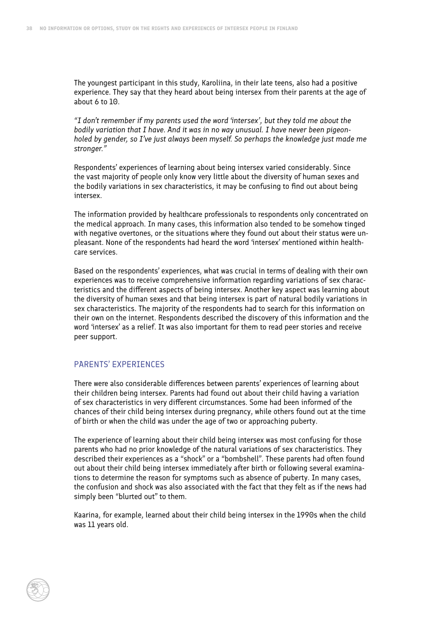The youngest participant in this study, Karoliina, in their late teens, also had a positive experience. They say that they heard about being intersex from their parents at the age of about 6 to 10.

*"I don't remember if my parents used the word 'intersex', but they told me about the bodily variation that I have. And it was in no way unusual. I have never been pigeonholed by gender, so I've just always been myself. So perhaps the knowledge just made me stronger."*

Respondents' experiences of learning about being intersex varied considerably. Since the vast majority of people only know very little about the diversity of human sexes and the bodily variations in sex characteristics, it may be confusing to find out about being intersex.

The information provided by healthcare professionals to respondents only concentrated on the medical approach. In many cases, this information also tended to be somehow tinged with negative overtones, or the situations where they found out about their status were unpleasant. None of the respondents had heard the word 'intersex' mentioned within healthcare services.

Based on the respondents' experiences, what was crucial in terms of dealing with their own experiences was to receive comprehensive information regarding variations of sex characteristics and the different aspects of being intersex. Another key aspect was learning about the diversity of human sexes and that being intersex is part of natural bodily variations in sex characteristics. The majority of the respondents had to search for this information on their own on the internet. Respondents described the discovery of this information and the word 'intersex' as a relief. It was also important for them to read peer stories and receive peer support.

#### PARENTS' EXPERIENCES

There were also considerable differences between parents' experiences of learning about their children being intersex. Parents had found out about their child having a variation of sex characteristics in very different circumstances. Some had been informed of the chances of their child being intersex during pregnancy, while others found out at the time of birth or when the child was under the age of two or approaching puberty.

The experience of learning about their child being intersex was most confusing for those parents who had no prior knowledge of the natural variations of sex characteristics. They described their experiences as a "shock" or a "bombshell". These parents had often found out about their child being intersex immediately after birth or following several examinations to determine the reason for symptoms such as absence of puberty. In many cases, the confusion and shock was also associated with the fact that they felt as if the news had simply been "blurted out" to them.

Kaarina, for example, learned about their child being intersex in the 1990s when the child was 11 years old.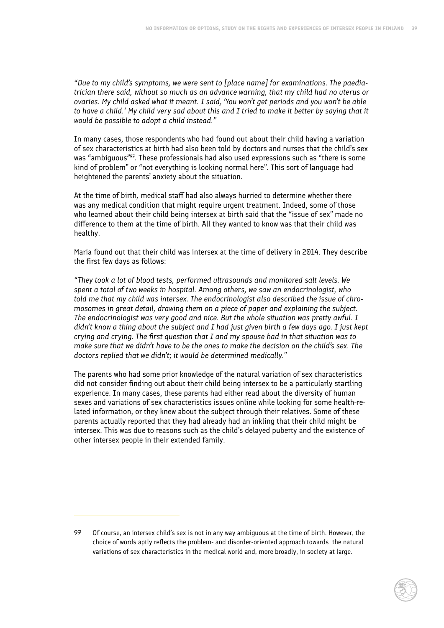*"Due to my child's symptoms, we were sent to [place name] for examinations. The paediatrician there said, without so much as an advance warning, that my child had no uterus or ovaries. My child asked what it meant. I said, 'You won't get periods and you won't be able to have a child.' My child very sad about this and I tried to make it better by saying that it would be possible to adopt a child instead."*

In many cases, those respondents who had found out about their child having a variation of sex characteristics at birth had also been told by doctors and nurses that the child's sex was "ambiguous"<sup>97</sup>. These professionals had also used expressions such as "there is some kind of problem" or "not everything is looking normal here". This sort of language had heightened the parents' anxiety about the situation.

At the time of birth, medical staff had also always hurried to determine whether there was any medical condition that might require urgent treatment. Indeed, some of those who learned about their child being intersex at birth said that the "issue of sex" made no difference to them at the time of birth. All they wanted to know was that their child was healthy.

Maria found out that their child was intersex at the time of delivery in 2014. They describe the first few days as follows:

*"They took a lot of blood tests, performed ultrasounds and monitored salt levels. We spent a total of two weeks in hospital. Among others, we saw an endocrinologist, who told me that my child was intersex. The endocrinologist also described the issue of chromosomes in great detail, drawing them on a piece of paper and explaining the subject. The endocrinologist was very good and nice. But the whole situation was pretty awful. I didn't know a thing about the subject and I had just given birth a few days ago. I just kept crying and crying. The first question that I and my spouse had in that situation was to make sure that we didn't have to be the ones to make the decision on the child's sex. The doctors replied that we didn't; it would be determined medically."*

The parents who had some prior knowledge of the natural variation of sex characteristics did not consider finding out about their child being intersex to be a particularly startling experience. In many cases, these parents had either read about the diversity of human sexes and variations of sex characteristics issues online while looking for some health-related information, or they knew about the subject through their relatives. Some of these parents actually reported that they had already had an inkling that their child might be intersex. This was due to reasons such as the child's delayed puberty and the existence of other intersex people in their extended family.

<sup>97</sup> Of course, an intersex child's sex is not in any way ambiguous at the time of birth. However, the choice of words aptly reflects the problem- and disorder-oriented approach towards the natural variations of sex characteristics in the medical world and, more broadly, in society at large.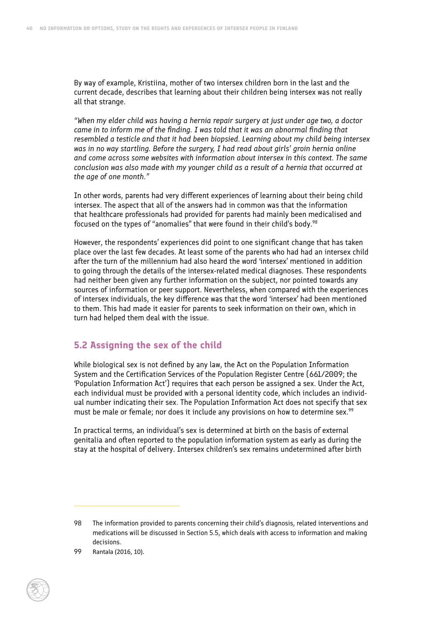By way of example, Kristiina, mother of two intersex children born in the last and the current decade, describes that learning about their children being intersex was not really all that strange.

*"When my elder child was having a hernia repair surgery at just under age two, a doctor came in to inform me of the finding. I was told that it was an abnormal finding that resembled a testicle and that it had been biopsied. Learning about my child being intersex was in no way startling. Before the surgery, I had read about girls' groin hernia online and come across some websites with information about intersex in this context. The same conclusion was also made with my younger child as a result of a hernia that occurred at the age of one month."*

In other words, parents had very different experiences of learning about their being child intersex. The aspect that all of the answers had in common was that the information that healthcare professionals had provided for parents had mainly been medicalised and focused on the types of "anomalies" that were found in their child's body.<sup>98</sup>

However, the respondents' experiences did point to one significant change that has taken place over the last few decades. At least some of the parents who had had an intersex child after the turn of the millennium had also heard the word 'intersex' mentioned in addition to going through the details of the intersex-related medical diagnoses. These respondents had neither been given any further information on the subject, nor pointed towards any sources of information or peer support. Nevertheless, when compared with the experiences of intersex individuals, the key difference was that the word 'intersex' had been mentioned to them. This had made it easier for parents to seek information on their own, which in turn had helped them deal with the issue.

## **5.2 Assigning the sex of the child**

While biological sex is not defined by any law, the Act on the Population Information System and the Certification Services of the Population Register Centre (661/2009; the 'Population Information Act') requires that each person be assigned a sex. Under the Act, each individual must be provided with a personal identity code, which includes an individual number indicating their sex. The Population Information Act does not specify that sex must be male or female; nor does it include any provisions on how to determine sex.<sup>99</sup>

In practical terms, an individual's sex is determined at birth on the basis of external genitalia and often reported to the population information system as early as during the stay at the hospital of delivery. Intersex children's sex remains undetermined after birth

<sup>98</sup> The information provided to parents concerning their child's diagnosis, related interventions and medications will be discussed in Section 5.5, which deals with access to information and making decisions.

<sup>99</sup> Rantala (2016, 10).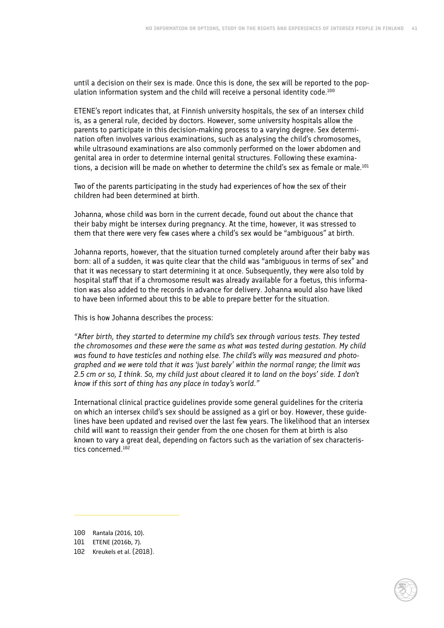until a decision on their sex is made. Once this is done, the sex will be reported to the population information system and the child will receive a personal identity code.<sup>100</sup>

ETENE's report indicates that, at Finnish university hospitals, the sex of an intersex child is, as a general rule, decided by doctors. However, some university hospitals allow the parents to participate in this decision-making process to a varying degree. Sex determination often involves various examinations, such as analysing the child's chromosomes, while ultrasound examinations are also commonly performed on the lower abdomen and genital area in order to determine internal genital structures. Following these examinations, a decision will be made on whether to determine the child's sex as female or male.<sup>101</sup>

Two of the parents participating in the study had experiences of how the sex of their children had been determined at birth.

Johanna, whose child was born in the current decade, found out about the chance that their baby might be intersex during pregnancy. At the time, however, it was stressed to them that there were very few cases where a child's sex would be "ambiguous" at birth.

Johanna reports, however, that the situation turned completely around after their baby was born: all of a sudden, it was quite clear that the child was "ambiguous in terms of sex" and that it was necessary to start determining it at once. Subsequently, they were also told by hospital staff that if a chromosome result was already available for a foetus, this information was also added to the records in advance for delivery. Johanna would also have liked to have been informed about this to be able to prepare better for the situation.

This is how Johanna describes the process:

*"After birth, they started to determine my child's sex through various tests. They tested the chromosomes and these were the same as what was tested during gestation. My child was found to have testicles and nothing else. The child's willy was measured and photographed and we were told that it was 'just barely' within the normal range; the limit was 2.5 cm or so, I think. So, my child just about cleared it to land on the boys' side. I don't know if this sort of thing has any place in today's world."*

International clinical practice guidelines provide some general guidelines for the criteria on which an intersex child's sex should be assigned as a girl or boy. However, these guidelines have been updated and revised over the last few years. The likelihood that an intersex child will want to reassign their gender from the one chosen for them at birth is also known to vary a great deal, depending on factors such as the variation of sex characteristics concerned.<sup>102</sup>

<sup>100</sup> Rantala (2016, 10).

<sup>101</sup> ETENE (2016b, 7).

<sup>102</sup> Kreukels et al. (2018).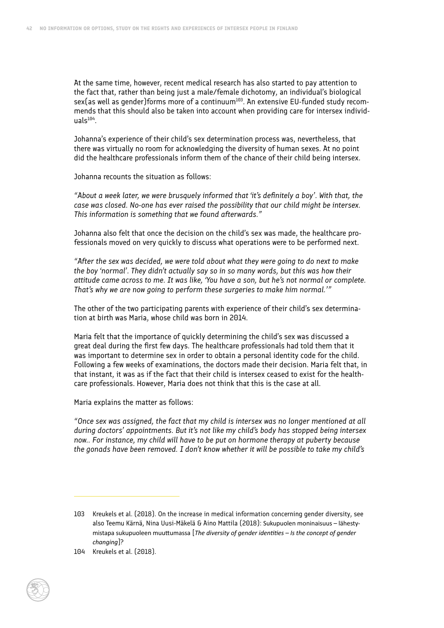At the same time, however, recent medical research has also started to pay attention to the fact that, rather than being just a male/female dichotomy, an individual's biological  $sex(as well as gender) forms more of a continuum<sup>103</sup>. An extensive EU-fundred study recom$ mends that this should also be taken into account when providing care for intersex individ $u$ als $104$ .

Johanna's experience of their child's sex determination process was, nevertheless, that there was virtually no room for acknowledging the diversity of human sexes. At no point did the healthcare professionals inform them of the chance of their child being intersex.

Johanna recounts the situation as follows:

*"About a week later, we were brusquely informed that 'it's definitely a boy'. With that, the case was closed. No-one has ever raised the possibility that our child might be intersex. This information is something that we found afterwards."*

Johanna also felt that once the decision on the child's sex was made, the healthcare professionals moved on very quickly to discuss what operations were to be performed next.

*"After the sex was decided, we were told about what they were going to do next to make the boy 'normal'. They didn't actually say so in so many words, but this was how their attitude came across to me. It was like, 'You have a son, but he's not normal or complete. That's why we are now going to perform these surgeries to make him normal.'"*

The other of the two participating parents with experience of their child's sex determination at birth was Maria, whose child was born in 2014.

Maria felt that the importance of quickly determining the child's sex was discussed a great deal during the first few days. The healthcare professionals had told them that it was important to determine sex in order to obtain a personal identity code for the child. Following a few weeks of examinations, the doctors made their decision. Maria felt that, in that instant, it was as if the fact that their child is intersex ceased to exist for the healthcare professionals. However, Maria does not think that this is the case at all.

Maria explains the matter as follows:

*"Once sex was assigned, the fact that my child is intersex was no longer mentioned at all during doctors' appointments. But it's not like my child's body has stopped being intersex now.. For instance, my child will have to be put on hormone therapy at puberty because the gonads have been removed. I don't know whether it will be possible to take my child's* 

<sup>103</sup> Kreukels et al. (2018). On the increase in medical information concerning gender diversity, see also Teemu Kärnä, Nina Uusi-Mäkelä & Aino Mattila (2018): Sukupuolen moninaisuus – lähestymistapa sukupuoleen muuttumassa [*The diversity of gender identities – Is the concept of gender changing*]?

<sup>104</sup> Kreukels et al. (2018).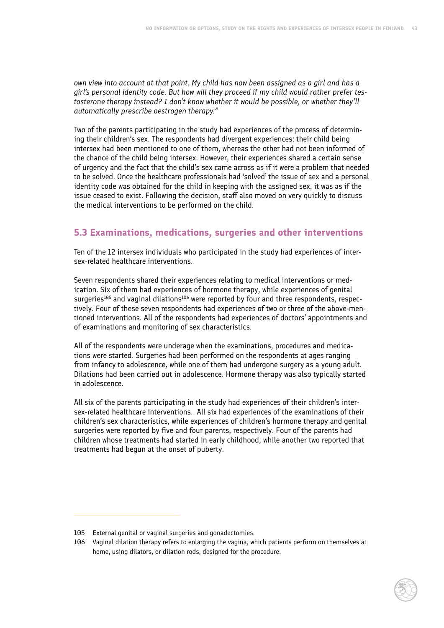*own view into account at that point. My child has now been assigned as a girl and has a girl's personal identity code. But how will they proceed if my child would rather prefer testosterone therapy instead? I don't know whether it would be possible, or whether they'll automatically prescribe oestrogen therapy."*

Two of the parents participating in the study had experiences of the process of determining their children's sex. The respondents had divergent experiences: their child being intersex had been mentioned to one of them, whereas the other had not been informed of the chance of the child being intersex. However, their experiences shared a certain sense of urgency and the fact that the child's sex came across as if it were a problem that needed to be solved. Once the healthcare professionals had 'solved' the issue of sex and a personal identity code was obtained for the child in keeping with the assigned sex, it was as if the issue ceased to exist. Following the decision, staff also moved on very quickly to discuss the medical interventions to be performed on the child.

# **5.3 Examinations, medications, surgeries and other interventions**

Ten of the 12 intersex individuals who participated in the study had experiences of intersex-related healthcare interventions.

Seven respondents shared their experiences relating to medical interventions or medication. Six of them had experiences of hormone therapy, while experiences of genital surgeries<sup>105</sup> and vaginal dilations<sup>106</sup> were reported by four and three respondents, respectively. Four of these seven respondents had experiences of two or three of the above-mentioned interventions. All of the respondents had experiences of doctors' appointments and of examinations and monitoring of sex characteristics.

All of the respondents were underage when the examinations, procedures and medications were started. Surgeries had been performed on the respondents at ages ranging from infancy to adolescence, while one of them had undergone surgery as a young adult. Dilations had been carried out in adolescence. Hormone therapy was also typically started in adolescence.

All six of the parents participating in the study had experiences of their children's intersex-related healthcare interventions. All six had experiences of the examinations of their children's sex characteristics, while experiences of children's hormone therapy and genital surgeries were reported by five and four parents, respectively. Four of the parents had children whose treatments had started in early childhood, while another two reported that treatments had begun at the onset of puberty.

<sup>105</sup> External genital or vaginal surgeries and gonadectomies.

<sup>106</sup> Vaginal dilation therapy refers to enlarging the vagina, which patients perform on themselves at home, using dilators, or dilation rods, designed for the procedure.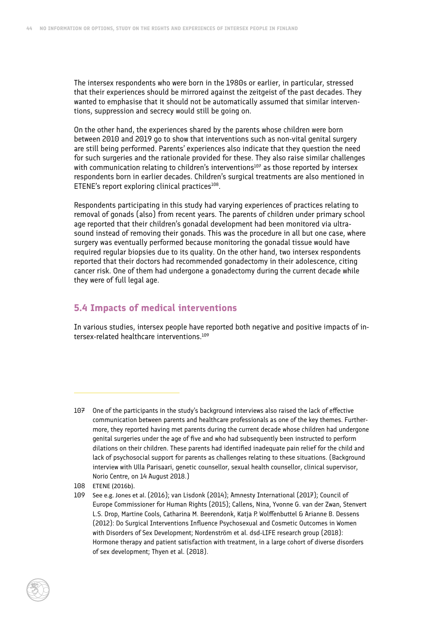The intersex respondents who were born in the 1980s or earlier, in particular, stressed that their experiences should be mirrored against the zeitgeist of the past decades. They wanted to emphasise that it should not be automatically assumed that similar interventions, suppression and secrecy would still be going on.

On the other hand, the experiences shared by the parents whose children were born between 2010 and 2019 go to show that interventions such as non-vital genital surgery are still being performed. Parents' experiences also indicate that they question the need for such surgeries and the rationale provided for these. They also raise similar challenges with communication relating to children's interventions $10^7$  as those reported by intersex respondents born in earlier decades. Children's surgical treatments are also mentioned in ETENE's report exploring clinical practices $108$ .

Respondents participating in this study had varying experiences of practices relating to removal of gonads (also) from recent years. The parents of children under primary school age reported that their children's gonadal development had been monitored via ultrasound instead of removing their gonads. This was the procedure in all but one case, where surgery was eventually performed because monitoring the gonadal tissue would have required regular biopsies due to its quality. On the other hand, two intersex respondents reported that their doctors had recommended gonadectomy in their adolescence, citing cancer risk. One of them had undergone a gonadectomy during the current decade while they were of full legal age.

## **5.4 Impacts of medical interventions**

In various studies, intersex people have reported both negative and positive impacts of intersex-related healthcare interventions.109

<sup>107</sup> One of the participants in the study's background interviews also raised the lack of effective communication between parents and healthcare professionals as one of the key themes. Furthermore, they reported having met parents during the current decade whose children had undergone genital surgeries under the age of five and who had subsequently been instructed to perform dilations on their children. These parents had identified inadequate pain relief for the child and lack of psychosocial support for parents as challenges relating to these situations. (Background interview with Ulla Parisaari, genetic counsellor, sexual health counsellor, clinical supervisor, Norio Centre, on 14 August 2018.)

<sup>108</sup> ETENE (2016b).

<sup>109</sup> See e.g. Jones et al. (2016); van Lisdonk (2014); Amnesty International (2017); Council of Europe Commissioner for Human Rights (2015); Callens, Nina, Yvonne G. van der Zwan, Stenvert L.S. Drop, Martine Cools, Catharina M. Beerendonk, Katja P. Wolffenbuttel & Arianne B. Dessens (2012): Do Surgical Interventions Influence Psychosexual and Cosmetic Outcomes in Women with Disorders of Sex Development; Nordenström et al. dsd-LIFE research group (2018): Hormone therapy and patient satisfaction with treatment, in a large cohort of diverse disorders of sex development; Thyen et al. (2018).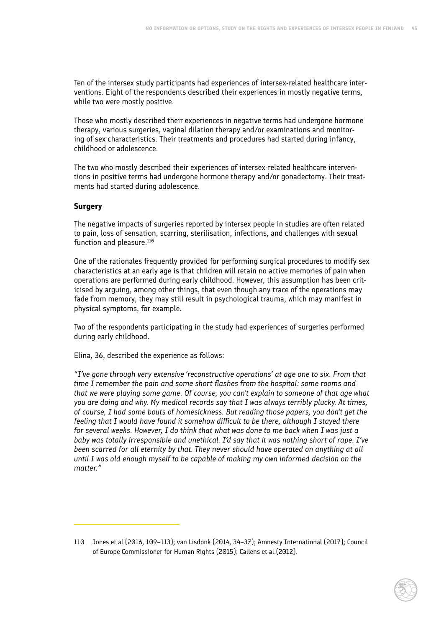Ten of the intersex study participants had experiences of intersex-related healthcare interventions. Eight of the respondents described their experiences in mostly negative terms, while two were mostly positive.

Those who mostly described their experiences in negative terms had undergone hormone therapy, various surgeries, vaginal dilation therapy and/or examinations and monitoring of sex characteristics. Their treatments and procedures had started during infancy, childhood or adolescence.

The two who mostly described their experiences of intersex-related healthcare interventions in positive terms had undergone hormone therapy and/or gonadectomy. Their treatments had started during adolescence.

#### **Surgery**

The negative impacts of surgeries reported by intersex people in studies are often related to pain, loss of sensation, scarring, sterilisation, infections, and challenges with sexual function and pleasure.<sup>110</sup>

One of the rationales frequently provided for performing surgical procedures to modify sex characteristics at an early age is that children will retain no active memories of pain when operations are performed during early childhood. However, this assumption has been criticised by arguing, among other things, that even though any trace of the operations may fade from memory, they may still result in psychological trauma, which may manifest in physical symptoms, for example.

Two of the respondents participating in the study had experiences of surgeries performed during early childhood.

Elina, 36, described the experience as follows:

*"I've gone through very extensive 'reconstructive operations' at age one to six. From that time I remember the pain and some short flashes from the hospital: some rooms and that we were playing some game. Of course, you can't explain to someone of that age what you are doing and why. My medical records say that I was always terribly plucky. At times, of course, I had some bouts of homesickness. But reading those papers, you don't get the feeling that I would have found it somehow difficult to be there, although I stayed there for several weeks. However, I do think that what was done to me back when I was just a baby was totally irresponsible and unethical. I'd say that it was nothing short of rape. I've been scarred for all eternity by that. They never should have operated on anything at all until I was old enough myself to be capable of making my own informed decision on the matter."*

<sup>110</sup> Jones et al.(2016, 109–113); van Lisdonk (2014, 34–37); Amnesty International (2017); Council of Europe Commissioner for Human Rights (2015); Callens et al.(2012).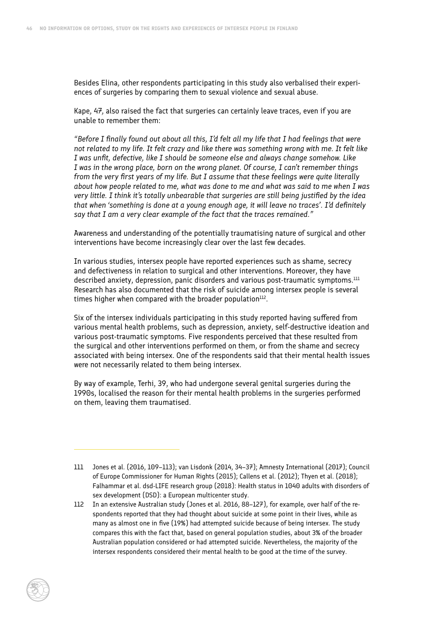Besides Elina, other respondents participating in this study also verbalised their experiences of surgeries by comparing them to sexual violence and sexual abuse.

Kape, 47, also raised the fact that surgeries can certainly leave traces, even if you are unable to remember them:

*"Before I finally found out about all this, I'd felt all my life that I had feelings that were not related to my life. It felt crazy and like there was something wrong with me. It felt like I was unfit, defective, like I should be someone else and always change somehow. Like I was in the wrong place, born on the wrong planet. Of course, I can't remember things from the very first years of my life. But I assume that these feelings were quite literally about how people related to me, what was done to me and what was said to me when I was very little. I think it's totally unbearable that surgeries are still being justified by the idea that when 'something is done at a young enough age, it will leave no traces'. I'd definitely say that I am a very clear example of the fact that the traces remained."*

Awareness and understanding of the potentially traumatising nature of surgical and other interventions have become increasingly clear over the last few decades.

In various studies, intersex people have reported experiences such as shame, secrecy and defectiveness in relation to surgical and other interventions. Moreover, they have described anxiety, depression, panic disorders and various post-traumatic symptoms.<sup>111</sup> Research has also documented that the risk of suicide among intersex people is several times higher when compared with the broader population $112$ .

Six of the intersex individuals participating in this study reported having suffered from various mental health problems, such as depression, anxiety, self-destructive ideation and various post-traumatic symptoms. Five respondents perceived that these resulted from the surgical and other interventions performed on them, or from the shame and secrecy associated with being intersex. One of the respondents said that their mental health issues were not necessarily related to them being intersex.

By way of example, Terhi, 39, who had undergone several genital surgeries during the 1990s, localised the reason for their mental health problems in the surgeries performed on them, leaving them traumatised.

<sup>111</sup> Jones et al. (2016, 109–113); van Lisdonk (2014, 34–37); Amnesty International (2017); Council of Europe Commissioner for Human Rights (2015); Callens et al. (2012); Thyen et al. (2018); Falhammar et al. dsd-LIFE research group (2018): Health status in 1040 adults with disorders of sex development (DSD): a European multicenter study.

<sup>112</sup> In an extensive Australian study (Jones et al. 2016, 88–127), for example, over half of the respondents reported that they had thought about suicide at some point in their lives, while as many as almost one in five (19%) had attempted suicide because of being intersex. The study compares this with the fact that, based on general population studies, about 3% of the broader Australian population considered or had attempted suicide. Nevertheless, the majority of the intersex respondents considered their mental health to be good at the time of the survey.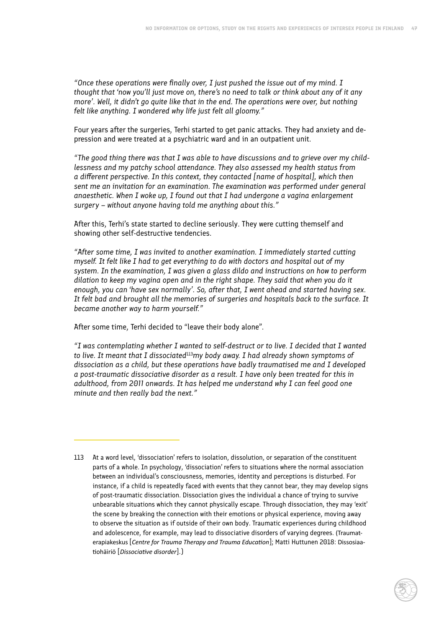*"Once these operations were finally over, I just pushed the issue out of my mind. I thought that 'now you'll just move on, there's no need to talk or think about any of it any more'. Well, it didn't go quite like that in the end. The operations were over, but nothing felt like anything. I wondered why life just felt all gloomy."*

Four years after the surgeries, Terhi started to get panic attacks. They had anxiety and depression and were treated at a psychiatric ward and in an outpatient unit.

*"The good thing there was that I was able to have discussions and to grieve over my childlessness and my patchy school attendance. They also assessed my health status from a different perspective. In this context, they contacted [name of hospital], which then sent me an invitation for an examination. The examination was performed under general anaesthetic. When I woke up, I found out that I had undergone a vagina enlargement surgery – without anyone having told me anything about this."*

After this, Terhi's state started to decline seriously. They were cutting themself and showing other self-destructive tendencies.

*"After some time, I was invited to another examination. I immediately started cutting myself. It felt like I had to get everything to do with doctors and hospital out of my system. In the examination, I was given a glass dildo and instructions on how to perform dilation to keep my vagina open and in the right shape. They said that when you do it enough, you can 'have sex normally'. So, after that, I went ahead and started having sex. It felt bad and brought all the memories of surgeries and hospitals back to the surface. It became another way to harm yourself."*

After some time, Terhi decided to "leave their body alone".

*"I was contemplating whether I wanted to self-destruct or to live. I decided that I wanted to live. It meant that I dissociated*<sup>113</sup>*my body away. I had already shown symptoms of dissociation as a child, but these operations have badly traumatised me and I developed a post-traumatic dissociative disorder as a result. I have only been treated for this in adulthood, from 2011 onwards. It has helped me understand why I can feel good one minute and then really bad the next."*

<sup>113</sup> At a word level, 'dissociation' refers to isolation, dissolution, or separation of the constituent parts of a whole. In psychology, 'dissociation' refers to situations where the normal association between an individual's consciousness, memories, identity and perceptions is disturbed. For instance, if a child is repeatedly faced with events that they cannot bear, they may develop signs of post-traumatic dissociation. Dissociation gives the individual a chance of trying to survive unbearable situations which they cannot physically escape. Through dissociation, they may 'exit' the scene by breaking the connection with their emotions or physical experience, moving away to observe the situation as if outside of their own body. Traumatic experiences during childhood and adolescence, for example, may lead to dissociative disorders of varying degrees. (Traumaterapiakeskus [*Centre for Trauma Therapy and Trauma Education*]; Matti Huttunen 2018: Dissosiaatiohäiriö [*Dissociative disorder*].)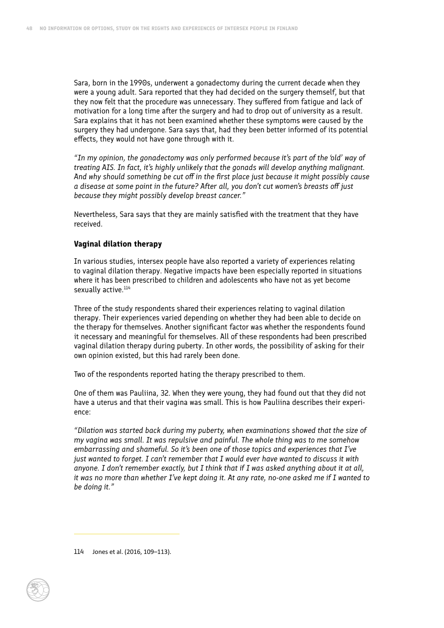Sara, born in the 1990s, underwent a gonadectomy during the current decade when they were a young adult. Sara reported that they had decided on the surgery themself, but that they now felt that the procedure was unnecessary. They suffered from fatigue and lack of motivation for a long time after the surgery and had to drop out of university as a result. Sara explains that it has not been examined whether these symptoms were caused by the surgery they had undergone. Sara says that, had they been better informed of its potential effects, they would not have gone through with it.

*"In my opinion, the gonadectomy was only performed because it's part of the 'old' way of treating AIS. In fact, it's highly unlikely that the gonads will develop anything malignant. And why should something be cut off in the first place just because it might possibly cause a disease at some point in the future? After all, you don't cut women's breasts off just because they might possibly develop breast cancer."*

Nevertheless, Sara says that they are mainly satisfied with the treatment that they have received.

#### **Vaginal dilation therapy**

In various studies, intersex people have also reported a variety of experiences relating to vaginal dilation therapy. Negative impacts have been especially reported in situations where it has been prescribed to children and adolescents who have not as yet become sexually active.<sup>114</sup>

Three of the study respondents shared their experiences relating to vaginal dilation therapy. Their experiences varied depending on whether they had been able to decide on the therapy for themselves. Another significant factor was whether the respondents found it necessary and meaningful for themselves. All of these respondents had been prescribed vaginal dilation therapy during puberty. In other words, the possibility of asking for their own opinion existed, but this had rarely been done.

Two of the respondents reported hating the therapy prescribed to them.

One of them was Pauliina, 32. When they were young, they had found out that they did not have a uterus and that their vagina was small. This is how Pauliina describes their experience:

*"Dilation was started back during my puberty, when examinations showed that the size of my vagina was small. It was repulsive and painful. The whole thing was to me somehow embarrassing and shameful. So it's been one of those topics and experiences that I've just wanted to forget. I can't remember that I would ever have wanted to discuss it with anyone. I don't remember exactly, but I think that if I was asked anything about it at all, it was no more than whether I've kept doing it. At any rate, no-one asked me if I wanted to be doing it."*

114 Jones et al. (2016, 109–113).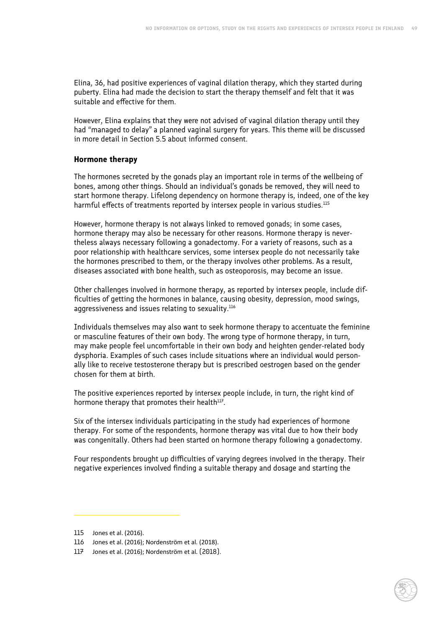Elina, 36, had positive experiences of vaginal dilation therapy, which they started during puberty. Elina had made the decision to start the therapy themself and felt that it was suitable and effective for them.

However, Elina explains that they were not advised of vaginal dilation therapy until they had "managed to delay" a planned vaginal surgery for years. This theme will be discussed in more detail in Section 5.5 about informed consent.

#### **Hormone therapy**

The hormones secreted by the gonads play an important role in terms of the wellbeing of bones, among other things. Should an individual's gonads be removed, they will need to start hormone therapy. Lifelong dependency on hormone therapy is, indeed, one of the key harmful effects of treatments reported by intersex people in various studies.<sup>115</sup>

However, hormone therapy is not always linked to removed gonads; in some cases, hormone therapy may also be necessary for other reasons. Hormone therapy is nevertheless always necessary following a gonadectomy. For a variety of reasons, such as a poor relationship with healthcare services, some intersex people do not necessarily take the hormones prescribed to them, or the therapy involves other problems. As a result, diseases associated with bone health, such as osteoporosis, may become an issue.

Other challenges involved in hormone therapy, as reported by intersex people, include difficulties of getting the hormones in balance, causing obesity, depression, mood swings, aggressiveness and issues relating to sexuality.<sup>116</sup>

Individuals themselves may also want to seek hormone therapy to accentuate the feminine or masculine features of their own body. The wrong type of hormone therapy, in turn, may make people feel uncomfortable in their own body and heighten gender-related body dysphoria. Examples of such cases include situations where an individual would personally like to receive testosterone therapy but is prescribed oestrogen based on the gender chosen for them at birth.

The positive experiences reported by intersex people include, in turn, the right kind of hormone therapy that promotes their health<sup>117</sup>.

Six of the intersex individuals participating in the study had experiences of hormone therapy. For some of the respondents, hormone therapy was vital due to how their body was congenitally. Others had been started on hormone therapy following a gonadectomy.

Four respondents brought up difficulties of varying degrees involved in the therapy. Their negative experiences involved finding a suitable therapy and dosage and starting the

<sup>115</sup> Jones et al. (2016).

<sup>116</sup> Jones et al. (2016); Nordenström et al. (2018).

<sup>117</sup> Jones et al. (2016); Nordenström et al. (2018).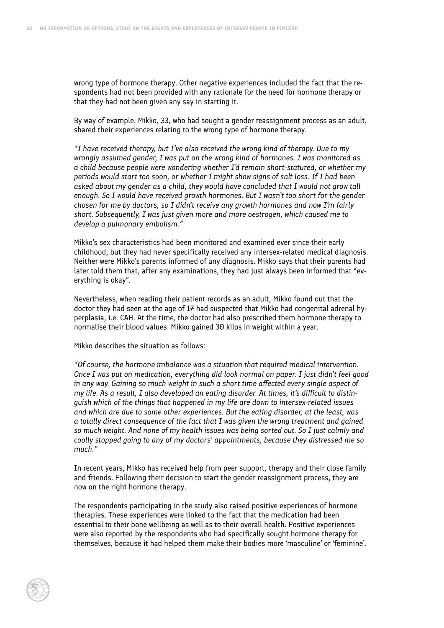wrong type of hormone therapy. Other negative experiences included the fact that the respondents had not been provided with any rationale for the need for hormone therapy or that they had not been given any say in starting it.

By way of example, Mikko, 33, who had sought a gender reassignment process as an adult, shared their experiences relating to the wrong type of hormone therapy.

*"I have received therapy, but I've also received the wrong kind of therapy. Due to my wrongly assumed gender, I was put on the wrong kind of hormones. I was monitored as a child because people were wondering whether I'd remain short-statured, or whether my periods would start too soon, or whether I might show signs of salt loss. If I had been asked about my gender as a child, they would have concluded that I would not grow tall enough. So I would have received growth hormones. But I wasn't too short for the gender chosen for me by doctors, so I didn't receive any growth hormones and now I'm fairly short. Subsequently, I was just given more and more oestrogen, which caused me to develop a pulmonary embolism."*

Mikko's sex characteristics had been monitored and examined ever since their early childhood, but they had never specifically received any intersex-related medical diagnosis. Neither were Mikko's parents informed of any diagnosis. Mikko says that their parents had later told them that, after any examinations, they had just always been informed that "everything is okay".

Nevertheless, when reading their patient records as an adult, Mikko found out that the doctor they had seen at the age of 17 had suspected that Mikko had congenital adrenal hyperplasia, i.e. CAH. At the time, the doctor had also prescribed them hormone therapy to normalise their blood values. Mikko gained 30 kilos in weight within a year.

Mikko describes the situation as follows:

*"Of course, the hormone imbalance was a situation that required medical intervention. Once I was put on medication, everything did look normal on paper. I just didn't feel good*  in any way. Gaining so much weight in such a short time affected every single aspect of *my life. As a result, I also developed an eating disorder. At times, it's difficult to distinguish which of the things that happened in my life are down to intersex-related issues and which are due to some other experiences. But the eating disorder, at the least, was a totally direct consequence of the fact that I was given the wrong treatment and gained so much weight. And none of my health issues was being sorted out. So I just calmly and coolly stopped going to any of my doctors' appointments, because they distressed me so much."*

In recent years, Mikko has received help from peer support, therapy and their close family and friends. Following their decision to start the gender reassignment process, they are now on the right hormone therapy.

The respondents participating in the study also raised positive experiences of hormone therapies. These experiences were linked to the fact that the medication had been essential to their bone wellbeing as well as to their overall health. Positive experiences were also reported by the respondents who had specifically sought hormone therapy for themselves, because it had helped them make their bodies more 'masculine' or 'feminine'.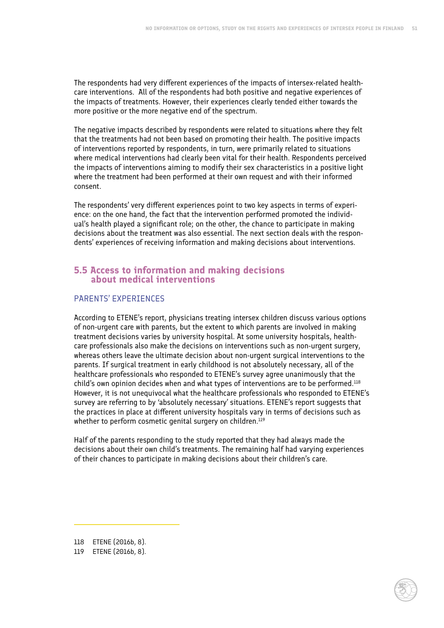The respondents had very different experiences of the impacts of intersex-related healthcare interventions. All of the respondents had both positive and negative experiences of the impacts of treatments. However, their experiences clearly tended either towards the more positive or the more negative end of the spectrum.

The negative impacts described by respondents were related to situations where they felt that the treatments had not been based on promoting their health. The positive impacts of interventions reported by respondents, in turn, were primarily related to situations where medical interventions had clearly been vital for their health. Respondents perceived the impacts of interventions aiming to modify their sex characteristics in a positive light where the treatment had been performed at their own request and with their informed consent.

The respondents' very different experiences point to two key aspects in terms of experience: on the one hand, the fact that the intervention performed promoted the individual's health played a significant role; on the other, the chance to participate in making decisions about the treatment was also essential. The next section deals with the respondents' experiences of receiving information and making decisions about interventions.

# **5.5 Access to information and making decisions about medical interventions**

## PARENTS' EXPERIENCES

According to ETENE's report, physicians treating intersex children discuss various options of non-urgent care with parents, but the extent to which parents are involved in making treatment decisions varies by university hospital. At some university hospitals, healthcare professionals also make the decisions on interventions such as non-urgent surgery, whereas others leave the ultimate decision about non-urgent surgical interventions to the parents. If surgical treatment in early childhood is not absolutely necessary, all of the healthcare professionals who responded to ETENE's survey agree unanimously that the child's own opinion decides when and what types of interventions are to be performed.<sup>118</sup> However, it is not unequivocal what the healthcare professionals who responded to ETENE's survey are referring to by 'absolutely necessary' situations. ETENE's report suggests that the practices in place at different university hospitals vary in terms of decisions such as whether to perform cosmetic genital surgery on children.<sup>119</sup>

Half of the parents responding to the study reported that they had always made the decisions about their own child's treatments. The remaining half had varying experiences of their chances to participate in making decisions about their children's care.

118 ETENE (2016b, 8).

119 ETENE (2016b, 8).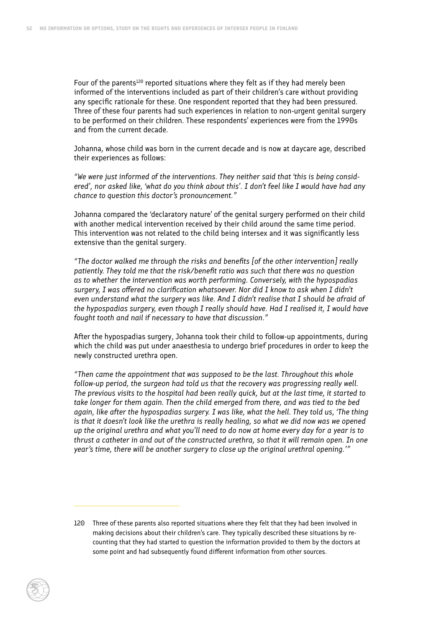Four of the parents<sup>120</sup> reported situations where they felt as if they had merely been informed of the interventions included as part of their children's care without providing any specific rationale for these. One respondent reported that they had been pressured. Three of these four parents had such experiences in relation to non-urgent genital surgery to be performed on their children. These respondents' experiences were from the 1990s and from the current decade.

Johanna, whose child was born in the current decade and is now at daycare age, described their experiences as follows:

*"We were just informed of the interventions. They neither said that 'this is being considered', nor asked like, 'what do you think about this'. I don't feel like I would have had any chance to question this doctor's pronouncement."*

Johanna compared the 'declaratory nature' of the genital surgery performed on their child with another medical intervention received by their child around the same time period. This intervention was not related to the child being intersex and it was significantly less extensive than the genital surgery.

*"The doctor walked me through the risks and benefits [of the other intervention] really patiently. They told me that the risk/benefit ratio was such that there was no question as to whether the intervention was worth performing. Conversely, with the hypospadias surgery, I was offered no clarification whatsoever. Nor did I know to ask when I didn't even understand what the surgery was like. And I didn't realise that I should be afraid of the hypospadias surgery, even though I really should have. Had I realised it, I would have fought tooth and nail if necessary to have that discussion."*

After the hypospadias surgery, Johanna took their child to follow-up appointments, during which the child was put under anaesthesia to undergo brief procedures in order to keep the newly constructed urethra open.

*"Then came the appointment that was supposed to be the last. Throughout this whole follow-up period, the surgeon had told us that the recovery was progressing really well. The previous visits to the hospital had been really quick, but at the last time, it started to take longer for them again. Then the child emerged from there, and was tied to the bed again, like after the hypospadias surgery. I was like, what the hell. They told us, 'The thing is that it doesn't look like the urethra is really healing, so what we did now was we opened up the original urethra and what you'll need to do now at home every day for a year is to thrust a catheter in and out of the constructed urethra, so that it will remain open. In one year's time, there will be another surgery to close up the original urethral opening.'"*

<sup>120</sup> Three of these parents also reported situations where they felt that they had been involved in making decisions about their children's care. They typically described these situations by recounting that they had started to question the information provided to them by the doctors at some point and had subsequently found different information from other sources.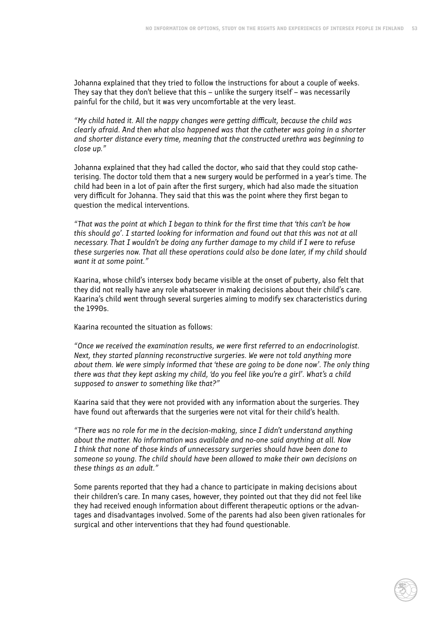Johanna explained that they tried to follow the instructions for about a couple of weeks. They say that they don't believe that this – unlike the surgery itself – was necessarily painful for the child, but it was very uncomfortable at the very least.

*"My child hated it. All the nappy changes were getting difficult, because the child was clearly afraid. And then what also happened was that the catheter was going in a shorter and shorter distance every time, meaning that the constructed urethra was beginning to close up."*

Johanna explained that they had called the doctor, who said that they could stop catheterising. The doctor told them that a new surgery would be performed in a year's time. The child had been in a lot of pain after the first surgery, which had also made the situation very difficult for Johanna. They said that this was the point where they first began to question the medical interventions.

*"That was the point at which I began to think for the first time that 'this can't be how this should go'. I started looking for information and found out that this was not at all necessary. That I wouldn't be doing any further damage to my child if I were to refuse these surgeries now. That all these operations could also be done later, if my child should want it at some point."*

Kaarina, whose child's intersex body became visible at the onset of puberty, also felt that they did not really have any role whatsoever in making decisions about their child's care. Kaarina's child went through several surgeries aiming to modify sex characteristics during the 1990s.

Kaarina recounted the situation as follows:

*"Once we received the examination results, we were first referred to an endocrinologist. Next, they started planning reconstructive surgeries. We were not told anything more about them. We were simply informed that 'these are going to be done now'. The only thing there was that they kept asking my child, 'do you feel like you're a girl'. What's a child supposed to answer to something like that?"*

Kaarina said that they were not provided with any information about the surgeries. They have found out afterwards that the surgeries were not vital for their child's health.

*"There was no role for me in the decision-making, since I didn't understand anything about the matter. No information was available and no-one said anything at all. Now I think that none of those kinds of unnecessary surgeries should have been done to someone so young. The child should have been allowed to make their own decisions on these things as an adult."*

Some parents reported that they had a chance to participate in making decisions about their children's care. In many cases, however, they pointed out that they did not feel like they had received enough information about different therapeutic options or the advantages and disadvantages involved. Some of the parents had also been given rationales for surgical and other interventions that they had found questionable.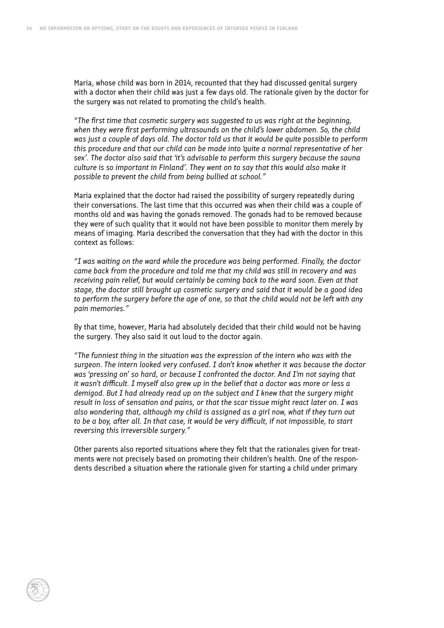Maria, whose child was born in 2014, recounted that they had discussed genital surgery with a doctor when their child was just a few days old. The rationale given by the doctor for the surgery was not related to promoting the child's health.

*"The first time that cosmetic surgery was suggested to us was right at the beginning, when they were first performing ultrasounds on the child's lower abdomen. So, the child was just a couple of days old. The doctor told us that it would be quite possible to perform this procedure and that our child can be made into 'quite a normal representative of her sex'. The doctor also said that 'it's advisable to perform this surgery because the sauna culture is so important in Finland'. They went on to say that this would also make it possible to prevent the child from being bullied at school."*

Maria explained that the doctor had raised the possibility of surgery repeatedly during their conversations. The last time that this occurred was when their child was a couple of months old and was having the gonads removed. The gonads had to be removed because they were of such quality that it would not have been possible to monitor them merely by means of imaging. Maria described the conversation that they had with the doctor in this context as follows:

*"I was waiting on the ward while the procedure was being performed. Finally, the doctor came back from the procedure and told me that my child was still in recovery and was receiving pain relief, but would certainly be coming back to the ward soon. Even at that stage, the doctor still brought up cosmetic surgery and said that it would be a good idea to perform the surgery before the age of one, so that the child would not be left with any pain memories."*

By that time, however, Maria had absolutely decided that their child would not be having the surgery. They also said it out loud to the doctor again.

*"The funniest thing in the situation was the expression of the intern who was with the surgeon. The intern looked very confused. I don't know whether it was because the doctor was 'pressing on' so hard, or because I confronted the doctor. And I'm not saying that it wasn't difficult. I myself also grew up in the belief that a doctor was more or less a demigod. But I had already read up on the subject and I knew that the surgery might result in loss of sensation and pains, or that the scar tissue might react later on. I was also wondering that, although my child is assigned as a girl now, what if they turn out to be a boy, after all. In that case, it would be very difficult, if not impossible, to start reversing this irreversible surgery."*

Other parents also reported situations where they felt that the rationales given for treatments were not precisely based on promoting their children's health. One of the respondents described a situation where the rationale given for starting a child under primary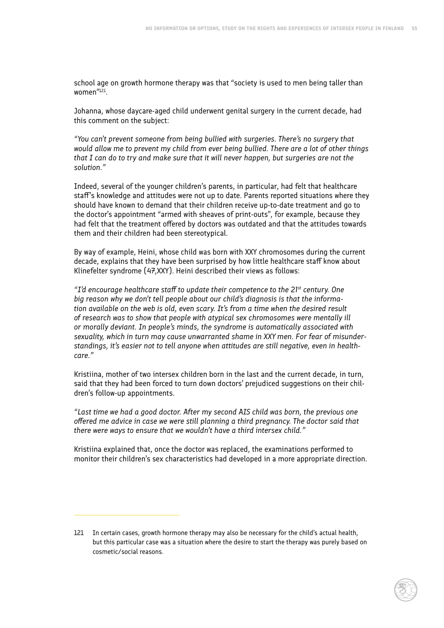school age on growth hormone therapy was that "society is used to men being taller than women<sup>"121</sup>.

Johanna, whose daycare-aged child underwent genital surgery in the current decade, had this comment on the subject:

*"You can't prevent someone from being bullied with surgeries. There's no surgery that would allow me to prevent my child from ever being bullied. There are a lot of other things that I can do to try and make sure that it will never happen, but surgeries are not the solution."*

Indeed, several of the younger children's parents, in particular, had felt that healthcare staff's knowledge and attitudes were not up to date. Parents reported situations where they should have known to demand that their children receive up-to-date treatment and go to the doctor's appointment "armed with sheaves of print-outs", for example, because they had felt that the treatment offered by doctors was outdated and that the attitudes towards them and their children had been stereotypical.

By way of example, Heini, whose child was born with XXY chromosomes during the current decade, explains that they have been surprised by how little healthcare staff know about Klinefelter syndrome (47,XXY). Heini described their views as follows:

*"I'd encourage healthcare staff to update their competence to the 21st century. One big reason why we don't tell people about our child's diagnosis is that the information available on the web is old, even scary. It's from a time when the desired result of research was to show that people with atypical sex chromosomes were mentally ill or morally deviant. In people's minds, the syndrome is automatically associated with sexuality, which in turn may cause unwarranted shame in XXY men. For fear of misunderstandings, it's easier not to tell anyone when attitudes are still negative, even in healthcare."*

Kristiina, mother of two intersex children born in the last and the current decade, in turn, said that they had been forced to turn down doctors' prejudiced suggestions on their children's follow-up appointments.

*"Last time we had a good doctor. After my second AIS child was born, the previous one offered me advice in case we were still planning a third pregnancy. The doctor said that there were ways to ensure that we wouldn't have a third intersex child."*

Kristiina explained that, once the doctor was replaced, the examinations performed to monitor their children's sex characteristics had developed in a more appropriate direction.

<sup>121</sup> In certain cases, growth hormone therapy may also be necessary for the child's actual health, but this particular case was a situation where the desire to start the therapy was purely based on cosmetic/social reasons.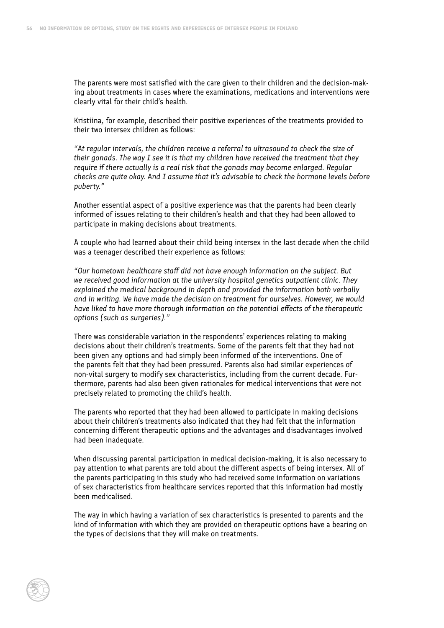The parents were most satisfied with the care given to their children and the decision-making about treatments in cases where the examinations, medications and interventions were clearly vital for their child's health.

Kristiina, for example, described their positive experiences of the treatments provided to their two intersex children as follows:

*"At regular intervals, the children receive a referral to ultrasound to check the size of their gonads. The way I see it is that my children have received the treatment that they require if there actually is a real risk that the gonads may become enlarged. Regular checks are quite okay. And I assume that it's advisable to check the hormone levels before puberty."*

Another essential aspect of a positive experience was that the parents had been clearly informed of issues relating to their children's health and that they had been allowed to participate in making decisions about treatments.

A couple who had learned about their child being intersex in the last decade when the child was a teenager described their experience as follows:

*"Our hometown healthcare staff did not have enough information on the subject. But we received good information at the university hospital genetics outpatient clinic. They explained the medical background in depth and provided the information both verbally and in writing. We have made the decision on treatment for ourselves. However, we would have liked to have more thorough information on the potential effects of the therapeutic options (such as surgeries)."*

There was considerable variation in the respondents' experiences relating to making decisions about their children's treatments. Some of the parents felt that they had not been given any options and had simply been informed of the interventions. One of the parents felt that they had been pressured. Parents also had similar experiences of non-vital surgery to modify sex characteristics, including from the current decade. Furthermore, parents had also been given rationales for medical interventions that were not precisely related to promoting the child's health.

The parents who reported that they had been allowed to participate in making decisions about their children's treatments also indicated that they had felt that the information concerning different therapeutic options and the advantages and disadvantages involved had been inadequate.

When discussing parental participation in medical decision-making, it is also necessary to pay attention to what parents are told about the different aspects of being intersex. All of the parents participating in this study who had received some information on variations of sex characteristics from healthcare services reported that this information had mostly been medicalised.

The way in which having a variation of sex characteristics is presented to parents and the kind of information with which they are provided on therapeutic options have a bearing on the types of decisions that they will make on treatments.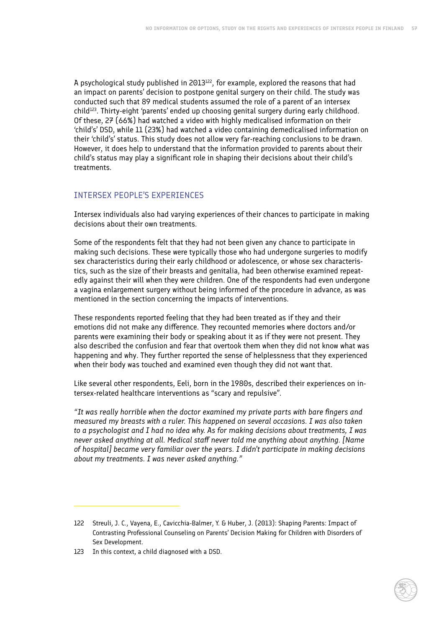A psychological study published in 2013<sup>122</sup>, for example, explored the reasons that had an impact on parents' decision to postpone genital surgery on their child. The study was conducted such that 89 medical students assumed the role of a parent of an intersex  $child<sup>123</sup>$ . Thirty-eight 'parents' ended up choosing genital surgery during early childhood. Of these, 27 (66%) had watched a video with highly medicalised information on their 'child's' DSD, while 11 (23%) had watched a video containing demedicalised information on their 'child's' status. This study does not allow very far-reaching conclusions to be drawn. However, it does help to understand that the information provided to parents about their child's status may play a significant role in shaping their decisions about their child's treatments.

#### INTERSEX PEOPLE'S EXPERIENCES

Intersex individuals also had varying experiences of their chances to participate in making decisions about their own treatments.

Some of the respondents felt that they had not been given any chance to participate in making such decisions. These were typically those who had undergone surgeries to modify sex characteristics during their early childhood or adolescence, or whose sex characteristics, such as the size of their breasts and genitalia, had been otherwise examined repeatedly against their will when they were children. One of the respondents had even undergone a vagina enlargement surgery without being informed of the procedure in advance, as was mentioned in the section concerning the impacts of interventions.

These respondents reported feeling that they had been treated as if they and their emotions did not make any difference. They recounted memories where doctors and/or parents were examining their body or speaking about it as if they were not present. They also described the confusion and fear that overtook them when they did not know what was happening and why. They further reported the sense of helplessness that they experienced when their body was touched and examined even though they did not want that.

Like several other respondents, Eeli, born in the 1980s, described their experiences on intersex-related healthcare interventions as "scary and repulsive".

*"It was really horrible when the doctor examined my private parts with bare fingers and measured my breasts with a ruler. This happened on several occasions. I was also taken to a psychologist and I had no idea why. As for making decisions about treatments, I was never asked anything at all. Medical staff never told me anything about anything. [Name of hospital] became very familiar over the years. I didn't participate in making decisions about my treatments. I was never asked anything."*

<sup>122</sup> Streuli, J. C., Vayena, E., Cavicchia-Balmer, Y. & Huber, J. (2013): Shaping Parents: Impact of Contrasting Professional Counseling on Parents' Decision Making for Children with Disorders of Sex Development.

<sup>123</sup> In this context, a child diagnosed with a DSD.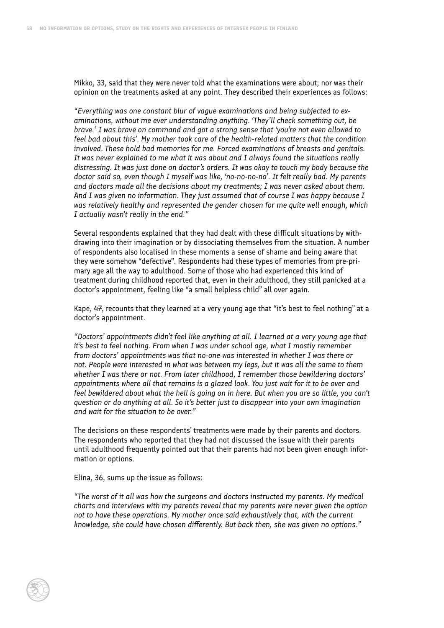Mikko, 33, said that they were never told what the examinations were about; nor was their opinion on the treatments asked at any point. They described their experiences as follows:

*"Everything was one constant blur of vague examinations and being subjected to examinations, without me ever understanding anything. 'They'll check something out, be brave.' I was brave on command and got a strong sense that 'you're not even allowed to feel bad about this'. My mother took care of the health-related matters that the condition involved. These hold bad memories for me. Forced examinations of breasts and genitals. It was never explained to me what it was about and I always found the situations really distressing. It was just done on doctor's orders. It was okay to touch my body because the doctor said so, even though I myself was like, 'no-no-no-no'. It felt really bad. My parents and doctors made all the decisions about my treatments; I was never asked about them. And I was given no information. They just assumed that of course I was happy because I was relatively healthy and represented the gender chosen for me quite well enough, which I actually wasn't really in the end."*

Several respondents explained that they had dealt with these difficult situations by withdrawing into their imagination or by dissociating themselves from the situation. A number of respondents also localised in these moments a sense of shame and being aware that they were somehow "defective". Respondents had these types of memories from pre-primary age all the way to adulthood. Some of those who had experienced this kind of treatment during childhood reported that, even in their adulthood, they still panicked at a doctor's appointment, feeling like "a small helpless child" all over again.

Kape, 47, recounts that they learned at a very young age that "it's best to feel nothing" at a doctor's appointment.

*"Doctors' appointments didn't feel like anything at all. I learned at a very young age that it's best to feel nothing. From when I was under school age, what I mostly remember from doctors' appointments was that no-one was interested in whether I was there or not. People were interested in what was between my legs, but it was all the same to them whether I was there or not. From later childhood, I remember those bewildering doctors' appointments where all that remains is a glazed look. You just wait for it to be over and feel bewildered about what the hell is going on in here. But when you are so little, you can't question or do anything at all. So it's better just to disappear into your own imagination and wait for the situation to be over."*

The decisions on these respondents' treatments were made by their parents and doctors. The respondents who reported that they had not discussed the issue with their parents until adulthood frequently pointed out that their parents had not been given enough information or options.

Elina, 36, sums up the issue as follows:

*"The worst of it all was how the surgeons and doctors instructed my parents. My medical charts and interviews with my parents reveal that my parents were never given the option not to have these operations. My mother once said exhaustively that, with the current knowledge, she could have chosen differently. But back then, she was given no options."*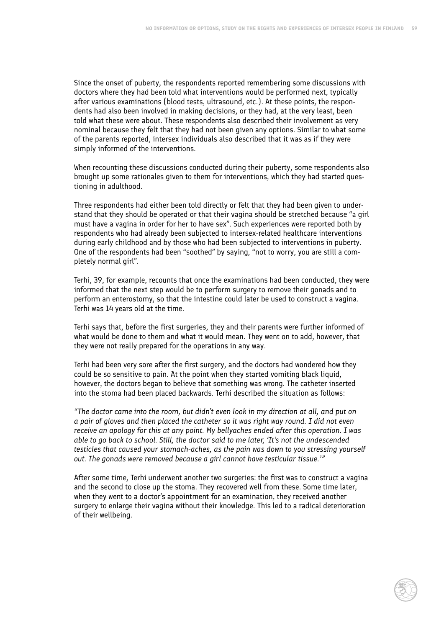Since the onset of puberty, the respondents reported remembering some discussions with doctors where they had been told what interventions would be performed next, typically after various examinations (blood tests, ultrasound, etc.). At these points, the respondents had also been involved in making decisions, or they had, at the very least, been told what these were about. These respondents also described their involvement as very nominal because they felt that they had not been given any options. Similar to what some of the parents reported, intersex individuals also described that it was as if they were simply informed of the interventions.

When recounting these discussions conducted during their puberty, some respondents also brought up some rationales given to them for interventions, which they had started questioning in adulthood.

Three respondents had either been told directly or felt that they had been given to understand that they should be operated or that their vagina should be stretched because "a girl must have a vagina in order for her to have sex". Such experiences were reported both by respondents who had already been subjected to intersex-related healthcare interventions during early childhood and by those who had been subjected to interventions in puberty. One of the respondents had been "soothed" by saying, "not to worry, you are still a completely normal girl".

Terhi, 39, for example, recounts that once the examinations had been conducted, they were informed that the next step would be to perform surgery to remove their gonads and to perform an enterostomy, so that the intestine could later be used to construct a vagina. Terhi was 14 years old at the time.

Terhi says that, before the first surgeries, they and their parents were further informed of what would be done to them and what it would mean. They went on to add, however, that they were not really prepared for the operations in any way.

Terhi had been very sore after the first surgery, and the doctors had wondered how they could be so sensitive to pain. At the point when they started vomiting black liquid, however, the doctors began to believe that something was wrong. The catheter inserted into the stoma had been placed backwards. Terhi described the situation as follows:

*"The doctor came into the room, but didn't even look in my direction at all, and put on a pair of gloves and then placed the catheter so it was right way round. I did not even receive an apology for this at any point. My bellyaches ended after this operation. I was able to go back to school. Still, the doctor said to me later, 'It's not the undescended testicles that caused your stomach-aches, as the pain was down to you stressing yourself out. The gonads were removed because a girl cannot have testicular tissue.'"*

After some time, Terhi underwent another two surgeries: the first was to construct a vagina and the second to close up the stoma. They recovered well from these. Some time later, when they went to a doctor's appointment for an examination, they received another surgery to enlarge their vagina without their knowledge. This led to a radical deterioration of their wellbeing.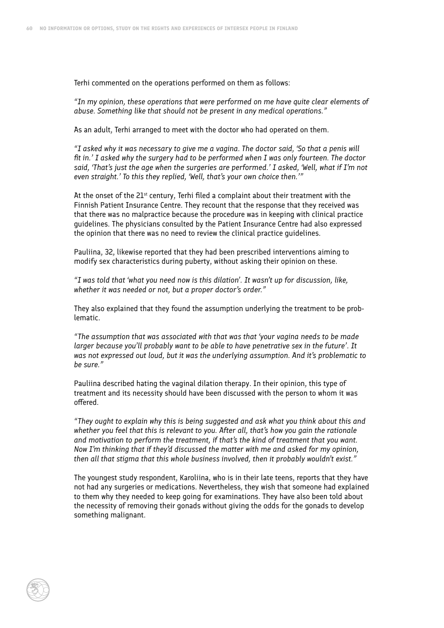Terhi commented on the operations performed on them as follows:

*"In my opinion, these operations that were performed on me have quite clear elements of abuse. Something like that should not be present in any medical operations."*

As an adult, Terhi arranged to meet with the doctor who had operated on them.

*"I asked why it was necessary to give me a vagina. The doctor said, 'So that a penis will fit in.' I asked why the surgery had to be performed when I was only fourteen. The doctor said, 'That's just the age when the surgeries are performed.' I asked, 'Well, what if I'm not even straight.' To this they replied, 'Well, that's your own choice then.'"*

At the onset of the  $21<sup>st</sup>$  century, Terhi filed a complaint about their treatment with the Finnish Patient Insurance Centre. They recount that the response that they received was that there was no malpractice because the procedure was in keeping with clinical practice guidelines. The physicians consulted by the Patient Insurance Centre had also expressed the opinion that there was no need to review the clinical practice guidelines.

Pauliina, 32, likewise reported that they had been prescribed interventions aiming to modify sex characteristics during puberty, without asking their opinion on these.

*"I was told that 'what you need now is this dilation'. It wasn't up for discussion, like, whether it was needed or not, but a proper doctor's order."*

They also explained that they found the assumption underlying the treatment to be problematic.

*"The assumption that was associated with that was that 'your vagina needs to be made larger because you'll probably want to be able to have penetrative sex in the future'. It was not expressed out loud, but it was the underlying assumption. And it's problematic to be sure."*

Pauliina described hating the vaginal dilation therapy. In their opinion, this type of treatment and its necessity should have been discussed with the person to whom it was offered.

*"They ought to explain why this is being suggested and ask what you think about this and whether you feel that this is relevant to you. After all, that's how you gain the rationale and motivation to perform the treatment, if that's the kind of treatment that you want. Now I'm thinking that if they'd discussed the matter with me and asked for my opinion, then all that stigma that this whole business involved, then it probably wouldn't exist."*

The youngest study respondent, Karoliina, who is in their late teens, reports that they have not had any surgeries or medications. Nevertheless, they wish that someone had explained to them why they needed to keep going for examinations. They have also been told about the necessity of removing their gonads without giving the odds for the gonads to develop something malignant.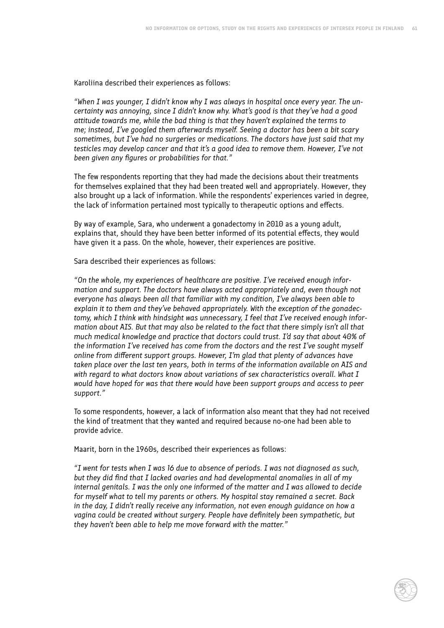Karoliina described their experiences as follows:

*"When I was younger, I didn't know why I was always in hospital once every year. The uncertainty was annoying, since I didn't know why. What's good is that they've had a good attitude towards me, while the bad thing is that they haven't explained the terms to me; instead, I've googled them afterwards myself. Seeing a doctor has been a bit scary sometimes, but I've had no surgeries or medications. The doctors have just said that my testicles may develop cancer and that it's a good idea to remove them. However, I've not been given any figures or probabilities for that."*

The few respondents reporting that they had made the decisions about their treatments for themselves explained that they had been treated well and appropriately. However, they also brought up a lack of information. While the respondents' experiences varied in degree, the lack of information pertained most typically to therapeutic options and effects.

By way of example, Sara, who underwent a gonadectomy in 2010 as a young adult, explains that, should they have been better informed of its potential effects, they would have given it a pass. On the whole, however, their experiences are positive.

Sara described their experiences as follows:

*"On the whole, my experiences of healthcare are positive. I've received enough information and support. The doctors have always acted appropriately and, even though not everyone has always been all that familiar with my condition, I've always been able to explain it to them and they've behaved appropriately. With the exception of the gonadectomy, which I think with hindsight was unnecessary, I feel that I've received enough information about AIS. But that may also be related to the fact that there simply isn't all that much medical knowledge and practice that doctors could trust. I'd say that about 40% of the information I've received has come from the doctors and the rest I've sought myself online from different support groups. However, I'm glad that plenty of advances have taken place over the last ten years, both in terms of the information available on AIS and with regard to what doctors know about variations of sex characteristics overall. What I would have hoped for was that there would have been support groups and access to peer support."*

To some respondents, however, a lack of information also meant that they had not received the kind of treatment that they wanted and required because no-one had been able to provide advice.

Maarit, born in the 1960s, described their experiences as follows:

*"I went for tests when I was 16 due to absence of periods. I was not diagnosed as such, but they did find that I lacked ovaries and had developmental anomalies in all of my internal genitals. I was the only one informed of the matter and I was allowed to decide for myself what to tell my parents or others. My hospital stay remained a secret. Back in the day, I didn't really receive any information, not even enough guidance on how a vagina could be created without surgery. People have definitely been sympathetic, but they haven't been able to help me move forward with the matter."*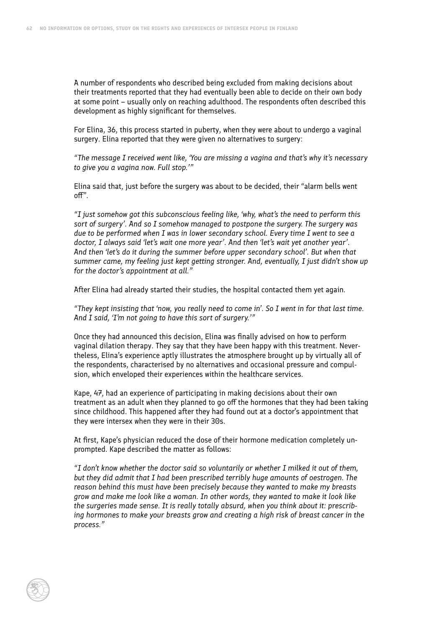A number of respondents who described being excluded from making decisions about their treatments reported that they had eventually been able to decide on their own body at some point – usually only on reaching adulthood. The respondents often described this development as highly significant for themselves.

For Elina, 36, this process started in puberty, when they were about to undergo a vaginal surgery. Elina reported that they were given no alternatives to surgery:

*"The message I received went like, 'You are missing a vagina and that's why it's necessary to give you a vagina now. Full stop.'"*

Elina said that, just before the surgery was about to be decided, their "alarm bells went off".

*"I just somehow got this subconscious feeling like, 'why, what's the need to perform this sort of surgery'. And so I somehow managed to postpone the surgery. The surgery was due to be performed when I was in lower secondary school. Every time I went to see a doctor, I always said 'let's wait one more year'. And then 'let's wait yet another year'. And then 'let's do it during the summer before upper secondary school'. But when that summer came, my feeling just kept getting stronger. And, eventually, I just didn't show up for the doctor's appointment at all."*

After Elina had already started their studies, the hospital contacted them yet again.

*"They kept insisting that 'now, you really need to come in'. So I went in for that last time. And I said, 'I'm not going to have this sort of surgery.'"*

Once they had announced this decision, Elina was finally advised on how to perform vaginal dilation therapy. They say that they have been happy with this treatment. Nevertheless, Elina's experience aptly illustrates the atmosphere brought up by virtually all of the respondents, characterised by no alternatives and occasional pressure and compulsion, which enveloped their experiences within the healthcare services.

Kape, 47, had an experience of participating in making decisions about their own treatment as an adult when they planned to go off the hormones that they had been taking since childhood. This happened after they had found out at a doctor's appointment that they were intersex when they were in their 30s.

At first, Kape's physician reduced the dose of their hormone medication completely unprompted. Kape described the matter as follows:

*"I don't know whether the doctor said so voluntarily or whether I milked it out of them, but they did admit that I had been prescribed terribly huge amounts of oestrogen. The reason behind this must have been precisely because they wanted to make my breasts grow and make me look like a woman. In other words, they wanted to make it look like the surgeries made sense. It is really totally absurd, when you think about it: prescribing hormones to make your breasts grow and creating a high risk of breast cancer in the process."*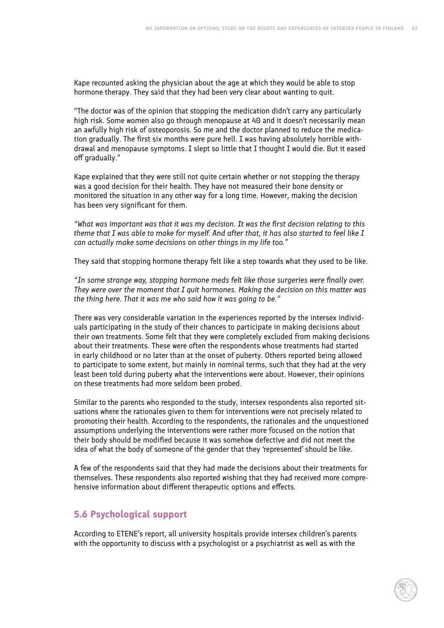Kape recounted asking the physician about the age at which they would be able to stop hormone therapy. They said that they had been very clear about wanting to quit.

"The doctor was of the opinion that stopping the medication didn't carry any particularly high risk. Some women also go through menopause at 40 and it doesn't necessarily mean an awfully high risk of osteoporosis. So me and the doctor planned to reduce the medication gradually. The first six months were pure hell. I was having absolutely horrible withdrawal and menopause symptoms. I slept so little that I thought I would die. But it eased off gradually."

Kape explained that they were still not quite certain whether or not stopping the therapy was a good decision for their health. They have not measured their bone density or monitored the situation in any other way for a long time. However, making the decision has been very significant for them.

*"What was important was that it was my decision. It was the first decision relating to this theme that I was able to make for myself. And after that, it has also started to feel like I can actually make some decisions on other things in my life too."*

They said that stopping hormone therapy felt like a step towards what they used to be like.

*"In some strange way, stopping hormone meds felt like those surgeries were finally over. They were over the moment that I quit hormones. Making the decision on this matter was the thing here. That it was me who said how it was going to be."*

There was very considerable variation in the experiences reported by the intersex individuals participating in the study of their chances to participate in making decisions about their own treatments. Some felt that they were completely excluded from making decisions about their treatments. These were often the respondents whose treatments had started in early childhood or no later than at the onset of puberty. Others reported being allowed to participate to some extent, but mainly in nominal terms, such that they had at the very least been told during puberty what the interventions were about. However, their opinions on these treatments had more seldom been probed.

Similar to the parents who responded to the study, intersex respondents also reported situations where the rationales given to them for interventions were not precisely related to promoting their health. According to the respondents, the rationales and the unquestioned assumptions underlying the interventions were rather more focused on the notion that their body should be modified because it was somehow defective and did not meet the idea of what the body of someone of the gender that they 'represented' should be like.

A few of the respondents said that they had made the decisions about their treatments for themselves. These respondents also reported wishing that they had received more comprehensive information about different therapeutic options and effects.

# **5.6 Psychological support**

According to ETENE's report, all university hospitals provide intersex children's parents with the opportunity to discuss with a psychologist or a psychiatrist as well as with the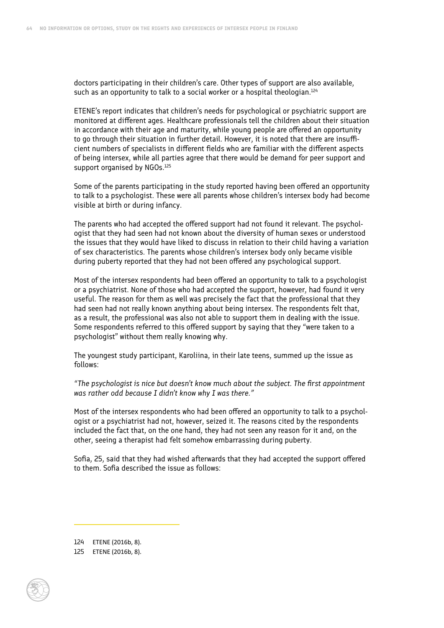doctors participating in their children's care. Other types of support are also available, such as an opportunity to talk to a social worker or a hospital theologian.<sup>124</sup>

ETENE's report indicates that children's needs for psychological or psychiatric support are monitored at different ages. Healthcare professionals tell the children about their situation in accordance with their age and maturity, while young people are offered an opportunity to go through their situation in further detail. However, it is noted that there are insufficient numbers of specialists in different fields who are familiar with the different aspects of being intersex, while all parties agree that there would be demand for peer support and support organised by NGOs.<sup>125</sup>

Some of the parents participating in the study reported having been offered an opportunity to talk to a psychologist. These were all parents whose children's intersex body had become visible at birth or during infancy.

The parents who had accepted the offered support had not found it relevant. The psychologist that they had seen had not known about the diversity of human sexes or understood the issues that they would have liked to discuss in relation to their child having a variation of sex characteristics. The parents whose children's intersex body only became visible during puberty reported that they had not been offered any psychological support.

Most of the intersex respondents had been offered an opportunity to talk to a psychologist or a psychiatrist. None of those who had accepted the support, however, had found it very useful. The reason for them as well was precisely the fact that the professional that they had seen had not really known anything about being intersex. The respondents felt that, as a result, the professional was also not able to support them in dealing with the issue. Some respondents referred to this offered support by saying that they "were taken to a psychologist" without them really knowing why.

The youngest study participant, Karoliina, in their late teens, summed up the issue as follows:

*"The psychologist is nice but doesn't know much about the subject. The first appointment was rather odd because I didn't know why I was there."*

Most of the intersex respondents who had been offered an opportunity to talk to a psychologist or a psychiatrist had not, however, seized it. The reasons cited by the respondents included the fact that, on the one hand, they had not seen any reason for it and, on the other, seeing a therapist had felt somehow embarrassing during puberty.

Sofia, 25, said that they had wished afterwards that they had accepted the support offered to them. Sofia described the issue as follows:

124 ETENE (2016b, 8).

<sup>125</sup> ETENE (2016b, 8).

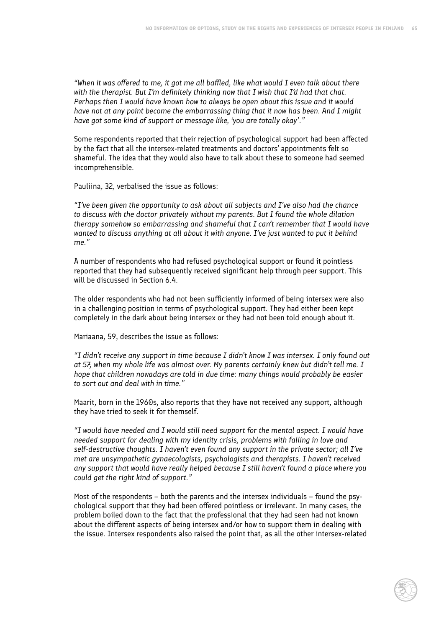*"When it was offered to me, it got me all baffled, like what would I even talk about there with the therapist. But I'm definitely thinking now that I wish that I'd had that chat. Perhaps then I would have known how to always be open about this issue and it would have not at any point become the embarrassing thing that it now has been. And I might have got some kind of support or message like, 'you are totally okay'."*

Some respondents reported that their rejection of psychological support had been affected by the fact that all the intersex-related treatments and doctors' appointments felt so shameful. The idea that they would also have to talk about these to someone had seemed incomprehensible.

Pauliina, 32, verbalised the issue as follows:

*"I've been given the opportunity to ask about all subjects and I've also had the chance to discuss with the doctor privately without my parents. But I found the whole dilation therapy somehow so embarrassing and shameful that I can't remember that I would have wanted to discuss anything at all about it with anyone. I've just wanted to put it behind me."*

A number of respondents who had refused psychological support or found it pointless reported that they had subsequently received significant help through peer support. This will be discussed in Section 6.4.

The older respondents who had not been sufficiently informed of being intersex were also in a challenging position in terms of psychological support. They had either been kept completely in the dark about being intersex or they had not been told enough about it.

Mariaana, 59, describes the issue as follows:

*"I didn't receive any support in time because I didn't know I was intersex. I only found out at 57, when my whole life was almost over. My parents certainly knew but didn't tell me. I hope that children nowadays are told in due time: many things would probably be easier to sort out and deal with in time."*

Maarit, born in the 1960s, also reports that they have not received any support, although they have tried to seek it for themself.

*"I would have needed and I would still need support for the mental aspect. I would have needed support for dealing with my identity crisis, problems with falling in love and self-destructive thoughts. I haven't even found any support in the private sector; all I've met are unsympathetic gynaecologists, psychologists and therapists. I haven't received any support that would have really helped because I still haven't found a place where you could get the right kind of support."*

Most of the respondents – both the parents and the intersex individuals – found the psychological support that they had been offered pointless or irrelevant. In many cases, the problem boiled down to the fact that the professional that they had seen had not known about the different aspects of being intersex and/or how to support them in dealing with the issue. Intersex respondents also raised the point that, as all the other intersex-related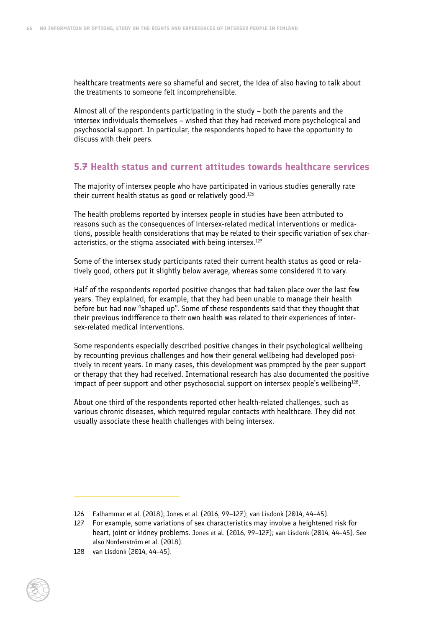healthcare treatments were so shameful and secret, the idea of also having to talk about the treatments to someone felt incomprehensible.

Almost all of the respondents participating in the study – both the parents and the intersex individuals themselves – wished that they had received more psychological and psychosocial support. In particular, the respondents hoped to have the opportunity to discuss with their peers.

# **5.7 Health status and current attitudes towards healthcare services**

The majority of intersex people who have participated in various studies generally rate their current health status as good or relatively good.<sup>126</sup>

The health problems reported by intersex people in studies have been attributed to reasons such as the consequences of intersex-related medical interventions or medications, possible health considerations that may be related to their specific variation of sex characteristics, or the stigma associated with being intersex. $127$ 

Some of the intersex study participants rated their current health status as good or relatively good, others put it slightly below average, whereas some considered it to vary.

Half of the respondents reported positive changes that had taken place over the last few years. They explained, for example, that they had been unable to manage their health before but had now "shaped up". Some of these respondents said that they thought that their previous indifference to their own health was related to their experiences of intersex-related medical interventions.

Some respondents especially described positive changes in their psychological wellbeing by recounting previous challenges and how their general wellbeing had developed positively in recent years. In many cases, this development was prompted by the peer support or therapy that they had received. International research has also documented the positive impact of peer support and other psychosocial support on intersex people's wellbeing $128$ .

About one third of the respondents reported other health-related challenges, such as various chronic diseases, which required regular contacts with healthcare. They did not usually associate these health challenges with being intersex.

<sup>128</sup> van Lisdonk (2014, 44–45).



<sup>126</sup> Falhammar et al. (2018); Jones et al. (2016, 99–127); van Lisdonk (2014, 44–45).

<sup>127</sup> For example, some variations of sex characteristics may involve a heightened risk for heart, joint or kidney problems. Jones et al. (2016, 99–127); van Lisdonk (2014, 44–45). See also Nordenström et al. (2018).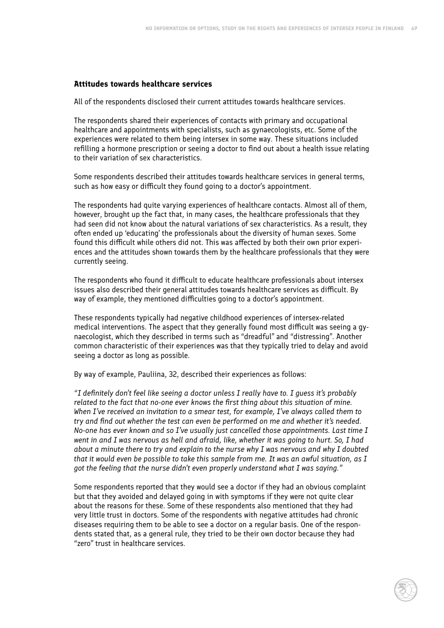#### **Attitudes towards healthcare services**

All of the respondents disclosed their current attitudes towards healthcare services.

The respondents shared their experiences of contacts with primary and occupational healthcare and appointments with specialists, such as gynaecologists, etc. Some of the experiences were related to them being intersex in some way. These situations included refilling a hormone prescription or seeing a doctor to find out about a health issue relating to their variation of sex characteristics.

Some respondents described their attitudes towards healthcare services in general terms, such as how easy or difficult they found going to a doctor's appointment.

The respondents had quite varying experiences of healthcare contacts. Almost all of them, however, brought up the fact that, in many cases, the healthcare professionals that they had seen did not know about the natural variations of sex characteristics. As a result, they often ended up 'educating' the professionals about the diversity of human sexes. Some found this difficult while others did not. This was affected by both their own prior experiences and the attitudes shown towards them by the healthcare professionals that they were currently seeing.

The respondents who found it difficult to educate healthcare professionals about intersex issues also described their general attitudes towards healthcare services as difficult. By way of example, they mentioned difficulties going to a doctor's appointment.

These respondents typically had negative childhood experiences of intersex-related medical interventions. The aspect that they generally found most difficult was seeing a gynaecologist, which they described in terms such as "dreadful" and "distressing". Another common characteristic of their experiences was that they typically tried to delay and avoid seeing a doctor as long as possible.

By way of example, Pauliina, 32, described their experiences as follows:

*"I definitely don't feel like seeing a doctor unless I really have to. I guess it's probably related to the fact that no-one ever knows the first thing about this situation of mine. When I've received an invitation to a smear test, for example, I've always called them to try and find out whether the test can even be performed on me and whether it's needed. No-one has ever known and so I've usually just cancelled those appointments. Last time I went in and I was nervous as hell and afraid, like, whether it was going to hurt. So, I had about a minute there to try and explain to the nurse why I was nervous and why I doubted that it would even be possible to take this sample from me. It was an awful situation, as I got the feeling that the nurse didn't even properly understand what I was saying."*

Some respondents reported that they would see a doctor if they had an obvious complaint but that they avoided and delayed going in with symptoms if they were not quite clear about the reasons for these. Some of these respondents also mentioned that they had very little trust in doctors. Some of the respondents with negative attitudes had chronic diseases requiring them to be able to see a doctor on a regular basis. One of the respondents stated that, as a general rule, they tried to be their own doctor because they had "zero" trust in healthcare services.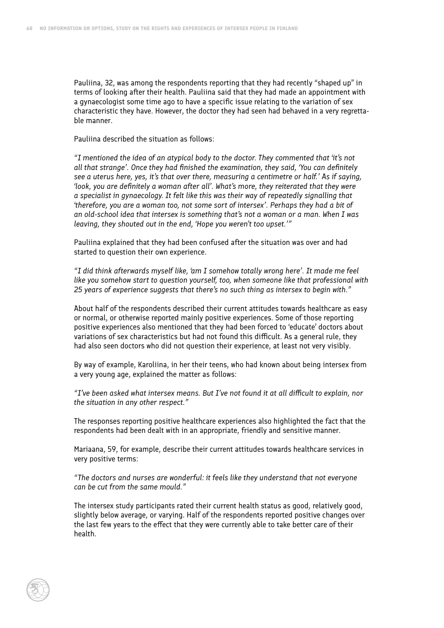Pauliina, 32, was among the respondents reporting that they had recently "shaped up" in terms of looking after their health. Pauliina said that they had made an appointment with a gynaecologist some time ago to have a specific issue relating to the variation of sex characteristic they have. However, the doctor they had seen had behaved in a very regrettable manner.

Pauliina described the situation as follows:

*"I mentioned the idea of an atypical body to the doctor. They commented that 'it's not all that strange'. Once they had finished the examination, they said, 'You can definitely see a uterus here, yes, it's that over there, measuring a centimetre or half.' As if saying, 'look, you are definitely a woman after all'. What's more, they reiterated that they were a specialist in gynaecology. It felt like this was their way of repeatedly signalling that 'therefore, you are a woman too, not some sort of intersex'. Perhaps they had a bit of an old-school idea that intersex is something that's not a woman or a man. When I was leaving, they shouted out in the end, 'Hope you weren't too upset.'"*

Pauliina explained that they had been confused after the situation was over and had started to question their own experience.

*"I did think afterwards myself like, 'am I somehow totally wrong here'. It made me feel like you somehow start to question yourself, too, when someone like that professional with 25 years of experience suggests that there's no such thing as intersex to begin with."*

About half of the respondents described their current attitudes towards healthcare as easy or normal, or otherwise reported mainly positive experiences. Some of those reporting positive experiences also mentioned that they had been forced to 'educate' doctors about variations of sex characteristics but had not found this difficult. As a general rule, they had also seen doctors who did not question their experience, at least not very visibly.

By way of example, Karoliina, in her their teens, who had known about being intersex from a very young age, explained the matter as follows:

*"I've been asked what intersex means. But I've not found it at all difficult to explain, nor the situation in any other respect."*

The responses reporting positive healthcare experiences also highlighted the fact that the respondents had been dealt with in an appropriate, friendly and sensitive manner.

Mariaana, 59, for example, describe their current attitudes towards healthcare services in very positive terms:

*"The doctors and nurses are wonderful: it feels like they understand that not everyone can be cut from the same mould."*

The intersex study participants rated their current health status as good, relatively good, slightly below average, or varying. Half of the respondents reported positive changes over the last few years to the effect that they were currently able to take better care of their health.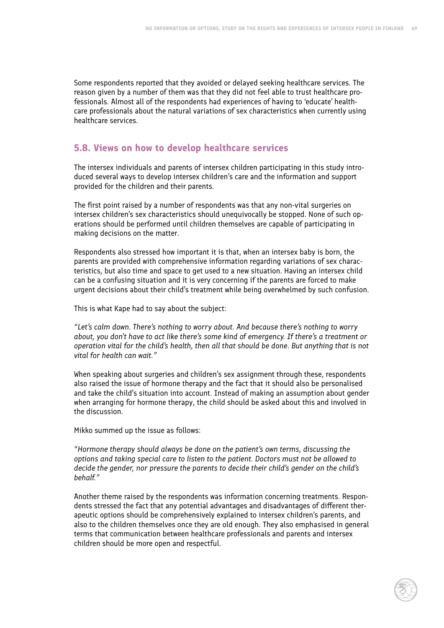Some respondents reported that they avoided or delayed seeking healthcare services. The reason given by a number of them was that they did not feel able to trust healthcare professionals. Almost all of the respondents had experiences of having to 'educate' healthcare professionals about the natural variations of sex characteristics when currently using healthcare services.

# **5.8. Views on how to develop healthcare services**

The intersex individuals and parents of intersex children participating in this study introduced several ways to develop intersex children's care and the information and support provided for the children and their parents.

The first point raised by a number of respondents was that any non-vital surgeries on intersex children's sex characteristics should unequivocally be stopped. None of such operations should be performed until children themselves are capable of participating in making decisions on the matter.

Respondents also stressed how important it is that, when an intersex baby is born, the parents are provided with comprehensive information regarding variations of sex characteristics, but also time and space to get used to a new situation. Having an intersex child can be a confusing situation and it is very concerning if the parents are forced to make urgent decisions about their child's treatment while being overwhelmed by such confusion.

This is what Kape had to say about the subject:

*"Let's calm down. There's nothing to worry about. And because there's nothing to worry about, you don't have to act like there's some kind of emergency. If there's a treatment or operation vital for the child's health, then all that should be done. But anything that is not vital for health can wait."*

When speaking about surgeries and children's sex assignment through these, respondents also raised the issue of hormone therapy and the fact that it should also be personalised and take the child's situation into account. Instead of making an assumption about gender when arranging for hormone therapy, the child should be asked about this and involved in the discussion.

Mikko summed up the issue as follows:

*"Hormone therapy should always be done on the patient's own terms, discussing the options and taking special care to listen to the patient. Doctors must not be allowed to decide the gender, nor pressure the parents to decide their child's gender on the child's behalf."*

Another theme raised by the respondents was information concerning treatments. Respondents stressed the fact that any potential advantages and disadvantages of different therapeutic options should be comprehensively explained to intersex children's parents, and also to the children themselves once they are old enough. They also emphasised in general terms that communication between healthcare professionals and parents and intersex children should be more open and respectful.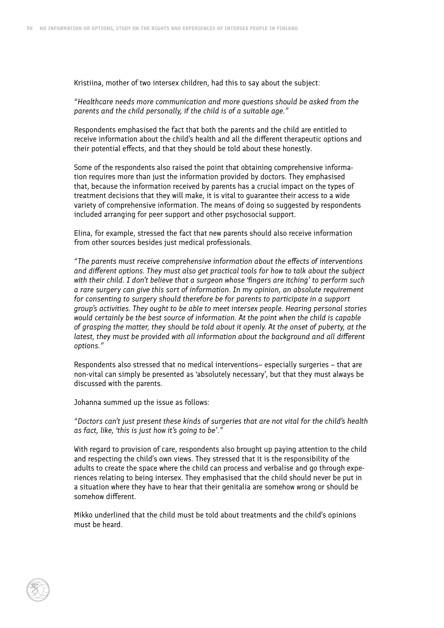Kristiina, mother of two intersex children, had this to say about the subject:

*"Healthcare needs more communication and more questions should be asked from the parents and the child personally, if the child is of a suitable age."*

Respondents emphasised the fact that both the parents and the child are entitled to receive information about the child's health and all the different therapeutic options and their potential effects, and that they should be told about these honestly.

Some of the respondents also raised the point that obtaining comprehensive information requires more than just the information provided by doctors. They emphasised that, because the information received by parents has a crucial impact on the types of treatment decisions that they will make, it is vital to guarantee their access to a wide variety of comprehensive information. The means of doing so suggested by respondents included arranging for peer support and other psychosocial support.

Elina, for example, stressed the fact that new parents should also receive information from other sources besides just medical professionals.

*"The parents must receive comprehensive information about the effects of interventions and different options. They must also get practical tools for how to talk about the subject with their child. I don't believe that a surgeon whose 'fingers are itching' to perform such a rare surgery can give this sort of information. In my opinion, an absolute requirement for consenting to surgery should therefore be for parents to participate in a support group's activities. They ought to be able to meet intersex people. Hearing personal stories would certainly be the best source of information. At the point when the child is capable of grasping the matter, they should be told about it openly. At the onset of puberty, at the latest, they must be provided with all information about the background and all different options."* 

Respondents also stressed that no medical interventions– especially surgeries – that are non-vital can simply be presented as 'absolutely necessary', but that they must always be discussed with the parents.

Johanna summed up the issue as follows:

*"Doctors can't just present these kinds of surgeries that are not vital for the child's health as fact, like, 'this is just how it's going to be'."*

With regard to provision of care, respondents also brought up paying attention to the child and respecting the child's own views. They stressed that it is the responsibility of the adults to create the space where the child can process and verbalise and go through experiences relating to being intersex. They emphasised that the child should never be put in a situation where they have to hear that their genitalia are somehow wrong or should be somehow different.

Mikko underlined that the child must be told about treatments and the child's opinions must be heard.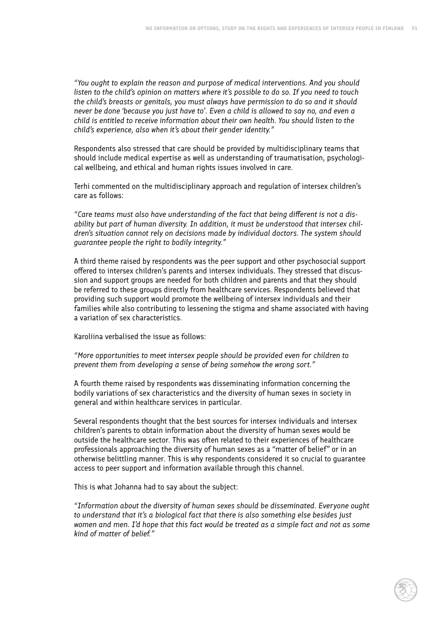*"You ought to explain the reason and purpose of medical interventions. And you should listen to the child's opinion on matters where it's possible to do so. If you need to touch the child's breasts or genitals, you must always have permission to do so and it should never be done 'because you just have to'. Even a child is allowed to say no, and even a child is entitled to receive information about their own health. You should listen to the child's experience, also when it's about their gender identity."*

Respondents also stressed that care should be provided by multidisciplinary teams that should include medical expertise as well as understanding of traumatisation, psychological wellbeing, and ethical and human rights issues involved in care.

Terhi commented on the multidisciplinary approach and regulation of intersex children's care as follows:

*"Care teams must also have understanding of the fact that being different is not a disability but part of human diversity. In addition, it must be understood that intersex children's situation cannot rely on decisions made by individual doctors. The system should guarantee people the right to bodily integrity."*

A third theme raised by respondents was the peer support and other psychosocial support offered to intersex children's parents and intersex individuals. They stressed that discussion and support groups are needed for both children and parents and that they should be referred to these groups directly from healthcare services. Respondents believed that providing such support would promote the wellbeing of intersex individuals and their families while also contributing to lessening the stigma and shame associated with having a variation of sex characteristics.

Karoliina verbalised the issue as follows:

*"More opportunities to meet intersex people should be provided even for children to prevent them from developing a sense of being somehow the wrong sort."*

A fourth theme raised by respondents was disseminating information concerning the bodily variations of sex characteristics and the diversity of human sexes in society in general and within healthcare services in particular.

Several respondents thought that the best sources for intersex individuals and intersex children's parents to obtain information about the diversity of human sexes would be outside the healthcare sector. This was often related to their experiences of healthcare professionals approaching the diversity of human sexes as a "matter of belief" or in an otherwise belittling manner. This is why respondents considered it so crucial to guarantee access to peer support and information available through this channel.

This is what Johanna had to say about the subject:

*"Information about the diversity of human sexes should be disseminated. Everyone ought to understand that it's a biological fact that there is also something else besides just women and men. I'd hope that this fact would be treated as a simple fact and not as some kind of matter of belief."*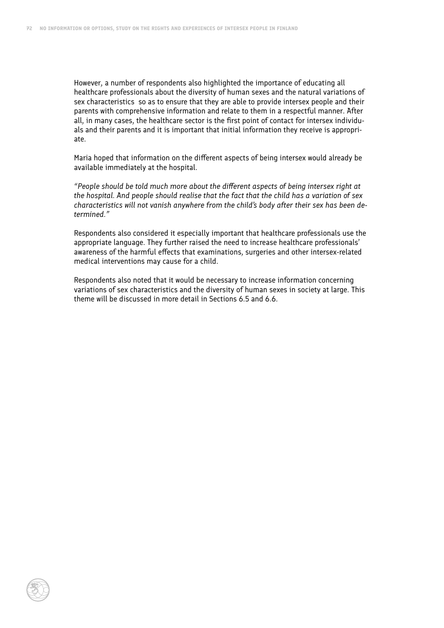However, a number of respondents also highlighted the importance of educating all healthcare professionals about the diversity of human sexes and the natural variations of sex characteristics so as to ensure that they are able to provide intersex people and their parents with comprehensive information and relate to them in a respectful manner. After all, in many cases, the healthcare sector is the first point of contact for intersex individuals and their parents and it is important that initial information they receive is appropriate.

Maria hoped that information on the different aspects of being intersex would already be available immediately at the hospital.

*"People should be told much more about the different aspects of being intersex right at the hospital. And people should realise that the fact that the child has a variation of sex characteristics will not vanish anywhere from the child's body after their sex has been determined."*

Respondents also considered it especially important that healthcare professionals use the appropriate language. They further raised the need to increase healthcare professionals' awareness of the harmful effects that examinations, surgeries and other intersex-related medical interventions may cause for a child.

Respondents also noted that it would be necessary to increase information concerning variations of sex characteristics and the diversity of human sexes in society at large. This theme will be discussed in more detail in Sections 6.5 and 6.6.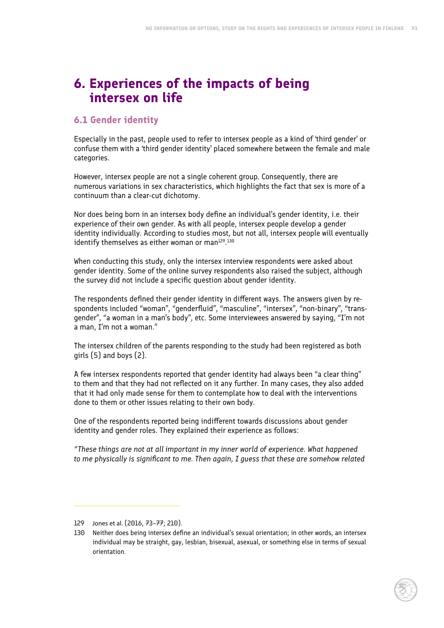# **6. Experiences of the impacts of being intersex on life**

## **6.1 Gender identity**

Especially in the past, people used to refer to intersex people as a kind of 'third gender' or confuse them with a 'third gender identity' placed somewhere between the female and male categories.

However, intersex people are not a single coherent group. Consequently, there are numerous variations in sex characteristics, which highlights the fact that sex is more of a continuum than a clear-cut dichotomy.

Nor does being born in an intersex body define an individual's gender identity, i.e. their experience of their own gender. As with all people, intersex people develop a gender identity individually. According to studies most, but not all, intersex people will eventually identify themselves as either woman or man $^{129}.^{130}$ 

When conducting this study, only the intersex interview respondents were asked about gender identity. Some of the online survey respondents also raised the subject, although the survey did not include a specific question about gender identity.

The respondents defined their gender identity in different ways. The answers given by respondents included "woman", "genderfluid", "masculine", "intersex", "non-binary", "transgender", "a woman in a man's body", etc. Some interviewees answered by saying, "I'm not a man, I'm not a woman."

The intersex children of the parents responding to the study had been registered as both girls  $(5)$  and boys  $(2)$ .

A few intersex respondents reported that gender identity had always been "a clear thing" to them and that they had not reflected on it any further. In many cases, they also added that it had only made sense for them to contemplate how to deal with the interventions done to them or other issues relating to their own body.

One of the respondents reported being indifferent towards discussions about gender identity and gender roles. They explained their experience as follows:

*"These things are not at all important in my inner world of experience. What happened to me physically is significant to me. Then again, I guess that these are somehow related* 

<sup>129</sup> Jones et al. (2016, 73–77; 210).

<sup>130</sup> Neither does being intersex define an individual's sexual orientation; in other words, an intersex individual may be straight, gay, lesbian, bisexual, asexual, or something else in terms of sexual orientation.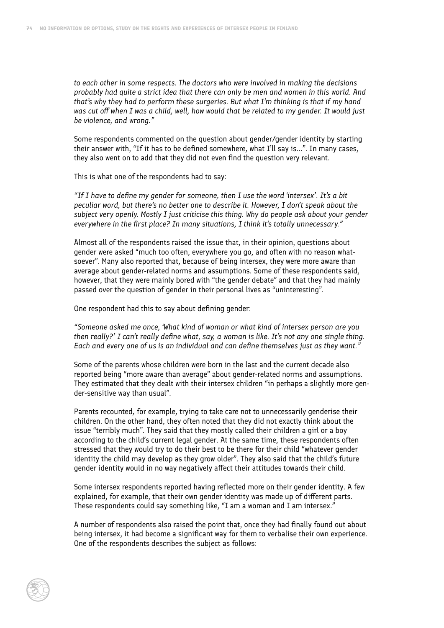*to each other in some respects. The doctors who were involved in making the decisions probably had quite a strict idea that there can only be men and women in this world. And that's why they had to perform these surgeries. But what I'm thinking is that if my hand was cut off when I was a child, well, how would that be related to my gender. It would just be violence, and wrong."*

Some respondents commented on the question about gender/gender identity by starting their answer with, "If it has to be defined somewhere, what I'll say is...". In many cases, they also went on to add that they did not even find the question very relevant.

This is what one of the respondents had to say:

*"If I have to define my gender for someone, then I use the word 'intersex'. It's a bit peculiar word, but there's no better one to describe it. However, I don't speak about the subject very openly. Mostly I just criticise this thing. Why do people ask about your gender everywhere in the first place? In many situations, I think it's totally unnecessary."*

Almost all of the respondents raised the issue that, in their opinion, questions about gender were asked "much too often, everywhere you go, and often with no reason whatsoever". Many also reported that, because of being intersex, they were more aware than average about gender-related norms and assumptions. Some of these respondents said, however, that they were mainly bored with "the gender debate" and that they had mainly passed over the question of gender in their personal lives as "uninteresting".

One respondent had this to say about defining gender:

*"Someone asked me once, 'What kind of woman or what kind of intersex person are you then really?' I can't really define what, say, a woman is like. It's not any one single thing. Each and every one of us is an individual and can define themselves just as they want."*

Some of the parents whose children were born in the last and the current decade also reported being "more aware than average" about gender-related norms and assumptions. They estimated that they dealt with their intersex children "in perhaps a slightly more gender-sensitive way than usual".

Parents recounted, for example, trying to take care not to unnecessarily genderise their children. On the other hand, they often noted that they did not exactly think about the issue "terribly much". They said that they mostly called their children a girl or a boy according to the child's current legal gender. At the same time, these respondents often stressed that they would try to do their best to be there for their child "whatever gender identity the child may develop as they grow older". They also said that the child's future gender identity would in no way negatively affect their attitudes towards their child.

Some intersex respondents reported having reflected more on their gender identity. A few explained, for example, that their own gender identity was made up of different parts. These respondents could say something like, "I am a woman and I am intersex."

A number of respondents also raised the point that, once they had finally found out about being intersex, it had become a significant way for them to verbalise their own experience. One of the respondents describes the subject as follows: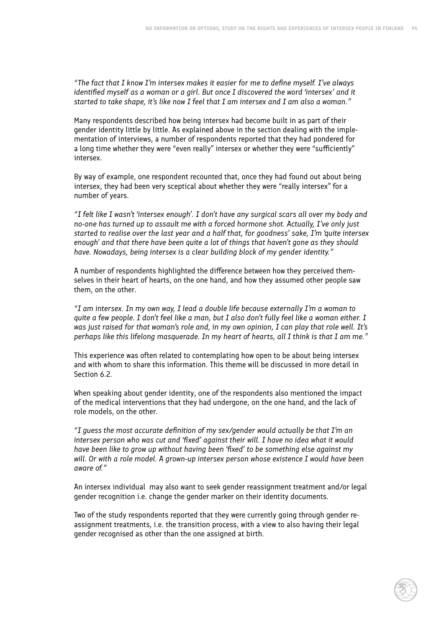*"The fact that I know I'm intersex makes it easier for me to define myself. I've always identified myself as a woman or a girl. But once I discovered the word 'intersex' and it started to take shape, it's like now I feel that I am intersex and I am also a woman."*

Many respondents described how being intersex had become built in as part of their gender identity little by little. As explained above in the section dealing with the implementation of interviews, a number of respondents reported that they had pondered for a long time whether they were "even really" intersex or whether they were "sufficiently" intersex.

By way of example, one respondent recounted that, once they had found out about being intersex, they had been very sceptical about whether they were "really intersex" for a number of years.

*"I felt like I wasn't 'intersex enough'. I don't have any surgical scars all over my body and no-one has turned up to assault me with a forced hormone shot. Actually, I've only just started to realise over the last year and a half that, for goodness' sake, I'm 'quite intersex enough' and that there have been quite a lot of things that haven't gone as they should have. Nowadays, being intersex is a clear building block of my gender identity."*

A number of respondents highlighted the difference between how they perceived themselves in their heart of hearts, on the one hand, and how they assumed other people saw them, on the other.

*"I am intersex. In my own way, I lead a double life because externally I'm a woman to quite a few people. I don't feel like a man, but I also don't fully feel like a woman either. I was just raised for that woman's role and, in my own opinion, I can play that role well. It's perhaps like this lifelong masquerade. In my heart of hearts, all I think is that I am me."*

This experience was often related to contemplating how open to be about being intersex and with whom to share this information. This theme will be discussed in more detail in Section 6.2.

When speaking about gender identity, one of the respondents also mentioned the impact of the medical interventions that they had undergone, on the one hand, and the lack of role models, on the other.

*"I guess the most accurate definition of my sex/gender would actually be that I'm an intersex person who was cut and 'fixed' against their will. I have no idea what it would have been like to grow up without having been 'fixed' to be something else against my will. Or with a role model. A grown-up intersex person whose existence I would have been aware of."*

An intersex individual may also want to seek gender reassignment treatment and/or legal gender recognition i.e. change the gender marker on their identity documents.

Two of the study respondents reported that they were currently going through gender reassignment treatments, i.e. the transition process, with a view to also having their legal gender recognised as other than the one assigned at birth.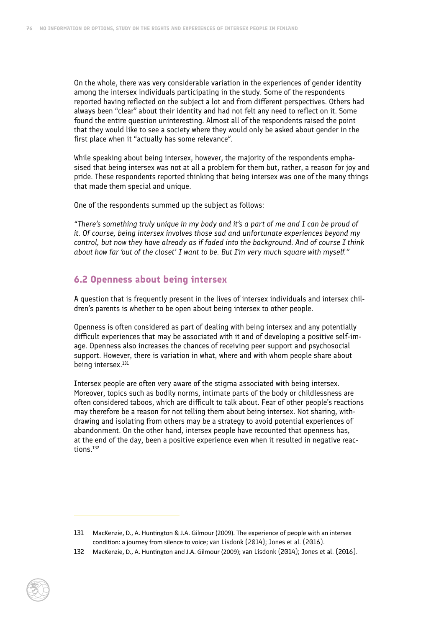On the whole, there was very considerable variation in the experiences of gender identity among the intersex individuals participating in the study. Some of the respondents reported having reflected on the subject a lot and from different perspectives. Others had always been "clear" about their identity and had not felt any need to reflect on it. Some found the entire question uninteresting. Almost all of the respondents raised the point that they would like to see a society where they would only be asked about gender in the first place when it "actually has some relevance".

While speaking about being intersex, however, the majority of the respondents emphasised that being intersex was not at all a problem for them but, rather, a reason for joy and pride. These respondents reported thinking that being intersex was one of the many things that made them special and unique.

One of the respondents summed up the subject as follows:

*"There's something truly unique in my body and it's a part of me and I can be proud of it. Of course, being intersex involves those sad and unfortunate experiences beyond my control, but now they have already as if faded into the background. And of course I think about how far 'out of the closet' I want to be. But I'm very much square with myself."* 

#### **6.2 Openness about being intersex**

A question that is frequently present in the lives of intersex individuals and intersex children's parents is whether to be open about being intersex to other people.

Openness is often considered as part of dealing with being intersex and any potentially difficult experiences that may be associated with it and of developing a positive self-image. Openness also increases the chances of receiving peer support and psychosocial support. However, there is variation in what, where and with whom people share about being intersex.<sup>131</sup>

Intersex people are often very aware of the stigma associated with being intersex. Moreover, topics such as bodily norms, intimate parts of the body or childlessness are often considered taboos, which are difficult to talk about. Fear of other people's reactions may therefore be a reason for not telling them about being intersex. Not sharing, withdrawing and isolating from others may be a strategy to avoid potential experiences of abandonment. On the other hand, intersex people have recounted that openness has, at the end of the day, been a positive experience even when it resulted in negative reactions.132

<sup>131</sup> MacKenzie, D., A. Huntington & J.A. Gilmour (2009). The experience of people with an intersex condition: a journey from silence to voice; van Lisdonk (2014); Jones et al. (2016).

<sup>132</sup> MacKenzie, D., A. Huntington and J.A. Gilmour (2009); van Lisdonk (2014); Jones et al. (2016).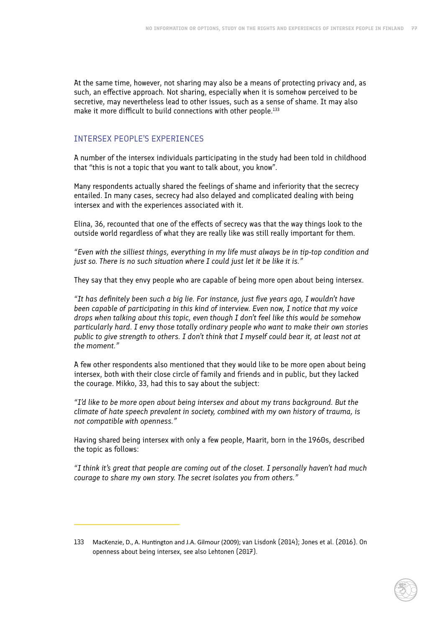At the same time, however, not sharing may also be a means of protecting privacy and, as such, an effective approach. Not sharing, especially when it is somehow perceived to be secretive, may nevertheless lead to other issues, such as a sense of shame. It may also make it more difficult to build connections with other people.<sup>133</sup>

### INTERSEX PEOPLE'S EXPERIENCES

A number of the intersex individuals participating in the study had been told in childhood that "this is not a topic that you want to talk about, you know".

Many respondents actually shared the feelings of shame and inferiority that the secrecy entailed. In many cases, secrecy had also delayed and complicated dealing with being intersex and with the experiences associated with it.

Elina, 36, recounted that one of the effects of secrecy was that the way things look to the outside world regardless of what they are really like was still really important for them.

*"Even with the silliest things, everything in my life must always be in tip-top condition and just so. There is no such situation where I could just let it be like it is."*

They say that they envy people who are capable of being more open about being intersex.

*"It has definitely been such a big lie. For instance, just five years ago, I wouldn't have been capable of participating in this kind of interview. Even now, I notice that my voice drops when talking about this topic, even though I don't feel like this would be somehow particularly hard. I envy those totally ordinary people who want to make their own stories public to give strength to others. I don't think that I myself could bear it, at least not at the moment."*

A few other respondents also mentioned that they would like to be more open about being intersex, both with their close circle of family and friends and in public, but they lacked the courage. Mikko, 33, had this to say about the subject:

*"I'd like to be more open about being intersex and about my trans background. But the climate of hate speech prevalent in society, combined with my own history of trauma, is not compatible with openness."*

Having shared being intersex with only a few people, Maarit, born in the 1960s, described the topic as follows:

*"I think it's great that people are coming out of the closet. I personally haven't had much courage to share my own story. The secret isolates you from others."*

<sup>133</sup> MacKenzie, D., A. Huntington and J.A. Gilmour (2009); van Lisdonk (2014); Jones et al. (2016). On openness about being intersex, see also Lehtonen (2017).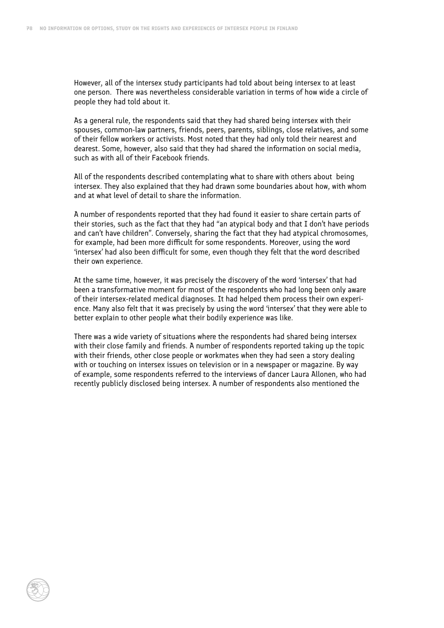However, all of the intersex study participants had told about being intersex to at least one person. There was nevertheless considerable variation in terms of how wide a circle of people they had told about it.

As a general rule, the respondents said that they had shared being intersex with their spouses, common-law partners, friends, peers, parents, siblings, close relatives, and some of their fellow workers or activists. Most noted that they had only told their nearest and dearest. Some, however, also said that they had shared the information on social media, such as with all of their Facebook friends.

All of the respondents described contemplating what to share with others about being intersex. They also explained that they had drawn some boundaries about how, with whom and at what level of detail to share the information.

A number of respondents reported that they had found it easier to share certain parts of their stories, such as the fact that they had "an atypical body and that I don't have periods and can't have children". Conversely, sharing the fact that they had atypical chromosomes, for example, had been more difficult for some respondents. Moreover, using the word 'intersex' had also been difficult for some, even though they felt that the word described their own experience.

At the same time, however, it was precisely the discovery of the word 'intersex' that had been a transformative moment for most of the respondents who had long been only aware of their intersex-related medical diagnoses. It had helped them process their own experience. Many also felt that it was precisely by using the word 'intersex' that they were able to better explain to other people what their bodily experience was like.

There was a wide variety of situations where the respondents had shared being intersex with their close family and friends. A number of respondents reported taking up the topic with their friends, other close people or workmates when they had seen a story dealing with or touching on intersex issues on television or in a newspaper or magazine. By way of example, some respondents referred to the interviews of dancer Laura Allonen, who had recently publicly disclosed being intersex. A number of respondents also mentioned the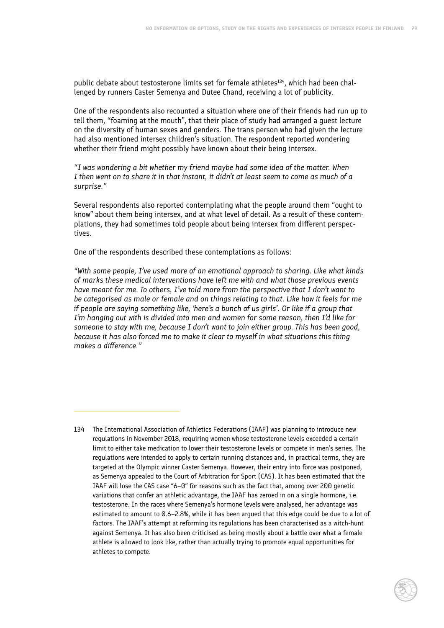public debate about testosterone limits set for female athletes<sup>134</sup>, which had been challenged by runners Caster Semenya and Dutee Chand, receiving a lot of publicity.

One of the respondents also recounted a situation where one of their friends had run up to tell them, "foaming at the mouth", that their place of study had arranged a guest lecture on the diversity of human sexes and genders. The trans person who had given the lecture had also mentioned intersex children's situation. The respondent reported wondering whether their friend might possibly have known about their being intersex.

*"I was wondering a bit whether my friend maybe had some idea of the matter. When I then went on to share it in that instant, it didn't at least seem to come as much of a surprise."*

Several respondents also reported contemplating what the people around them "ought to know" about them being intersex, and at what level of detail. As a result of these contemplations, they had sometimes told people about being intersex from different perspectives.

One of the respondents described these contemplations as follows:

*"With some people, I've used more of an emotional approach to sharing. Like what kinds of marks these medical interventions have left me with and what those previous events have meant for me. To others, I've told more from the perspective that I don't want to be categorised as male or female and on things relating to that. Like how it feels for me if people are saying something like, 'here's a bunch of us girls'. Or like if a group that I'm hanging out with is divided into men and women for some reason, then I'd like for someone to stay with me, because I don't want to join either group. This has been good, because it has also forced me to make it clear to myself in what situations this thing makes a difference."*

<sup>134</sup> The International Association of Athletics Federations (IAAF) was planning to introduce new regulations in November 2018, requiring women whose testosterone levels exceeded a certain limit to either take medication to lower their testosterone levels or compete in men's series. The regulations were intended to apply to certain running distances and, in practical terms, they are targeted at the Olympic winner Caster Semenya. However, their entry into force was postponed, as Semenya appealed to the Court of Arbitration for Sport (CAS). It has been estimated that the IAAF will lose the CAS case "6–0" for reasons such as the fact that, among over 200 genetic variations that confer an athletic advantage, the IAAF has zeroed in on a single hormone, i.e. testosterone. In the races where Semenya's hormone levels were analysed, her advantage was estimated to amount to 0.6–2.8%, while it has been argued that this edge could be due to a lot of factors. The IAAF's attempt at reforming its regulations has been characterised as a witch-hunt against Semenya. It has also been criticised as being mostly about a battle over what a female athlete is allowed to look like, rather than actually trying to promote equal opportunities for athletes to compete.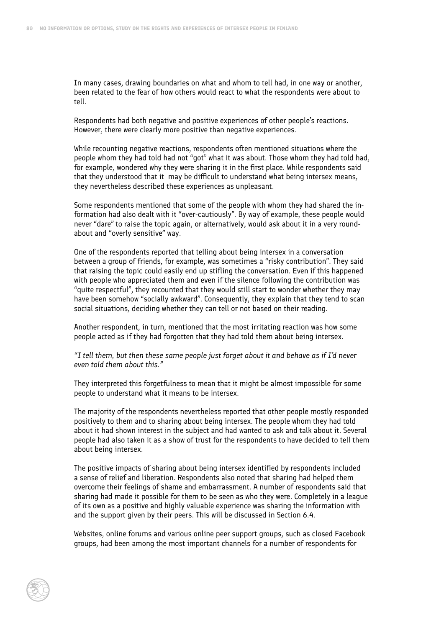In many cases, drawing boundaries on what and whom to tell had, in one way or another, been related to the fear of how others would react to what the respondents were about to tell.

Respondents had both negative and positive experiences of other people's reactions. However, there were clearly more positive than negative experiences.

While recounting negative reactions, respondents often mentioned situations where the people whom they had told had not "got" what it was about. Those whom they had told had, for example, wondered why they were sharing it in the first place. While respondents said that they understood that it may be difficult to understand what being intersex means, they nevertheless described these experiences as unpleasant.

Some respondents mentioned that some of the people with whom they had shared the information had also dealt with it "over-cautiously". By way of example, these people would never "dare" to raise the topic again, or alternatively, would ask about it in a very roundabout and "overly sensitive" way.

One of the respondents reported that telling about being intersex in a conversation between a group of friends, for example, was sometimes a "risky contribution". They said that raising the topic could easily end up stifling the conversation. Even if this happened with people who appreciated them and even if the silence following the contribution was "quite respectful", they recounted that they would still start to wonder whether they may have been somehow "socially awkward". Consequently, they explain that they tend to scan social situations, deciding whether they can tell or not based on their reading.

Another respondent, in turn, mentioned that the most irritating reaction was how some people acted as if they had forgotten that they had told them about being intersex.

*"I tell them, but then these same people just forget about it and behave as if I'd never even told them about this."*

They interpreted this forgetfulness to mean that it might be almost impossible for some people to understand what it means to be intersex.

The majority of the respondents nevertheless reported that other people mostly responded positively to them and to sharing about being intersex. The people whom they had told about it had shown interest in the subject and had wanted to ask and talk about it. Several people had also taken it as a show of trust for the respondents to have decided to tell them about being intersex.

The positive impacts of sharing about being intersex identified by respondents included a sense of relief and liberation. Respondents also noted that sharing had helped them overcome their feelings of shame and embarrassment. A number of respondents said that sharing had made it possible for them to be seen as who they were. Completely in a league of its own as a positive and highly valuable experience was sharing the information with and the support given by their peers. This will be discussed in Section 6.4.

Websites, online forums and various online peer support groups, such as closed Facebook groups, had been among the most important channels for a number of respondents for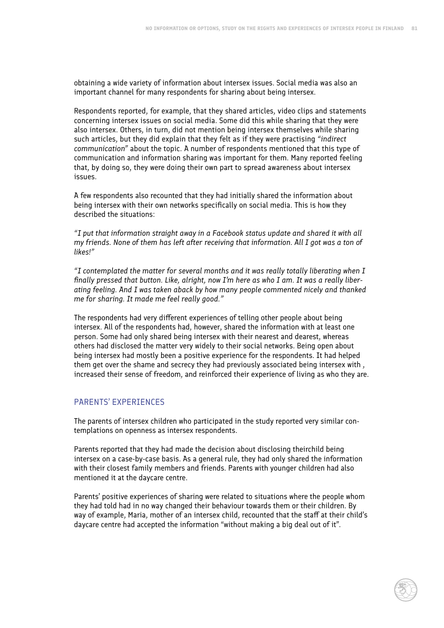obtaining a wide variety of information about intersex issues. Social media was also an important channel for many respondents for sharing about being intersex.

Respondents reported, for example, that they shared articles, video clips and statements concerning intersex issues on social media. Some did this while sharing that they were also intersex. Others, in turn, did not mention being intersex themselves while sharing such articles, but they did explain that they felt as if they were practising *"indirect communication"* about the topic. A number of respondents mentioned that this type of communication and information sharing was important for them. Many reported feeling that, by doing so, they were doing their own part to spread awareness about intersex issues.

A few respondents also recounted that they had initially shared the information about being intersex with their own networks specifically on social media. This is how they described the situations:

*"I put that information straight away in a Facebook status update and shared it with all my friends. None of them has left after receiving that information. All I got was a ton of likes!"*

*"I contemplated the matter for several months and it was really totally liberating when I finally pressed that button. Like, alright, now I'm here as who I am. It was a really liberating feeling. And I was taken aback by how many people commented nicely and thanked me for sharing. It made me feel really good."*

The respondents had very different experiences of telling other people about being intersex. All of the respondents had, however, shared the information with at least one person. Some had only shared being intersex with their nearest and dearest, whereas others had disclosed the matter very widely to their social networks. Being open about being intersex had mostly been a positive experience for the respondents. It had helped them get over the shame and secrecy they had previously associated being intersex with , increased their sense of freedom, and reinforced their experience of living as who they are.

#### PARENTS' EXPERIENCES

The parents of intersex children who participated in the study reported very similar contemplations on openness as intersex respondents.

Parents reported that they had made the decision about disclosing theirchild being intersex on a case-by-case basis. As a general rule, they had only shared the information with their closest family members and friends. Parents with younger children had also mentioned it at the daycare centre.

Parents' positive experiences of sharing were related to situations where the people whom they had told had in no way changed their behaviour towards them or their children. By way of example, Maria, mother of an intersex child, recounted that the staff at their child's daycare centre had accepted the information "without making a big deal out of it".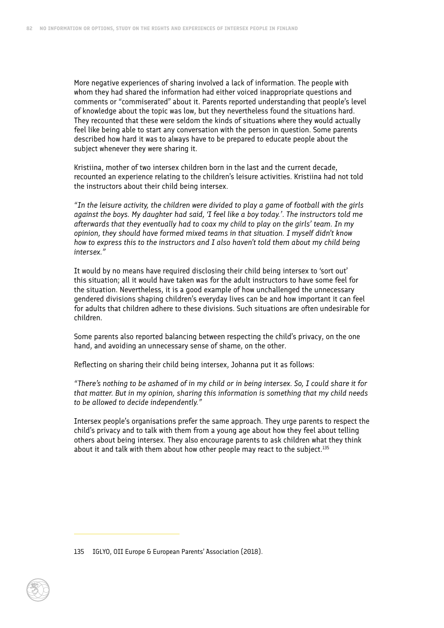More negative experiences of sharing involved a lack of information. The people with whom they had shared the information had either voiced inappropriate questions and comments or "commiserated" about it. Parents reported understanding that people's level of knowledge about the topic was low, but they nevertheless found the situations hard. They recounted that these were seldom the kinds of situations where they would actually feel like being able to start any conversation with the person in question. Some parents described how hard it was to always have to be prepared to educate people about the subject whenever they were sharing it.

Kristiina, mother of two intersex children born in the last and the current decade, recounted an experience relating to the children's leisure activities. Kristiina had not told the instructors about their child being intersex.

*"In the leisure activity, the children were divided to play a game of football with the girls against the boys. My daughter had said, 'I feel like a boy today.'. The instructors told me afterwards that they eventually had to coax my child to play on the girls' team. In my opinion, they should have formed mixed teams in that situation. I myself didn't know how to express this to the instructors and I also haven't told them about my child being intersex."*

It would by no means have required disclosing their child being intersex to 'sort out' this situation; all it would have taken was for the adult instructors to have some feel for the situation. Nevertheless, it is a good example of how unchallenged the unnecessary gendered divisions shaping children's everyday lives can be and how important it can feel for adults that children adhere to these divisions. Such situations are often undesirable for children.

Some parents also reported balancing between respecting the child's privacy, on the one hand, and avoiding an unnecessary sense of shame, on the other.

Reflecting on sharing their child being intersex, Johanna put it as follows:

*"There's nothing to be ashamed of in my child or in being intersex. So, I could share it for that matter. But in my opinion, sharing this information is something that my child needs to be allowed to decide independently."*

Intersex people's organisations prefer the same approach. They urge parents to respect the child's privacy and to talk with them from a young age about how they feel about telling others about being intersex. They also encourage parents to ask children what they think about it and talk with them about how other people may react to the subject.<sup>135</sup>

<sup>135</sup> IGLYO, OII Europe & European Parents' Association (2018).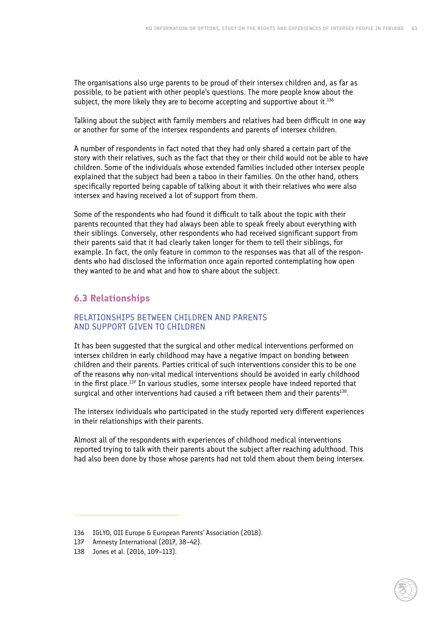The organisations also urge parents to be proud of their intersex children and, as far as possible, to be patient with other people's questions. The more people know about the subject, the more likely they are to become accepting and supportive about it.<sup>136</sup>

Talking about the subject with family members and relatives had been difficult in one way or another for some of the intersex respondents and parents of intersex children.

A number of respondents in fact noted that they had only shared a certain part of the story with their relatives, such as the fact that they or their child would not be able to have children. Some of the individuals whose extended families included other intersex people explained that the subject had been a taboo in their families. On the other hand, others specifically reported being capable of talking about it with their relatives who were also intersex and having received a lot of support from them.

Some of the respondents who had found it difficult to talk about the topic with their parents recounted that they had always been able to speak freely about everything with their siblings. Conversely, other respondents who had received significant support from their parents said that it had clearly taken longer for them to tell their siblings, for example. In fact, the only feature in common to the responses was that all of the respondents who had disclosed the information once again reported contemplating how open they wanted to be and what and how to share about the subject.

# **6.3 Relationships**

#### RELATIONSHIPS BETWEEN CHILDREN AND PARENTS AND SUPPORT GIVEN TO CHILDREN

It has been suggested that the surgical and other medical interventions performed on intersex children in early childhood may have a negative impact on bonding between children and their parents. Parties critical of such interventions consider this to be one of the reasons why non-vital medical interventions should be avoided in early childhood in the first place. $137$  In various studies, some intersex people have indeed reported that surgical and other interventions had caused a rift between them and their parents<sup>138</sup>.

The intersex individuals who participated in the study reported very different experiences in their relationships with their parents.

Almost all of the respondents with experiences of childhood medical interventions reported trying to talk with their parents about the subject after reaching adulthood. This had also been done by those whose parents had not told them about them being intersex.

<sup>136</sup> IGLYO, OII Europe & European Parents' Association (2018).

<sup>137</sup> Amnesty International (2017, 38–42).

<sup>138</sup> Jones et al. (2016, 109–113).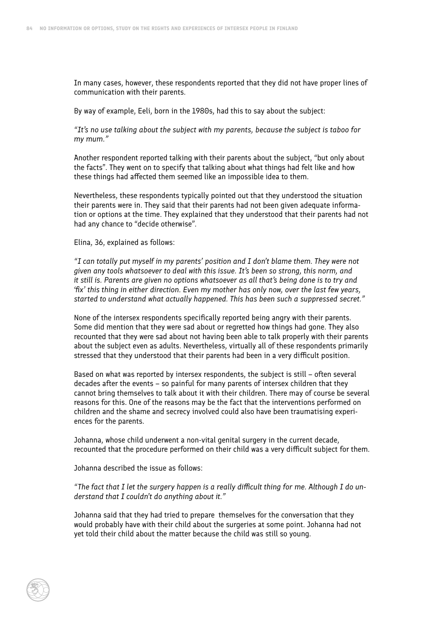In many cases, however, these respondents reported that they did not have proper lines of communication with their parents.

By way of example, Eeli, born in the 1980s, had this to say about the subject:

*"It's no use talking about the subject with my parents, because the subject is taboo for my mum."*

Another respondent reported talking with their parents about the subject, "but only about the facts". They went on to specify that talking about what things had felt like and how these things had affected them seemed like an impossible idea to them.

Nevertheless, these respondents typically pointed out that they understood the situation their parents were in. They said that their parents had not been given adequate information or options at the time. They explained that they understood that their parents had not had any chance to "decide otherwise".

Elina, 36, explained as follows:

*"I can totally put myself in my parents' position and I don't blame them. They were not given any tools whatsoever to deal with this issue. It's been so strong, this norm, and it still is. Parents are given no options whatsoever as all that's being done is to try and 'fix' this thing in either direction. Even my mother has only now, over the last few years, started to understand what actually happened. This has been such a suppressed secret."*

None of the intersex respondents specifically reported being angry with their parents. Some did mention that they were sad about or regretted how things had gone. They also recounted that they were sad about not having been able to talk properly with their parents about the subject even as adults. Nevertheless, virtually all of these respondents primarily stressed that they understood that their parents had been in a very difficult position.

Based on what was reported by intersex respondents, the subject is still – often several decades after the events – so painful for many parents of intersex children that they cannot bring themselves to talk about it with their children. There may of course be several reasons for this. One of the reasons may be the fact that the interventions performed on children and the shame and secrecy involved could also have been traumatising experiences for the parents.

Johanna, whose child underwent a non-vital genital surgery in the current decade, recounted that the procedure performed on their child was a very difficult subject for them.

Johanna described the issue as follows:

*"The fact that I let the surgery happen is a really difficult thing for me. Although I do understand that I couldn't do anything about it."*

Johanna said that they had tried to prepare themselves for the conversation that they would probably have with their child about the surgeries at some point. Johanna had not yet told their child about the matter because the child was still so young.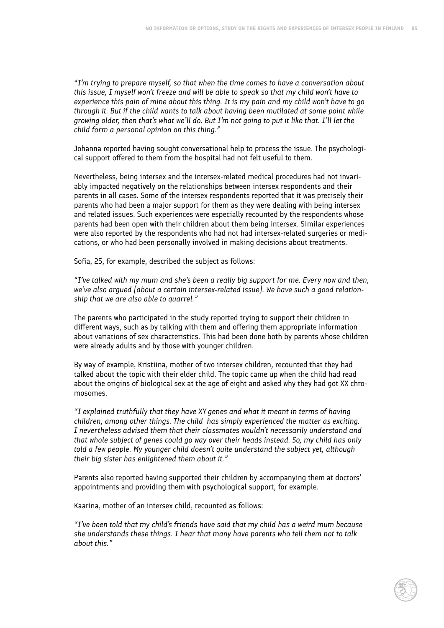*"I'm trying to prepare myself, so that when the time comes to have a conversation about this issue, I myself won't freeze and will be able to speak so that my child won't have to experience this pain of mine about this thing. It is my pain and my child won't have to go through it. But if the child wants to talk about having been mutilated at some point while growing older, then that's what we'll do. But I'm not going to put it like that. I'll let the child form a personal opinion on this thing."*

Johanna reported having sought conversational help to process the issue. The psychological support offered to them from the hospital had not felt useful to them.

Nevertheless, being intersex and the intersex-related medical procedures had not invariably impacted negatively on the relationships between intersex respondents and their parents in all cases. Some of the intersex respondents reported that it was precisely their parents who had been a major support for them as they were dealing with being intersex and related issues. Such experiences were especially recounted by the respondents whose parents had been open with their children about them being intersex. Similar experiences were also reported by the respondents who had not had intersex-related surgeries or medications, or who had been personally involved in making decisions about treatments.

Sofia, 25, for example, described the subject as follows:

*"I've talked with my mum and she's been a really big support for me. Every now and then, we've also argued [about a certain intersex-related issue]. We have such a good relationship that we are also able to quarrel."*

The parents who participated in the study reported trying to support their children in different ways, such as by talking with them and offering them appropriate information about variations of sex characteristics. This had been done both by parents whose children were already adults and by those with younger children.

By way of example, Kristiina, mother of two intersex children, recounted that they had talked about the topic with their elder child. The topic came up when the child had read about the origins of biological sex at the age of eight and asked why they had got XX chromosomes.

*"I explained truthfully that they have XY genes and what it meant in terms of having children, among other things. The child has simply experienced the matter as exciting. I nevertheless advised them that their classmates wouldn't necessarily understand and that whole subject of genes could go way over their heads instead. So, my child has only told a few people. My younger child doesn't quite understand the subject yet, although their big sister has enlightened them about it."*

Parents also reported having supported their children by accompanying them at doctors' appointments and providing them with psychological support, for example.

Kaarina, mother of an intersex child, recounted as follows:

*"I've been told that my child's friends have said that my child has a weird mum because she understands these things. I hear that many have parents who tell them not to talk about this."*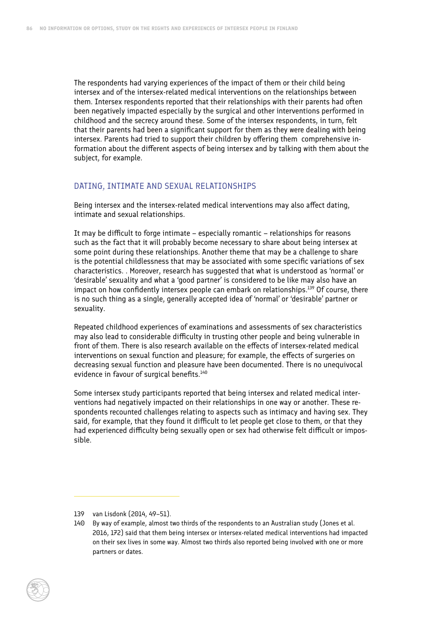The respondents had varying experiences of the impact of them or their child being intersex and of the intersex-related medical interventions on the relationships between them. Intersex respondents reported that their relationships with their parents had often been negatively impacted especially by the surgical and other interventions performed in childhood and the secrecy around these. Some of the intersex respondents, in turn, felt that their parents had been a significant support for them as they were dealing with being intersex. Parents had tried to support their children by offering them comprehensive information about the different aspects of being intersex and by talking with them about the subject, for example.

#### DATING, INTIMATE AND SEXUAL RELATIONSHIPS

Being intersex and the intersex-related medical interventions may also affect dating, intimate and sexual relationships.

It may be difficult to forge intimate – especially romantic – relationships for reasons such as the fact that it will probably become necessary to share about being intersex at some point during these relationships. Another theme that may be a challenge to share is the potential childlessness that may be associated with some specific variations of sex characteristics. . Moreover, research has suggested that what is understood as 'normal' or 'desirable' sexuality and what a 'good partner' is considered to be like may also have an impact on how confidently intersex people can embark on relationships.<sup>139</sup> Of course, there is no such thing as a single, generally accepted idea of 'normal' or 'desirable' partner or sexuality.

Repeated childhood experiences of examinations and assessments of sex characteristics may also lead to considerable difficulty in trusting other people and being vulnerable in front of them. There is also research available on the effects of intersex-related medical interventions on sexual function and pleasure; for example, the effects of surgeries on decreasing sexual function and pleasure have been documented. There is no unequivocal evidence in favour of surgical benefits.<sup>140</sup>

Some intersex study participants reported that being intersex and related medical interventions had negatively impacted on their relationships in one way or another. These respondents recounted challenges relating to aspects such as intimacy and having sex. They said, for example, that they found it difficult to let people get close to them, or that they had experienced difficulty being sexually open or sex had otherwise felt difficult or impossible.

<sup>139</sup> van Lisdonk (2014, 49–51).

<sup>140</sup> By way of example, almost two thirds of the respondents to an Australian study (Jones et al. 2016, 172) said that them being intersex or intersex-related medical interventions had impacted on their sex lives in some way. Almost two thirds also reported being involved with one or more partners or dates.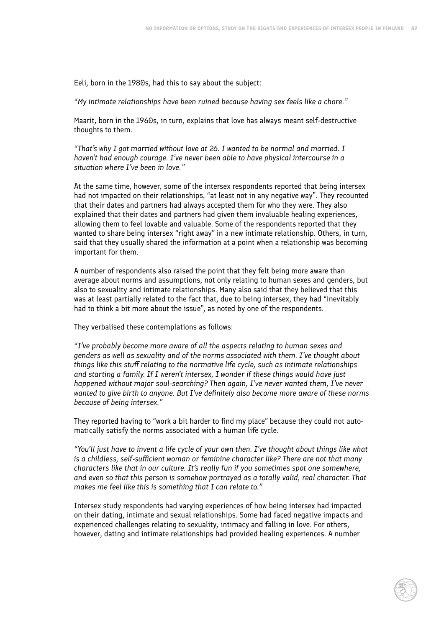Eeli, born in the 1980s, had this to say about the subject:

*"My intimate relationships have been ruined because having sex feels like a chore."*

Maarit, born in the 1960s, in turn, explains that love has always meant self-destructive thoughts to them.

*"That's why I got married without love at 26. I wanted to be normal and married. I haven't had enough courage. I've never been able to have physical intercourse in a situation where I've been in love."*

At the same time, however, some of the intersex respondents reported that being intersex had not impacted on their relationships, "at least not in any negative way". They recounted that their dates and partners had always accepted them for who they were. They also explained that their dates and partners had given them invaluable healing experiences, allowing them to feel lovable and valuable. Some of the respondents reported that they wanted to share being intersex "right away" in a new intimate relationship. Others, in turn, said that they usually shared the information at a point when a relationship was becoming important for them.

A number of respondents also raised the point that they felt being more aware than average about norms and assumptions, not only relating to human sexes and genders, but also to sexuality and intimate relationships. Many also said that they believed that this was at least partially related to the fact that, due to being intersex, they had "inevitably had to think a bit more about the issue", as noted by one of the respondents.

They verbalised these contemplations as follows:

*"I've probably become more aware of all the aspects relating to human sexes and genders as well as sexuality and of the norms associated with them. I've thought about things like this stuff relating to the normative life cycle, such as intimate relationships and starting a family. If I weren't intersex, I wonder if these things would have just happened without major soul-searching? Then again, I've never wanted them, I've never wanted to give birth to anyone. But I've definitely also become more aware of these norms because of being intersex."*

They reported having to "work a bit harder to find my place" because they could not automatically satisfy the norms associated with a human life cycle.

*"You'll just have to invent a life cycle of your own then. I've thought about things like what is a childless, self-sufficient woman or feminine character like? There are not that many characters like that in our culture. It's really fun if you sometimes spot one somewhere, and even so that this person is somehow portrayed as a totally valid, real character. That makes me feel like this is something that I can relate to."*

Intersex study respondents had varying experiences of how being intersex had impacted on their dating, intimate and sexual relationships. Some had faced negative impacts and experienced challenges relating to sexuality, intimacy and falling in love. For others, however, dating and intimate relationships had provided healing experiences. A number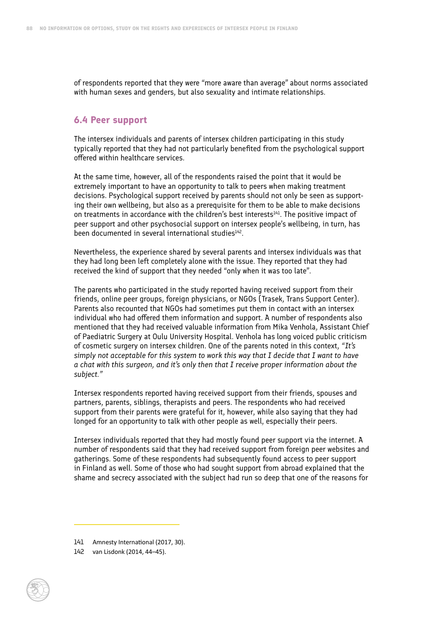of respondents reported that they were "more aware than average" about norms associated with human sexes and genders, but also sexuality and intimate relationships.

#### **6.4 Peer support**

The intersex individuals and parents of intersex children participating in this study typically reported that they had not particularly benefited from the psychological support offered within healthcare services.

At the same time, however, all of the respondents raised the point that it would be extremely important to have an opportunity to talk to peers when making treatment decisions. Psychological support received by parents should not only be seen as supporting their own wellbeing, but also as a prerequisite for them to be able to make decisions on treatments in accordance with the children's best interests<sup>141</sup>. The positive impact of peer support and other psychosocial support on intersex people's wellbeing, in turn, has been documented in several international studies<sup>142</sup>.

Nevertheless, the experience shared by several parents and intersex individuals was that they had long been left completely alone with the issue. They reported that they had received the kind of support that they needed "only when it was too late".

The parents who participated in the study reported having received support from their friends, online peer groups, foreign physicians, or NGOs (Trasek, Trans Support Center). Parents also recounted that NGOs had sometimes put them in contact with an intersex individual who had offered them information and support. A number of respondents also mentioned that they had received valuable information from Mika Venhola, Assistant Chief of Paediatric Surgery at Oulu University Hospital. Venhola has long voiced public criticism of cosmetic surgery on intersex children. One of the parents noted in this context, *"It's simply not acceptable for this system to work this way that I decide that I want to have a chat with this surgeon, and it's only then that I receive proper information about the subject."*

Intersex respondents reported having received support from their friends, spouses and partners, parents, siblings, therapists and peers. The respondents who had received support from their parents were grateful for it, however, while also saying that they had longed for an opportunity to talk with other people as well, especially their peers.

Intersex individuals reported that they had mostly found peer support via the internet. A number of respondents said that they had received support from foreign peer websites and gatherings. Some of these respondents had subsequently found access to peer support in Finland as well. Some of those who had sought support from abroad explained that the shame and secrecy associated with the subject had run so deep that one of the reasons for

<sup>141</sup> Amnesty International (2017, 30).

<sup>142</sup> van Lisdonk (2014, 44–45).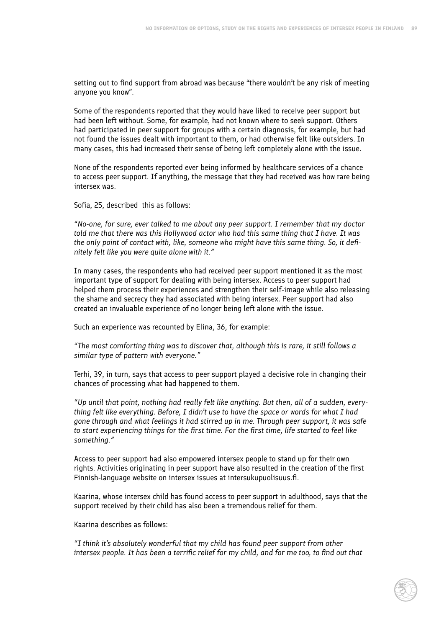setting out to find support from abroad was because "there wouldn't be any risk of meeting anyone you know".

Some of the respondents reported that they would have liked to receive peer support but had been left without. Some, for example, had not known where to seek support. Others had participated in peer support for groups with a certain diagnosis, for example, but had not found the issues dealt with important to them, or had otherwise felt like outsiders. In many cases, this had increased their sense of being left completely alone with the issue.

None of the respondents reported ever being informed by healthcare services of a chance to access peer support. If anything, the message that they had received was how rare being intersex was.

Sofia, 25, described this as follows:

*"No-one, for sure, ever talked to me about any peer support. I remember that my doctor told me that there was this Hollywood actor who had this same thing that I have. It was the only point of contact with, like, someone who might have this same thing. So, it definitely felt like you were quite alone with it."*

In many cases, the respondents who had received peer support mentioned it as the most important type of support for dealing with being intersex. Access to peer support had helped them process their experiences and strengthen their self-image while also releasing the shame and secrecy they had associated with being intersex. Peer support had also created an invaluable experience of no longer being left alone with the issue.

Such an experience was recounted by Elina, 36, for example:

*"The most comforting thing was to discover that, although this is rare, it still follows a similar type of pattern with everyone."*

Terhi, 39, in turn, says that access to peer support played a decisive role in changing their chances of processing what had happened to them.

*"Up until that point, nothing had really felt like anything. But then, all of a sudden, everything felt like everything. Before, I didn't use to have the space or words for what I had gone through and what feelings it had stirred up in me. Through peer support, it was safe to start experiencing things for the first time. For the first time, life started to feel like something."*

Access to peer support had also empowered intersex people to stand up for their own rights. Activities originating in peer support have also resulted in the creation of the first Finnish-language website on intersex issues at intersukupuolisuus.fi.

Kaarina, whose intersex child has found access to peer support in adulthood, says that the support received by their child has also been a tremendous relief for them.

Kaarina describes as follows:

*"I think it's absolutely wonderful that my child has found peer support from other intersex people. It has been a terrific relief for my child, and for me too, to find out that*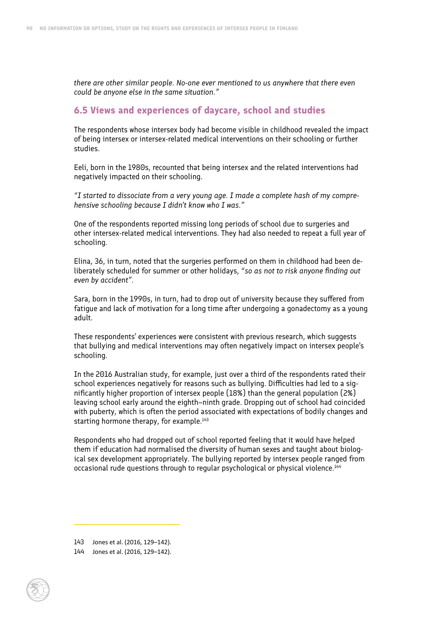*there are other similar people. No-one ever mentioned to us anywhere that there even could be anyone else in the same situation."*

### **6.5 Views and experiences of daycare, school and studies**

The respondents whose intersex body had become visible in childhood revealed the impact of being intersex or intersex-related medical interventions on their schooling or further studies.

Eeli, born in the 1980s, recounted that being intersex and the related interventions had negatively impacted on their schooling.

*"I started to dissociate from a very young age. I made a complete hash of my comprehensive schooling because I didn't know who I was."*

One of the respondents reported missing long periods of school due to surgeries and other intersex-related medical interventions. They had also needed to repeat a full year of schooling.

Elina, 36, in turn, noted that the surgeries performed on them in childhood had been deliberately scheduled for summer or other holidays, *"so as not to risk anyone finding out even by accident".*

Sara, born in the 1990s, in turn, had to drop out of university because they suffered from fatigue and lack of motivation for a long time after undergoing a gonadectomy as a young adult.

These respondents' experiences were consistent with previous research, which suggests that bullying and medical interventions may often negatively impact on intersex people's schooling.

In the 2016 Australian study, for example, just over a third of the respondents rated their school experiences negatively for reasons such as bullying. Difficulties had led to a significantly higher proportion of intersex people (18%) than the general population (2%) leaving school early around the eighth–ninth grade. Dropping out of school had coincided with puberty, which is often the period associated with expectations of bodily changes and starting hormone therapy, for example.<sup>143</sup>

Respondents who had dropped out of school reported feeling that it would have helped them if education had normalised the diversity of human sexes and taught about biological sex development appropriately. The bullying reported by intersex people ranged from occasional rude questions through to regular psychological or physical violence.<sup>144</sup>

<sup>144</sup> Jones et al. (2016, 129–142).



<sup>143</sup> Jones et al. (2016, 129–142).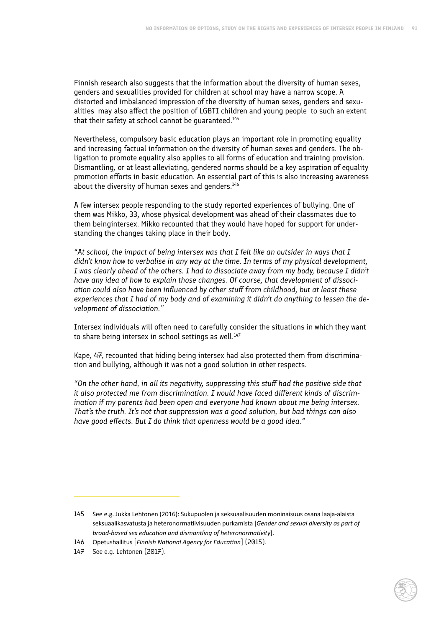Finnish research also suggests that the information about the diversity of human sexes, genders and sexualities provided for children at school may have a narrow scope. A distorted and imbalanced impression of the diversity of human sexes, genders and sexualities may also affect the position of LGBTI children and young people to such an extent that their safety at school cannot be quaranteed.<sup>145</sup>

Nevertheless, compulsory basic education plays an important role in promoting equality and increasing factual information on the diversity of human sexes and genders. The obligation to promote equality also applies to all forms of education and training provision. Dismantling, or at least alleviating, gendered norms should be a key aspiration of equality promotion efforts in basic education. An essential part of this is also increasing awareness about the diversity of human sexes and genders.<sup>146</sup>

A few intersex people responding to the study reported experiences of bullying. One of them was Mikko, 33, whose physical development was ahead of their classmates due to them beingintersex. Mikko recounted that they would have hoped for support for understanding the changes taking place in their body.

*"At school, the impact of being intersex was that I felt like an outsider in ways that I didn't know how to verbalise in any way at the time. In terms of my physical development, I was clearly ahead of the others. I had to dissociate away from my body, because I didn't have any idea of how to explain those changes. Of course, that development of dissociation could also have been influenced by other stuff from childhood, but at least these experiences that I had of my body and of examining it didn't do anything to lessen the development of dissociation."*

Intersex individuals will often need to carefully consider the situations in which they want to share being intersex in school settings as well.<sup>147</sup>

Kape, 47, recounted that hiding being intersex had also protected them from discrimination and bullying, although it was not a good solution in other respects.

*"On the other hand, in all its negativity, suppressing this stuff had the positive side that it also protected me from discrimination. I would have faced different kinds of discrimination if my parents had been open and everyone had known about me being intersex. That's the truth. It's not that suppression was a good solution, but bad things can also have good effects. But I do think that openness would be a good idea."*

<sup>145</sup> See e.g. Jukka Lehtonen (2016): Sukupuolen ja seksuaalisuuden moninaisuus osana laaja-alaista seksuaalikasvatusta ja heteronormatiivisuuden purkamista [*Gender and sexual diversity as part of broad-based sex education and dismantling of heteronormativity*].

<sup>146</sup> Opetushallitus [*Finnish National Agency for Education*] (2015).

<sup>147</sup> See e.g. Lehtonen (2017).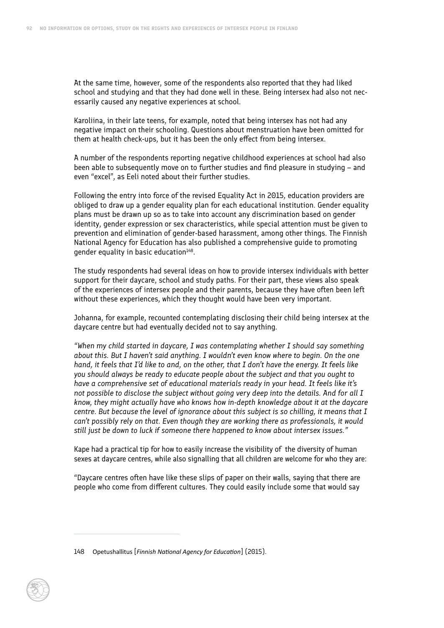At the same time, however, some of the respondents also reported that they had liked school and studying and that they had done well in these. Being intersex had also not necessarily caused any negative experiences at school.

Karoliina, in their late teens, for example, noted that being intersex has not had any negative impact on their schooling. Questions about menstruation have been omitted for them at health check-ups, but it has been the only effect from being intersex.

A number of the respondents reporting negative childhood experiences at school had also been able to subsequently move on to further studies and find pleasure in studying – and even "excel", as Eeli noted about their further studies.

Following the entry into force of the revised Equality Act in 2015, education providers are obliged to draw up a gender equality plan for each educational institution. Gender equality plans must be drawn up so as to take into account any discrimination based on gender identity, gender expression or sex characteristics, while special attention must be given to prevention and elimination of gender-based harassment, among other things. The Finnish National Agency for Education has also published a comprehensive guide to promoting gender equality in basic education $148$ .

The study respondents had several ideas on how to provide intersex individuals with better support for their daycare, school and study paths. For their part, these views also speak of the experiences of intersex people and their parents, because they have often been left without these experiences, which they thought would have been very important.

Johanna, for example, recounted contemplating disclosing their child being intersex at the daycare centre but had eventually decided not to say anything.

*"When my child started in daycare, I was contemplating whether I should say something about this. But I haven't said anything. I wouldn't even know where to begin. On the one hand, it feels that I'd like to and, on the other, that I don't have the energy. It feels like you should always be ready to educate people about the subject and that you ought to have a comprehensive set of educational materials ready in your head. It feels like it's not possible to disclose the subject without going very deep into the details. And for all I know, they might actually have who knows how in-depth knowledge about it at the daycare centre. But because the level of ignorance about this subject is so chilling, it means that I can't possibly rely on that. Even though they are working there as professionals, it would still just be down to luck if someone there happened to know about intersex issues."*

Kape had a practical tip for how to easily increase the visibility of the diversity of human sexes at daycare centres, while also signalling that all children are welcome for who they are:

"Daycare centres often have like these slips of paper on their walls, saying that there are people who come from different cultures. They could easily include some that would say

<sup>148</sup> Opetushallitus [*Finnish National Agency for Education*] (2015).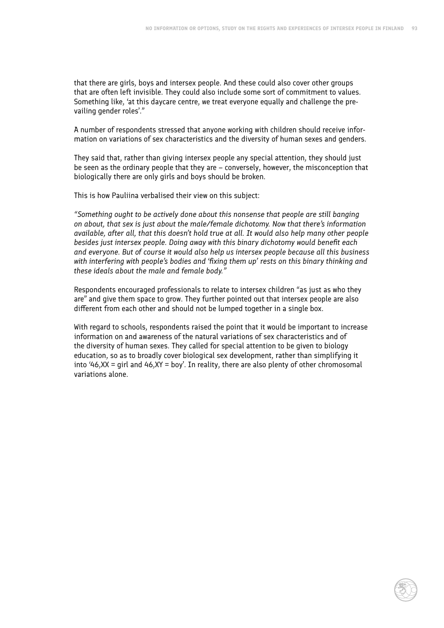that there are girls, boys and intersex people. And these could also cover other groups that are often left invisible. They could also include some sort of commitment to values. Something like, 'at this daycare centre, we treat everyone equally and challenge the prevailing gender roles'."

A number of respondents stressed that anyone working with children should receive information on variations of sex characteristics and the diversity of human sexes and genders.

They said that, rather than giving intersex people any special attention, they should just be seen as the ordinary people that they are – conversely, however, the misconception that biologically there are only girls and boys should be broken.

This is how Pauliina verbalised their view on this subject:

*"Something ought to be actively done about this nonsense that people are still banging on about, that sex is just about the male/female dichotomy. Now that there's information available, after all, that this doesn't hold true at all. It would also help many other people besides just intersex people. Doing away with this binary dichotomy would benefit each and everyone. But of course it would also help us intersex people because all this business with interfering with people's bodies and 'fixing them up' rests on this binary thinking and these ideals about the male and female body."*

Respondents encouraged professionals to relate to intersex children "as just as who they are" and give them space to grow. They further pointed out that intersex people are also different from each other and should not be lumped together in a single box.

With regard to schools, respondents raised the point that it would be important to increase information on and awareness of the natural variations of sex characteristics and of the diversity of human sexes. They called for special attention to be given to biology education, so as to broadly cover biological sex development, rather than simplifying it into '46, XX = girl and  $46$ , XY = boy'. In reality, there are also plenty of other chromosomal variations alone.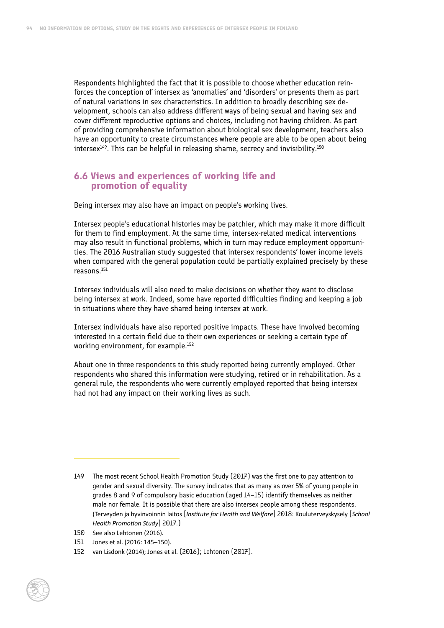Respondents highlighted the fact that it is possible to choose whether education reinforces the conception of intersex as 'anomalies' and 'disorders' or presents them as part of natural variations in sex characteristics. In addition to broadly describing sex development, schools can also address different ways of being sexual and having sex and cover different reproductive options and choices, including not having children. As part of providing comprehensive information about biological sex development, teachers also have an opportunity to create circumstances where people are able to be open about being intersex<sup>149</sup>. This can be helpful in releasing shame, secrecy and invisibility.<sup>150</sup>

#### **6.6 Views and experiences of working life and promotion of equality**

Being intersex may also have an impact on people's working lives.

Intersex people's educational histories may be patchier, which may make it more difficult for them to find employment. At the same time, intersex-related medical interventions may also result in functional problems, which in turn may reduce employment opportunities. The 2016 Australian study suggested that intersex respondents' lower income levels when compared with the general population could be partially explained precisely by these reasons.151

Intersex individuals will also need to make decisions on whether they want to disclose being intersex at work. Indeed, some have reported difficulties finding and keeping a job in situations where they have shared being intersex at work.

Intersex individuals have also reported positive impacts. These have involved becoming interested in a certain field due to their own experiences or seeking a certain type of working environment, for example.152

About one in three respondents to this study reported being currently employed. Other respondents who shared this information were studying, retired or in rehabilitation. As a general rule, the respondents who were currently employed reported that being intersex had not had any impact on their working lives as such.

<sup>149</sup> The most recent School Health Promotion Study (2017) was the first one to pay attention to gender and sexual diversity. The survey indicates that as many as over 5% of young people in grades 8 and 9 of compulsory basic education (aged 14–15) identify themselves as neither male nor female. It is possible that there are also intersex people among these respondents. (Terveyden ja hyvinvoinnin laitos [*Institute for Health and Welfare*] 2018: Kouluterveyskysely [*School Health Promotion Study*] 2017.)

<sup>150</sup> See also Lehtonen (2016).

<sup>151</sup> Jones et al. (2016: 145–150).

<sup>152</sup> van Lisdonk (2014); Jones et al. (2016); Lehtonen (2017).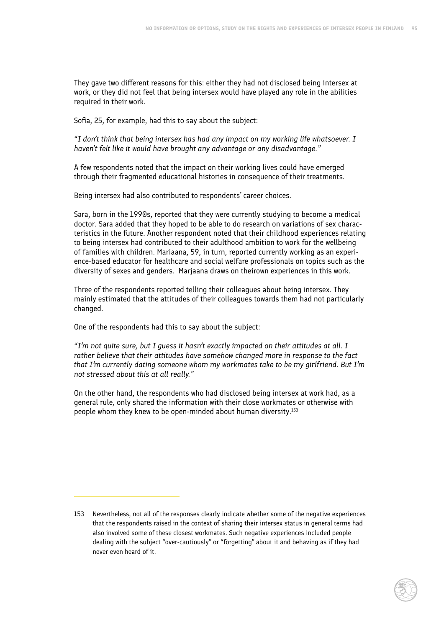They gave two different reasons for this: either they had not disclosed being intersex at work, or they did not feel that being intersex would have played any role in the abilities required in their work.

Sofia, 25, for example, had this to say about the subject:

*"I don't think that being intersex has had any impact on my working life whatsoever. I haven't felt like it would have brought any advantage or any disadvantage."*

A few respondents noted that the impact on their working lives could have emerged through their fragmented educational histories in consequence of their treatments.

Being intersex had also contributed to respondents' career choices.

Sara, born in the 1990s, reported that they were currently studying to become a medical doctor. Sara added that they hoped to be able to do research on variations of sex characteristics in the future. Another respondent noted that their childhood experiences relating to being intersex had contributed to their adulthood ambition to work for the wellbeing of families with children. Mariaana, 59, in turn, reported currently working as an experience-based educator for healthcare and social welfare professionals on topics such as the diversity of sexes and genders. Marjaana draws on theirown experiences in this work.

Three of the respondents reported telling their colleagues about being intersex. They mainly estimated that the attitudes of their colleagues towards them had not particularly changed.

One of the respondents had this to say about the subject:

*"I'm not quite sure, but I guess it hasn't exactly impacted on their attitudes at all. I rather believe that their attitudes have somehow changed more in response to the fact that I'm currently dating someone whom my workmates take to be my girlfriend. But I'm not stressed about this at all really."*

On the other hand, the respondents who had disclosed being intersex at work had, as a general rule, only shared the information with their close workmates or otherwise with people whom they knew to be open-minded about human diversity.153

<sup>153</sup> Nevertheless, not all of the responses clearly indicate whether some of the negative experiences that the respondents raised in the context of sharing their intersex status in general terms had also involved some of these closest workmates. Such negative experiences included people dealing with the subject "over-cautiously" or "forgetting" about it and behaving as if they had never even heard of it.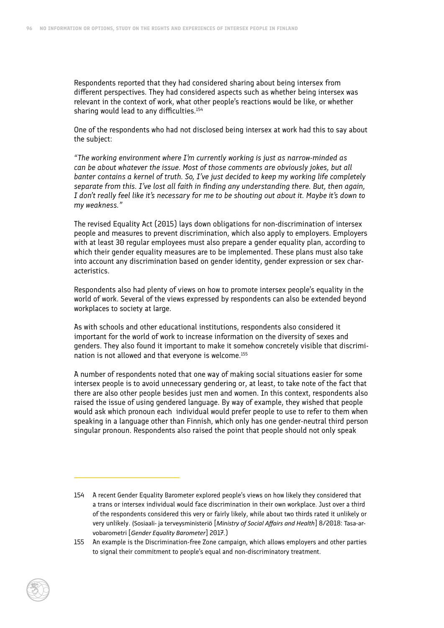Respondents reported that they had considered sharing about being intersex from different perspectives. They had considered aspects such as whether being intersex was relevant in the context of work, what other people's reactions would be like, or whether sharing would lead to any difficulties.<sup>154</sup>

One of the respondents who had not disclosed being intersex at work had this to say about the subject:

*"The working environment where I'm currently working is just as narrow-minded as can be about whatever the issue. Most of those comments are obviously jokes, but all banter contains a kernel of truth. So, I've just decided to keep my working life completely separate from this. I've lost all faith in finding any understanding there. But, then again, I don't really feel like it's necessary for me to be shouting out about it. Maybe it's down to my weakness."*

The revised Equality Act (2015) lays down obligations for non-discrimination of intersex people and measures to prevent discrimination, which also apply to employers. Employers with at least 30 regular employees must also prepare a gender equality plan, according to which their gender equality measures are to be implemented. These plans must also take into account any discrimination based on gender identity, gender expression or sex characteristics.

Respondents also had plenty of views on how to promote intersex people's equality in the world of work. Several of the views expressed by respondents can also be extended beyond workplaces to society at large.

As with schools and other educational institutions, respondents also considered it important for the world of work to increase information on the diversity of sexes and genders. They also found it important to make it somehow concretely visible that discrimination is not allowed and that everyone is welcome.155

A number of respondents noted that one way of making social situations easier for some intersex people is to avoid unnecessary gendering or, at least, to take note of the fact that there are also other people besides just men and women. In this context, respondents also raised the issue of using gendered language. By way of example, they wished that people would ask which pronoun each individual would prefer people to use to refer to them when speaking in a language other than Finnish, which only has one gender-neutral third person singular pronoun. Respondents also raised the point that people should not only speak

<sup>155</sup> An example is the Discrimination-free Zone campaign, which allows employers and other parties to signal their commitment to people's equal and non-discriminatory treatment.



<sup>154</sup> A recent Gender Equality Barometer explored people's views on how likely they considered that a trans or intersex individual would face discrimination in their own workplace. Just over a third of the respondents considered this very or fairly likely, while about two thirds rated it unlikely or very unlikely. (Sosiaali- ja terveysministeriö [*Ministry of Social Affairs and Health*] 8/2018: Tasa-arvobarometri [*Gender Equality Barometer*] 2017.)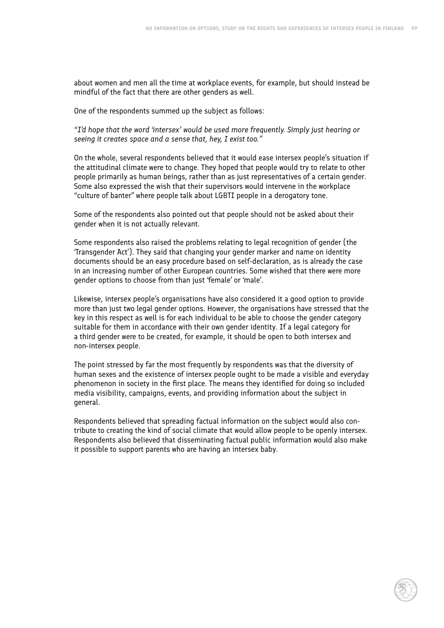about women and men all the time at workplace events, for example, but should instead be mindful of the fact that there are other genders as well.

One of the respondents summed up the subject as follows:

*"I'd hope that the word 'intersex' would be used more frequently. Simply just hearing or seeing it creates space and a sense that, hey, I exist too."*

On the whole, several respondents believed that it would ease intersex people's situation if the attitudinal climate were to change. They hoped that people would try to relate to other people primarily as human beings, rather than as just representatives of a certain gender. Some also expressed the wish that their supervisors would intervene in the workplace "culture of banter" where people talk about LGBTI people in a derogatory tone.

Some of the respondents also pointed out that people should not be asked about their gender when it is not actually relevant.

Some respondents also raised the problems relating to legal recognition of gender (the 'Transgender Act'). They said that changing your gender marker and name on identity documents should be an easy procedure based on self-declaration, as is already the case in an increasing number of other European countries. Some wished that there were more gender options to choose from than just 'female' or 'male'.

Likewise, intersex people's organisations have also considered it a good option to provide more than just two legal gender options. However, the organisations have stressed that the key in this respect as well is for each individual to be able to choose the gender category suitable for them in accordance with their own gender identity. If a legal category for a third gender were to be created, for example, it should be open to both intersex and non-intersex people.

The point stressed by far the most frequently by respondents was that the diversity of human sexes and the existence of intersex people ought to be made a visible and everyday phenomenon in society in the first place. The means they identified for doing so included media visibility, campaigns, events, and providing information about the subject in general.

Respondents believed that spreading factual information on the subject would also contribute to creating the kind of social climate that would allow people to be openly intersex. Respondents also believed that disseminating factual public information would also make it possible to support parents who are having an intersex baby.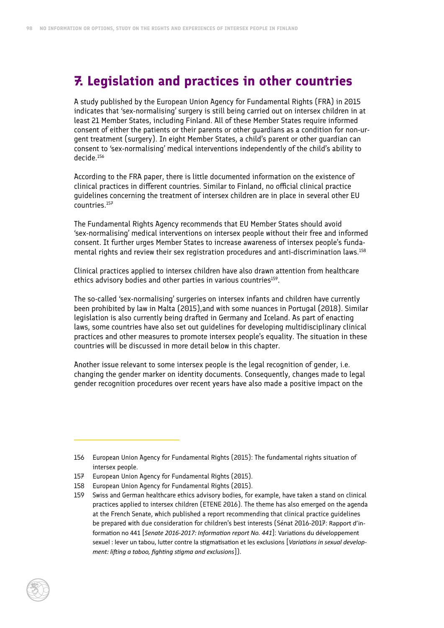# **7. Legislation and practices in other countries**

A study published by the European Union Agency for Fundamental Rights (FRA) in 2015 indicates that 'sex-normalising' surgery is still being carried out on intersex children in at least 21 Member States, including Finland. All of these Member States require informed consent of either the patients or their parents or other guardians as a condition for non-urgent treatment (surgery). In eight Member States, a child's parent or other guardian can consent to 'sex-normalising' medical interventions independently of the child's ability to decide.156

According to the FRA paper, there is little documented information on the existence of clinical practices in different countries. Similar to Finland, no official clinical practice guidelines concerning the treatment of intersex children are in place in several other EU countries.157

The Fundamental Rights Agency recommends that EU Member States should avoid 'sex-normalising' medical interventions on intersex people without their free and informed consent. It further urges Member States to increase awareness of intersex people's fundamental rights and review their sex registration procedures and anti-discrimination laws.158

Clinical practices applied to intersex children have also drawn attention from healthcare ethics advisory bodies and other parties in various countries<sup>159</sup>.

The so-called 'sex-normalising' surgeries on intersex infants and children have currently been prohibited by law in Malta (2015),and with some nuances in Portugal (2018). Similar legislation is also currently being drafted in Germany and Iceland. As part of enacting laws, some countries have also set out guidelines for developing multidisciplinary clinical practices and other measures to promote intersex people's equality. The situation in these countries will be discussed in more detail below in this chapter.

Another issue relevant to some intersex people is the legal recognition of gender, i.e. changing the gender marker on identity documents. Consequently, changes made to legal gender recognition procedures over recent years have also made a positive impact on the

- 158 European Union Agency for Fundamental Rights (2015).
- 159 Swiss and German healthcare ethics advisory bodies, for example, have taken a stand on clinical practices applied to intersex children (ETENE 2016). The theme has also emerged on the agenda at the French Senate, which published a report recommending that clinical practice guidelines be prepared with due consideration for children's best interests (Sénat 2016-2017: Rapport d'information no 441 [*Senate 2016-2017: Information report No. 441*]: Variations du développement sexuel : lever un tabou, lutter contre la stigmatisation et les exclusions [*Variations in sexual development: lifting a taboo, fighting stigma and exclusions*]).

<sup>156</sup> European Union Agency for Fundamental Rights (2015): The fundamental rights situation of intersex people.

<sup>157</sup> European Union Agency for Fundamental Rights (2015).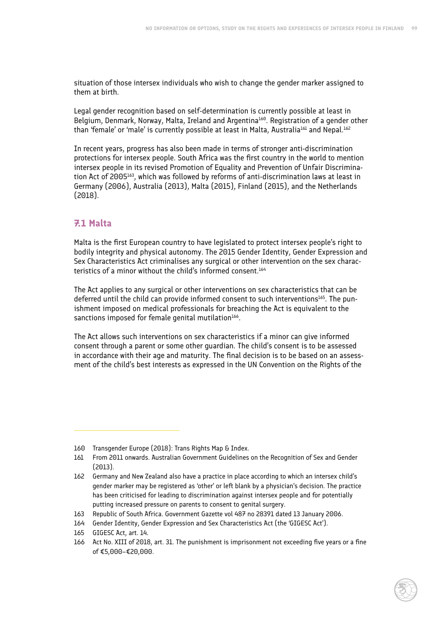situation of those intersex individuals who wish to change the gender marker assigned to them at birth.

Legal gender recognition based on self-determination is currently possible at least in Belgium, Denmark, Norway, Malta, Ireland and Argentina<sup>160</sup>. Registration of a gender other than 'female' or 'male' is currently possible at least in Malta, Australia<sup>161</sup> and Nepal.<sup>162</sup>

In recent years, progress has also been made in terms of stronger anti-discrimination protections for intersex people. South Africa was the first country in the world to mention intersex people in its revised Promotion of Equality and Prevention of Unfair Discrimination Act of 2005163, which was followed by reforms of anti-discrimination laws at least in Germany (2006), Australia (2013), Malta (2015), Finland (2015), and the Netherlands (2018).

# **7.1 Malta**

Malta is the first European country to have legislated to protect intersex people's right to bodily integrity and physical autonomy. The 2015 Gender Identity, Gender Expression and Sex Characteristics Act criminalises any surgical or other intervention on the sex characteristics of a minor without the child's informed consent.<sup>164</sup>

The Act applies to any surgical or other interventions on sex characteristics that can be deferred until the child can provide informed consent to such interventions $165$ . The punishment imposed on medical professionals for breaching the Act is equivalent to the sanctions imposed for female genital mutilation<sup>166</sup>.

The Act allows such interventions on sex characteristics if a minor can give informed consent through a parent or some other guardian. The child's consent is to be assessed in accordance with their age and maturity. The final decision is to be based on an assessment of the child's best interests as expressed in the UN Convention on the Rights of the

<sup>160</sup> Transgender Europe (2018): Trans Rights Map & Index.

<sup>161</sup> From 2011 onwards. Australian Government Guidelines on the Recognition of Sex and Gender (2013).

<sup>162</sup> Germany and New Zealand also have a practice in place according to which an intersex child's gender marker may be registered as 'other' or left blank by a physician's decision. The practice has been criticised for leading to discrimination against intersex people and for potentially putting increased pressure on parents to consent to genital surgery.

<sup>163</sup> Republic of South Africa. Government Gazette vol 487 no 28391 dated 13 January 2006.

<sup>164</sup> Gender Identity, Gender Expression and Sex Characteristics Act (the 'GIGESC Act').

<sup>165</sup> GIGESC Act, art. 14.

<sup>166</sup> Act No. XIII of 2018, art. 31. The punishment is imprisonment not exceeding five years or a fine of €5,000–€20,000.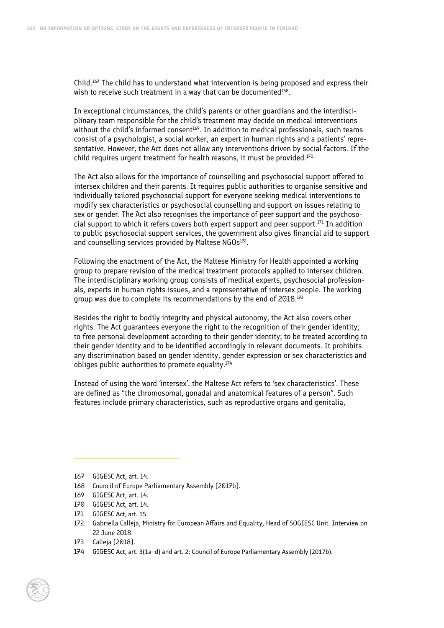Child.167 The child has to understand what intervention is being proposed and express their wish to receive such treatment in a way that can be documented<sup>168</sup>.

In exceptional circumstances, the child's parents or other guardians and the interdisciplinary team responsible for the child's treatment may decide on medical interventions without the child's informed consent<sup>169</sup>. In addition to medical professionals, such teams consist of a psychologist, a social worker, an expert in human rights and a patients' representative. However, the Act does not allow any interventions driven by social factors. If the child requires urgent treatment for health reasons, it must be provided.<sup>170</sup>

The Act also allows for the importance of counselling and psychosocial support offered to intersex children and their parents. It requires public authorities to organise sensitive and individually tailored psychosocial support for everyone seeking medical interventions to modify sex characteristics or psychosocial counselling and support on issues relating to sex or gender. The Act also recognises the importance of peer support and the psychosocial support to which it refers covers both expert support and peer support. $171$  In addition to public psychosocial support services, the government also gives financial aid to support and counselling services provided by Maltese NGOs<sup>172</sup>.

Following the enactment of the Act, the Maltese Ministry for Health appointed a working group to prepare revision of the medical treatment protocols applied to intersex children. The interdisciplinary working group consists of medical experts, psychosocial professionals, experts in human rights issues, and a representative of intersex people. The working group was due to complete its recommendations by the end of 2018.<sup>173</sup>

Besides the right to bodily integrity and physical autonomy, the Act also covers other rights. The Act guarantees everyone the right to the recognition of their gender identity; to free personal development according to their gender identity; to be treated according to their gender identity and to be identified accordingly in relevant documents. It prohibits any discrimination based on gender identity, gender expression or sex characteristics and obliges public authorities to promote equality. $174$ 

Instead of using the word 'intersex', the Maltese Act refers to 'sex characteristics'. These are defined as "the chromosomal, gonadal and anatomical features of a person". Such features include primary characteristics, such as reproductive organs and genitalia,

- 173 Calleja (2018).
- 174 GIGESC Act, art. 3(1a–d) and art. 2; Council of Europe Parliamentary Assembly (2017b).

<sup>167</sup> GIGESC Act, art. 14.

<sup>168</sup> Council of Europe Parliamentary Assembly (2017b).

<sup>169</sup> GIGESC Act, art. 14.

<sup>170</sup> GIGESC Act, art. 14.

<sup>171</sup> GIGESC Act, art. 15.

<sup>172</sup> Gabriella Calleja, Ministry for European Affairs and Equality, Head of SOGIESC Unit. Interview on 22 June 2018.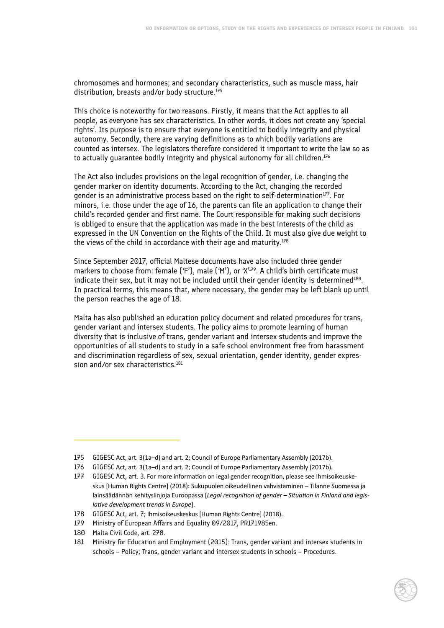chromosomes and hormones; and secondary characteristics, such as muscle mass, hair distribution, breasts and/or body structure.<sup>175</sup>

This choice is noteworthy for two reasons. Firstly, it means that the Act applies to all people, as everyone has sex characteristics. In other words, it does not create any 'special rights'. Its purpose is to ensure that everyone is entitled to bodily integrity and physical autonomy. Secondly, there are varying definitions as to which bodily variations are counted as intersex. The legislators therefore considered it important to write the law so as to actually guarantee bodily integrity and physical autonomy for all children.<sup>176</sup>

The Act also includes provisions on the legal recognition of gender, i.e. changing the gender marker on identity documents. According to the Act, changing the recorded gender is an administrative process based on the right to self-determination<sup>177</sup>. For minors, i.e. those under the age of 16, the parents can file an application to change their child's recorded gender and first name. The Court responsible for making such decisions is obliged to ensure that the application was made in the best interests of the child as expressed in the UN Convention on the Rights of the Child. It must also give due weight to the views of the child in accordance with their age and maturity.<sup>178</sup>

Since September 2017, official Maltese documents have also included three gender markers to choose from: female ('F'), male ('M'), or 'X<sup>'179</sup>. A child's birth certificate must indicate their sex, but it may not be included until their gender identity is determined<sup>180</sup>. In practical terms, this means that, where necessary, the gender may be left blank up until the person reaches the age of 18.

Malta has also published an education policy document and related procedures for trans, gender variant and intersex students. The policy aims to promote learning of human diversity that is inclusive of trans, gender variant and intersex students and improve the opportunities of all students to study in a safe school environment free from harassment and discrimination regardless of sex, sexual orientation, gender identity, gender expression and/or sex characteristics.<sup>181</sup>

<sup>175</sup> GIGESC Act, art. 3(1a–d) and art. 2; Council of Europe Parliamentary Assembly (2017b).

<sup>176</sup> GIGESC Act, art. 3(1a–d) and art. 2; Council of Europe Parliamentary Assembly (2017b).

<sup>177</sup> GIGESC Act, art. 3. For more information on legal gender recognition, please see Ihmisoikeuskeskus [Human Rights Centre] (2018): Sukupuolen oikeudellinen vahvistaminen – Tilanne Suomessa ja lainsäädännön kehityslinjoja Euroopassa [*Legal recognition of gender – Situation in Finland and legislative development trends in Europe*].

<sup>178</sup> GIGESC Act, art. 7; Ihmisoikeuskeskus [Human Rights Centre] (2018).

<sup>179</sup> Ministry of European Affairs and Equality 09/2017, PR171985en.

<sup>180</sup> Malta Civil Code, art. 278.

<sup>181</sup> Ministry for Education and Employment (2015): Trans, gender variant and intersex students in schools – Policy; Trans, gender variant and intersex students in schools – Procedures.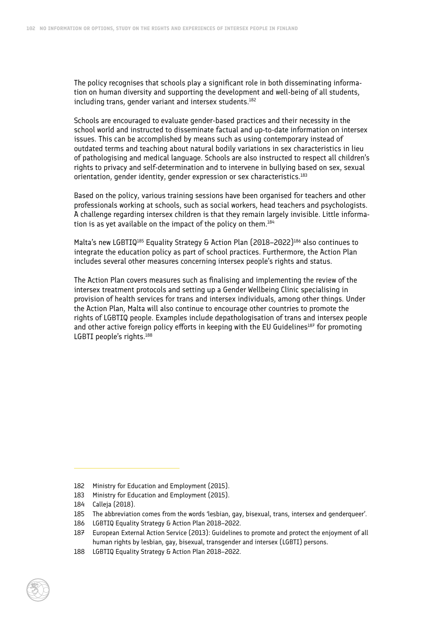The policy recognises that schools play a significant role in both disseminating information on human diversity and supporting the development and well-being of all students, including trans, gender variant and intersex students.<sup>182</sup>

Schools are encouraged to evaluate gender-based practices and their necessity in the school world and instructed to disseminate factual and up-to-date information on intersex issues. This can be accomplished by means such as using contemporary instead of outdated terms and teaching about natural bodily variations in sex characteristics in lieu of pathologising and medical language. Schools are also instructed to respect all children's rights to privacy and self-determination and to intervene in bullying based on sex, sexual orientation, gender identity, gender expression or sex characteristics.<sup>183</sup>

Based on the policy, various training sessions have been organised for teachers and other professionals working at schools, such as social workers, head teachers and psychologists. A challenge regarding intersex children is that they remain largely invisible. Little information is as yet available on the impact of the policy on them.<sup>184</sup>

Malta's new LGBTIQ<sup>185</sup> Equality Strategy & Action Plan (2018–2022)<sup>186</sup> also continues to integrate the education policy as part of school practices. Furthermore, the Action Plan includes several other measures concerning intersex people's rights and status.

The Action Plan covers measures such as finalising and implementing the review of the intersex treatment protocols and setting up a Gender Wellbeing Clinic specialising in provision of health services for trans and intersex individuals, among other things. Under the Action Plan, Malta will also continue to encourage other countries to promote the rights of LGBTIQ people. Examples include depathologisation of trans and intersex people and other active foreign policy efforts in keeping with the EU Guidelines<sup>187</sup> for promoting LGBTI people's rights.<sup>188</sup>

<sup>182</sup> Ministry for Education and Employment (2015).

<sup>183</sup> Ministry for Education and Employment (2015).

<sup>184</sup> Calleja (2018).

<sup>185</sup> The abbreviation comes from the words 'lesbian, gay, bisexual, trans, intersex and genderqueer'.

<sup>186</sup> LGBTIQ Equality Strategy & Action Plan 2018–2022.

<sup>187</sup> European External Action Service (2013): Guidelines to promote and protect the enjoyment of all human rights by lesbian, gay, bisexual, transgender and intersex (LGBTI) persons.

<sup>188</sup> LGBTIQ Equality Strategy & Action Plan 2018–2022.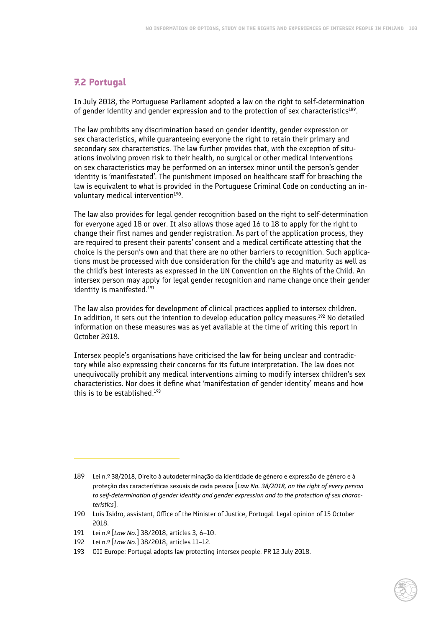## **7.2 Portugal**

In July 2018, the Portuguese Parliament adopted a law on the right to self-determination of gender identity and gender expression and to the protection of sex characteristics<sup>189</sup>.

The law prohibits any discrimination based on gender identity, gender expression or sex characteristics, while guaranteeing everyone the right to retain their primary and secondary sex characteristics. The law further provides that, with the exception of situations involving proven risk to their health, no surgical or other medical interventions on sex characteristics may be performed on an intersex minor until the person's gender identity is 'manifestated'. The punishment imposed on healthcare staff for breaching the law is equivalent to what is provided in the Portuguese Criminal Code on conducting an involuntary medical intervention<sup>190</sup>.

The law also provides for legal gender recognition based on the right to self-determination for everyone aged 18 or over. It also allows those aged 16 to 18 to apply for the right to change their first names and gender registration. As part of the application process, they are required to present their parents' consent and a medical certificate attesting that the choice is the person's own and that there are no other barriers to recognition. Such applications must be processed with due consideration for the child's age and maturity as well as the child's best interests as expressed in the UN Convention on the Rights of the Child. An intersex person may apply for legal gender recognition and name change once their gender identity is manifested.<sup>191</sup>

The law also provides for development of clinical practices applied to intersex children. In addition, it sets out the intention to develop education policy measures.192 No detailed information on these measures was as yet available at the time of writing this report in October 2018.

Intersex people's organisations have criticised the law for being unclear and contradictory while also expressing their concerns for its future interpretation. The law does not unequivocally prohibit any medical interventions aiming to modify intersex children's sex characteristics. Nor does it define what 'manifestation of gender identity' means and how this is to be established.<sup>193</sup>

<sup>189</sup> Lei n.º 38/2018, Direito à autodeterminação da identidade de género e expressão de género e à proteção das características sexuais de cada pessoa [*Law No. 38/2018, on the right of every person to self-determination of gender identity and gender expression and to the protection of sex characteristics*].

<sup>190</sup> Luis Isidro, assistant, Office of the Minister of Justice, Portugal. Legal opinion of 15 October 2018.

<sup>191</sup> Lei n.º [*Law No.*] 38/2018, articles 3, 6–10.

<sup>192</sup> Lei n.º [*Law No.*] 38/2018, articles 11–12.

<sup>193</sup> OII Europe: Portugal adopts law protecting intersex people. PR 12 July 2018.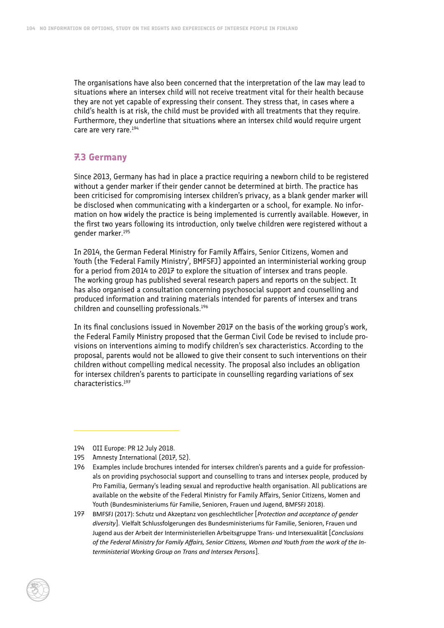The organisations have also been concerned that the interpretation of the law may lead to situations where an intersex child will not receive treatment vital for their health because they are not yet capable of expressing their consent. They stress that, in cases where a child's health is at risk, the child must be provided with all treatments that they require. Furthermore, they underline that situations where an intersex child would require urgent care are very rare.194

### **7.3 Germany**

Since 2013, Germany has had in place a practice requiring a newborn child to be registered without a gender marker if their gender cannot be determined at birth. The practice has been criticised for compromising intersex children's privacy, as a blank gender marker will be disclosed when communicating with a kindergarten or a school, for example. No information on how widely the practice is being implemented is currently available. However, in the first two years following its introduction, only twelve children were registered without a gender marker.195

In 2014, the German Federal Ministry for Family Affairs, Senior Citizens, Women and Youth (the 'Federal Family Ministry', BMFSFJ) appointed an interministerial working group for a period from 2014 to 2017 to explore the situation of intersex and trans people. The working group has published several research papers and reports on the subject. It has also organised a consultation concerning psychosocial support and counselling and produced information and training materials intended for parents of intersex and trans children and counselling professionals.196

In its final conclusions issued in November 2017 on the basis of the working group's work, the Federal Family Ministry proposed that the German Civil Code be revised to include provisions on interventions aiming to modify children's sex characteristics. According to the proposal, parents would not be allowed to give their consent to such interventions on their children without compelling medical necessity. The proposal also includes an obligation for intersex children's parents to participate in counselling regarding variations of sex characteristics.197

<sup>194</sup> OII Europe: PR 12 July 2018.

<sup>195</sup> Amnesty International (2017, 52).

<sup>196</sup> Examples include brochures intended for intersex children's parents and a guide for professionals on providing psychosocial support and counselling to trans and intersex people, produced by Pro Familia, Germany's leading sexual and reproductive health organisation. All publications are available on the website of the Federal Ministry for Family Affairs, Senior Citizens, Women and Youth (Bundesministeriums für Familie, Senioren, Frauen und Jugend, BMFSFJ 2018).

<sup>197</sup> BMFSFJ (2017): Schutz und Akzeptanz von geschlechtlicher [*Protection and acceptance of gender diversity*]. Vielfalt Schlussfolgerungen des Bundesministeriums für Familie, Senioren, Frauen und Jugend aus der Arbeit der Interministeriellen Arbeitsgruppe Trans- und Intersexualität [*Conclusions of the Federal Ministry for Family Affairs, Senior Citizens, Women and Youth from the work of the Interministerial Working Group on Trans and Intersex Persons*].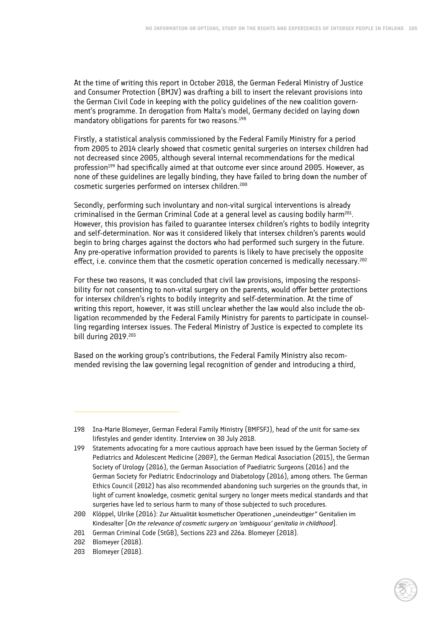At the time of writing this report in October 2018, the German Federal Ministry of Justice and Consumer Protection (BMJV) was drafting a bill to insert the relevant provisions into the German Civil Code in keeping with the policy guidelines of the new coalition government's programme. In derogation from Malta's model, Germany decided on laying down mandatory obligations for parents for two reasons.198

Firstly, a statistical analysis commissioned by the Federal Family Ministry for a period from 2005 to 2014 clearly showed that cosmetic genital surgeries on intersex children had not decreased since 2005, although several internal recommendations for the medical profession<sup>199</sup> had specifically aimed at that outcome ever since around 2005. However, as none of these guidelines are legally binding, they have failed to bring down the number of cosmetic surgeries performed on intersex children.200

Secondly, performing such involuntary and non-vital surgical interventions is already criminalised in the German Criminal Code at a general level as causing bodily harm<sup>201</sup>. However, this provision has failed to guarantee intersex children's rights to bodily integrity and self-determination. Nor was it considered likely that intersex children's parents would begin to bring charges against the doctors who had performed such surgery in the future. Any pre-operative information provided to parents is likely to have precisely the opposite effect, i.e. convince them that the cosmetic operation concerned is medically necessary.<sup>202</sup>

For these two reasons, it was concluded that civil law provisions, imposing the responsibility for not consenting to non-vital surgery on the parents, would offer better protections for intersex children's rights to bodily integrity and self-determination. At the time of writing this report, however, it was still unclear whether the law would also include the obligation recommended by the Federal Family Ministry for parents to participate in counselling regarding intersex issues. The Federal Ministry of Justice is expected to complete its bill during 2019.203

Based on the working group's contributions, the Federal Family Ministry also recommended revising the law governing legal recognition of gender and introducing a third,

<sup>198</sup> Ina-Marie Blomeyer, German Federal Family Ministry (BMFSFJ), head of the unit for same-sex lifestyles and gender identity. Interview on 30 July 2018.

<sup>199</sup> Statements advocating for a more cautious approach have been issued by the German Society of Pediatrics and Adolescent Medicine (2007), the German Medical Association (2015), the German Society of Urology (2016), the German Association of Paediatric Surgeons (2016) and the German Society for Pediatric Endocrinology and Diabetology (2016), among others. The German Ethics Council (2012) has also recommended abandoning such surgeries on the grounds that, in light of current knowledge, cosmetic genital surgery no longer meets medical standards and that surgeries have led to serious harm to many of those subjected to such procedures.

<sup>200</sup> Klöppel, Ulrike (2016): Zur Aktualität kosmetischer Operationen "uneindeutiger" Genitalien im Kindesalter [*On the relevance of cosmetic surgery on 'ambiguous' genitalia in childhood*].

<sup>201</sup> German Criminal Code (StGB), Sections 223 and 226a. Blomeyer (2018).

<sup>202</sup> Blomeyer (2018).

<sup>203</sup> Blomeyer (2018).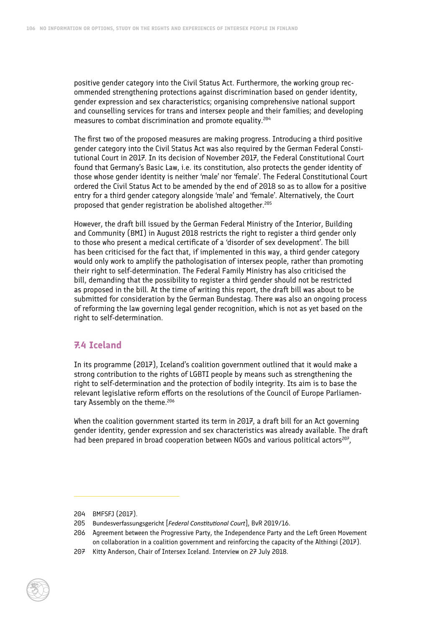positive gender category into the Civil Status Act. Furthermore, the working group recommended strengthening protections against discrimination based on gender identity, gender expression and sex characteristics; organising comprehensive national support and counselling services for trans and intersex people and their families; and developing measures to combat discrimination and promote equality.204

The first two of the proposed measures are making progress. Introducing a third positive gender category into the Civil Status Act was also required by the German Federal Constitutional Court in 2017. In its decision of November 2017, the Federal Constitutional Court found that Germany's Basic Law, i.e. its constitution, also protects the gender identity of those whose gender identity is neither 'male' nor 'female'. The Federal Constitutional Court ordered the Civil Status Act to be amended by the end of 2018 so as to allow for a positive entry for a third gender category alongside 'male' and 'female'. Alternatively, the Court proposed that gender registration be abolished altogether.205

However, the draft bill issued by the German Federal Ministry of the Interior, Building and Community (BMI) in August 2018 restricts the right to register a third gender only to those who present a medical certificate of a 'disorder of sex development'. The bill has been criticised for the fact that, if implemented in this way, a third gender category would only work to amplify the pathologisation of intersex people, rather than promoting their right to self-determination. The Federal Family Ministry has also criticised the bill, demanding that the possibility to register a third gender should not be restricted as proposed in the bill. At the time of writing this report, the draft bill was about to be submitted for consideration by the German Bundestag. There was also an ongoing process of reforming the law governing legal gender recognition, which is not as yet based on the right to self-determination.

### **7.4 Iceland**

In its programme (2017), Iceland's coalition government outlined that it would make a strong contribution to the rights of LGBTI people by means such as strengthening the right to self-determination and the protection of bodily integrity. Its aim is to base the relevant legislative reform efforts on the resolutions of the Council of Europe Parliamentary Assembly on the theme.<sup>206</sup>

When the coalition government started its term in 2017, a draft bill for an Act governing gender identity, gender expression and sex characteristics was already available. The draft had been prepared in broad cooperation between NGOs and various political actors<sup>207</sup>,

<sup>204</sup> BMFSFJ (2017).

<sup>205</sup> Bundesverfassungsgericht [*Federal Constitutional Court*], BvR 2019/16.

<sup>206</sup> Agreement between the Progressive Party, the Independence Party and the Left Green Movement on collaboration in a coalition government and reinforcing the capacity of the Althingi (2017).

<sup>207</sup> Kitty Anderson, Chair of Intersex Iceland. Interview on 27 July 2018.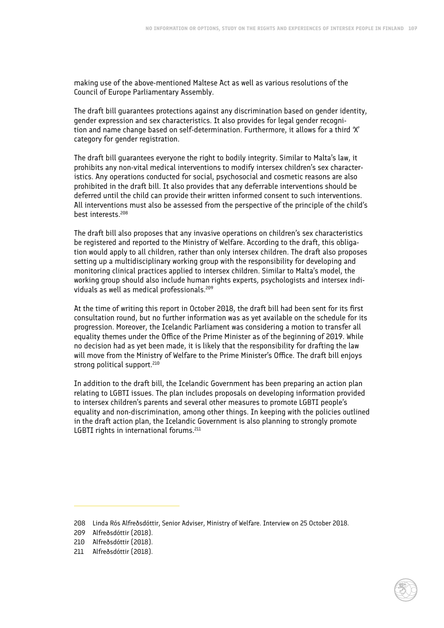making use of the above-mentioned Maltese Act as well as various resolutions of the Council of Europe Parliamentary Assembly.

The draft bill guarantees protections against any discrimination based on gender identity, gender expression and sex characteristics. It also provides for legal gender recognition and name change based on self-determination. Furthermore, it allows for a third 'X' category for gender registration.

The draft bill guarantees everyone the right to bodily integrity. Similar to Malta's law, it prohibits any non-vital medical interventions to modify intersex children's sex characteristics. Any operations conducted for social, psychosocial and cosmetic reasons are also prohibited in the draft bill. It also provides that any deferrable interventions should be deferred until the child can provide their written informed consent to such interventions. All interventions must also be assessed from the perspective of the principle of the child's best interests.208

The draft bill also proposes that any invasive operations on children's sex characteristics be registered and reported to the Ministry of Welfare. According to the draft, this obligation would apply to all children, rather than only intersex children. The draft also proposes setting up a multidisciplinary working group with the responsibility for developing and monitoring clinical practices applied to intersex children. Similar to Malta's model, the working group should also include human rights experts, psychologists and intersex individuals as well as medical professionals.209

At the time of writing this report in October 2018, the draft bill had been sent for its first consultation round, but no further information was as yet available on the schedule for its progression. Moreover, the Icelandic Parliament was considering a motion to transfer all equality themes under the Office of the Prime Minister as of the beginning of 2019. While no decision had as yet been made, it is likely that the responsibility for drafting the law will move from the Ministry of Welfare to the Prime Minister's Office. The draft bill enjoys strong political support.<sup>210</sup>

In addition to the draft bill, the Icelandic Government has been preparing an action plan relating to LGBTI issues. The plan includes proposals on developing information provided to intersex children's parents and several other measures to promote LGBTI people's equality and non-discrimination, among other things. In keeping with the policies outlined in the draft action plan, the Icelandic Government is also planning to strongly promote LGBTI rights in international forums.<sup>211</sup>

<sup>208</sup> Linda Rós Alfreðsdóttir, Senior Adviser, Ministry of Welfare. Interview on 25 October 2018.

<sup>209</sup> Alfreðsdóttir (2018).

<sup>210</sup> Alfreðsdóttir (2018).

<sup>211</sup> Alfreðsdóttir (2018).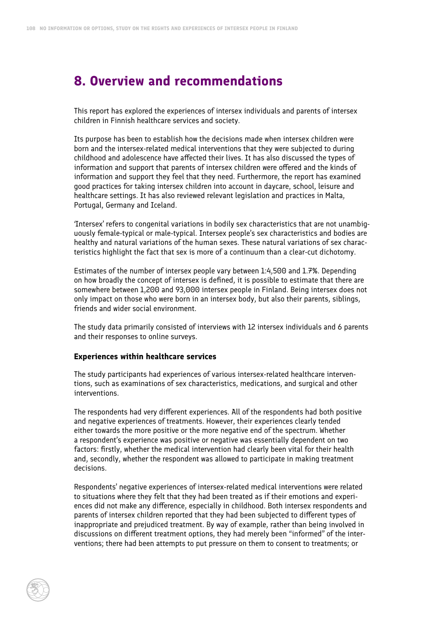## **8. Overview and recommendations**

This report has explored the experiences of intersex individuals and parents of intersex children in Finnish healthcare services and society.

Its purpose has been to establish how the decisions made when intersex children were born and the intersex-related medical interventions that they were subjected to during childhood and adolescence have affected their lives. It has also discussed the types of information and support that parents of intersex children were offered and the kinds of information and support they feel that they need. Furthermore, the report has examined good practices for taking intersex children into account in daycare, school, leisure and healthcare settings. It has also reviewed relevant legislation and practices in Malta, Portugal, Germany and Iceland.

'Intersex' refers to congenital variations in bodily sex characteristics that are not unambiguously female-typical or male-typical. Intersex people's sex characteristics and bodies are healthy and natural variations of the human sexes. These natural variations of sex characteristics highlight the fact that sex is more of a continuum than a clear-cut dichotomy.

Estimates of the number of intersex people vary between 1:4,500 and 1.7%. Depending on how broadly the concept of intersex is defined, it is possible to estimate that there are somewhere between 1,200 and 93,000 intersex people in Finland. Being intersex does not only impact on those who were born in an intersex body, but also their parents, siblings, friends and wider social environment.

The study data primarily consisted of interviews with 12 intersex individuals and 6 parents and their responses to online surveys.

### **Experiences within healthcare services**

The study participants had experiences of various intersex-related healthcare interventions, such as examinations of sex characteristics, medications, and surgical and other interventions.

The respondents had very different experiences. All of the respondents had both positive and negative experiences of treatments. However, their experiences clearly tended either towards the more positive or the more negative end of the spectrum. Whether a respondent's experience was positive or negative was essentially dependent on two factors: firstly, whether the medical intervention had clearly been vital for their health and, secondly, whether the respondent was allowed to participate in making treatment decisions.

Respondents' negative experiences of intersex-related medical interventions were related to situations where they felt that they had been treated as if their emotions and experiences did not make any difference, especially in childhood. Both intersex respondents and parents of intersex children reported that they had been subjected to different types of inappropriate and prejudiced treatment. By way of example, rather than being involved in discussions on different treatment options, they had merely been "informed" of the interventions; there had been attempts to put pressure on them to consent to treatments; or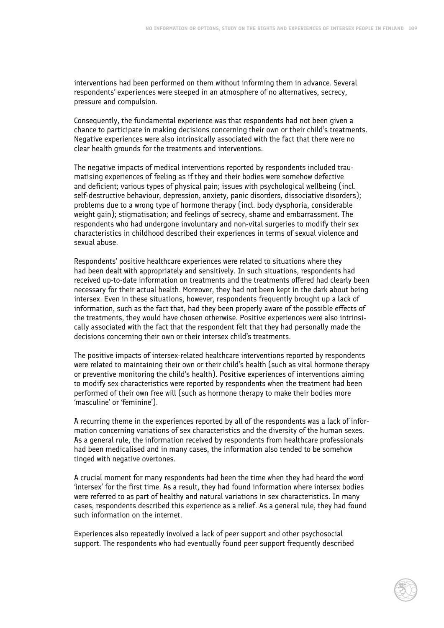interventions had been performed on them without informing them in advance. Several respondents' experiences were steeped in an atmosphere of no alternatives, secrecy, pressure and compulsion.

Consequently, the fundamental experience was that respondents had not been given a chance to participate in making decisions concerning their own or their child's treatments. Negative experiences were also intrinsically associated with the fact that there were no clear health grounds for the treatments and interventions.

The negative impacts of medical interventions reported by respondents included traumatising experiences of feeling as if they and their bodies were somehow defective and deficient; various types of physical pain; issues with psychological wellbeing (incl. self-destructive behaviour, depression, anxiety, panic disorders, dissociative disorders); problems due to a wrong type of hormone therapy (incl. body dysphoria, considerable weight gain); stigmatisation; and feelings of secrecy, shame and embarrassment. The respondents who had undergone involuntary and non-vital surgeries to modify their sex characteristics in childhood described their experiences in terms of sexual violence and sexual abuse.

Respondents' positive healthcare experiences were related to situations where they had been dealt with appropriately and sensitively. In such situations, respondents had received up-to-date information on treatments and the treatments offered had clearly been necessary for their actual health. Moreover, they had not been kept in the dark about being intersex. Even in these situations, however, respondents frequently brought up a lack of information, such as the fact that, had they been properly aware of the possible effects of the treatments, they would have chosen otherwise. Positive experiences were also intrinsically associated with the fact that the respondent felt that they had personally made the decisions concerning their own or their intersex child's treatments.

The positive impacts of intersex-related healthcare interventions reported by respondents were related to maintaining their own or their child's health (such as vital hormone therapy or preventive monitoring the child's health). Positive experiences of interventions aiming to modify sex characteristics were reported by respondents when the treatment had been performed of their own free will (such as hormone therapy to make their bodies more 'masculine' or 'feminine').

A recurring theme in the experiences reported by all of the respondents was a lack of information concerning variations of sex characteristics and the diversity of the human sexes. As a general rule, the information received by respondents from healthcare professionals had been medicalised and in many cases, the information also tended to be somehow tinged with negative overtones.

A crucial moment for many respondents had been the time when they had heard the word 'intersex' for the first time. As a result, they had found information where intersex bodies were referred to as part of healthy and natural variations in sex characteristics. In many cases, respondents described this experience as a relief. As a general rule, they had found such information on the internet.

Experiences also repeatedly involved a lack of peer support and other psychosocial support. The respondents who had eventually found peer support frequently described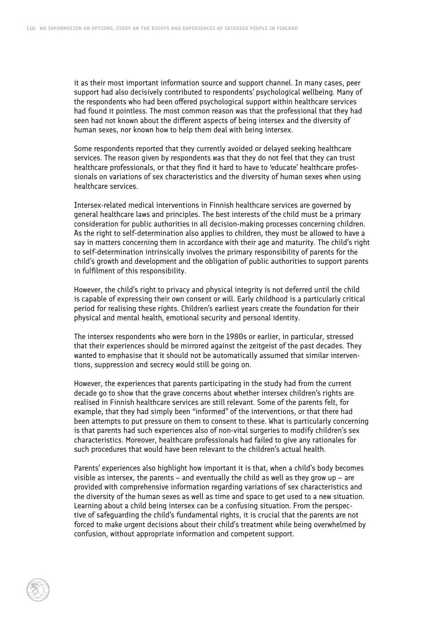it as their most important information source and support channel. In many cases, peer support had also decisively contributed to respondents' psychological wellbeing. Many of the respondents who had been offered psychological support within healthcare services had found it pointless. The most common reason was that the professional that they had seen had not known about the different aspects of being intersex and the diversity of human sexes, nor known how to help them deal with being intersex.

Some respondents reported that they currently avoided or delayed seeking healthcare services. The reason given by respondents was that they do not feel that they can trust healthcare professionals, or that they find it hard to have to 'educate' healthcare professionals on variations of sex characteristics and the diversity of human sexes when using healthcare services.

Intersex-related medical interventions in Finnish healthcare services are governed by general healthcare laws and principles. The best interests of the child must be a primary consideration for public authorities in all decision-making processes concerning children. As the right to self-determination also applies to children, they must be allowed to have a say in matters concerning them in accordance with their age and maturity. The child's right to self-determination intrinsically involves the primary responsibility of parents for the child's growth and development and the obligation of public authorities to support parents in fulfilment of this responsibility.

However, the child's right to privacy and physical integrity is not deferred until the child is capable of expressing their own consent or will. Early childhood is a particularly critical period for realising these rights. Children's earliest years create the foundation for their physical and mental health, emotional security and personal identity.

The intersex respondents who were born in the 1980s or earlier, in particular, stressed that their experiences should be mirrored against the zeitgeist of the past decades. They wanted to emphasise that it should not be automatically assumed that similar interventions, suppression and secrecy would still be going on.

However, the experiences that parents participating in the study had from the current decade go to show that the grave concerns about whether intersex children's rights are realised in Finnish healthcare services are still relevant. Some of the parents felt, for example, that they had simply been "informed" of the interventions, or that there had been attempts to put pressure on them to consent to these. What is particularly concerning is that parents had such experiences also of non-vital surgeries to modify children's sex characteristics. Moreover, healthcare professionals had failed to give any rationales for such procedures that would have been relevant to the children's actual health.

Parents' experiences also highlight how important it is that, when a child's body becomes visible as intersex, the parents – and eventually the child as well as they grow up – are provided with comprehensive information regarding variations of sex characteristics and the diversity of the human sexes as well as time and space to get used to a new situation. Learning about a child being intersex can be a confusing situation. From the perspective of safeguarding the child's fundamental rights, it is crucial that the parents are not forced to make urgent decisions about their child's treatment while being overwhelmed by confusion, without appropriate information and competent support.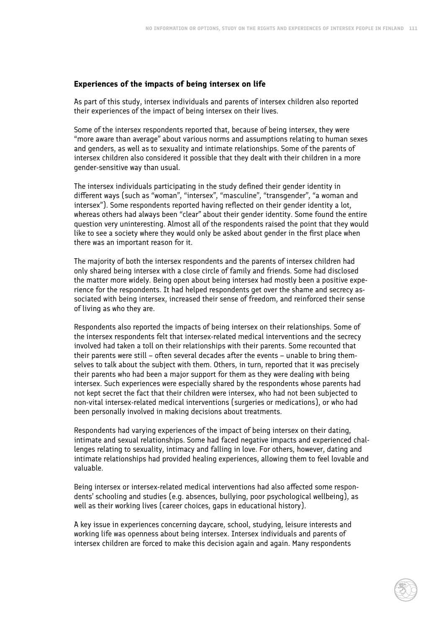### **Experiences of the impacts of being intersex on life**

As part of this study, intersex individuals and parents of intersex children also reported their experiences of the impact of being intersex on their lives.

Some of the intersex respondents reported that, because of being intersex, they were "more aware than average" about various norms and assumptions relating to human sexes and genders, as well as to sexuality and intimate relationships. Some of the parents of intersex children also considered it possible that they dealt with their children in a more gender-sensitive way than usual.

The intersex individuals participating in the study defined their gender identity in different ways (such as "woman", "intersex", "masculine", "transgender", "a woman and intersex"). Some respondents reported having reflected on their gender identity a lot, whereas others had always been "clear" about their gender identity. Some found the entire question very uninteresting. Almost all of the respondents raised the point that they would like to see a society where they would only be asked about gender in the first place when there was an important reason for it.

The majority of both the intersex respondents and the parents of intersex children had only shared being intersex with a close circle of family and friends. Some had disclosed the matter more widely. Being open about being intersex had mostly been a positive experience for the respondents. It had helped respondents get over the shame and secrecy associated with being intersex, increased their sense of freedom, and reinforced their sense of living as who they are.

Respondents also reported the impacts of being intersex on their relationships. Some of the intersex respondents felt that intersex-related medical interventions and the secrecy involved had taken a toll on their relationships with their parents. Some recounted that their parents were still – often several decades after the events – unable to bring themselves to talk about the subject with them. Others, in turn, reported that it was precisely their parents who had been a major support for them as they were dealing with being intersex. Such experiences were especially shared by the respondents whose parents had not kept secret the fact that their children were intersex, who had not been subjected to non-vital intersex-related medical interventions (surgeries or medications), or who had been personally involved in making decisions about treatments.

Respondents had varying experiences of the impact of being intersex on their dating, intimate and sexual relationships. Some had faced negative impacts and experienced challenges relating to sexuality, intimacy and falling in love. For others, however, dating and intimate relationships had provided healing experiences, allowing them to feel lovable and valuable.

Being intersex or intersex-related medical interventions had also affected some respondents' schooling and studies (e.g. absences, bullying, poor psychological wellbeing), as well as their working lives (career choices, gaps in educational history).

A key issue in experiences concerning daycare, school, studying, leisure interests and working life was openness about being intersex. Intersex individuals and parents of intersex children are forced to make this decision again and again. Many respondents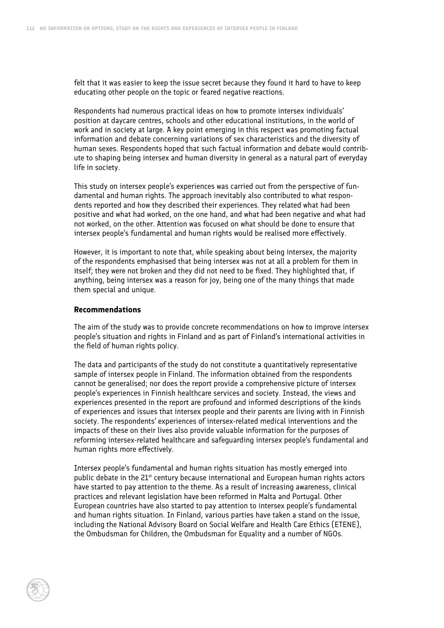felt that it was easier to keep the issue secret because they found it hard to have to keep educating other people on the topic or feared negative reactions.

Respondents had numerous practical ideas on how to promote intersex individuals' position at daycare centres, schools and other educational institutions, in the world of work and in society at large. A key point emerging in this respect was promoting factual information and debate concerning variations of sex characteristics and the diversity of human sexes. Respondents hoped that such factual information and debate would contribute to shaping being intersex and human diversity in general as a natural part of everyday life in society.

This study on intersex people's experiences was carried out from the perspective of fundamental and human rights. The approach inevitably also contributed to what respondents reported and how they described their experiences. They related what had been positive and what had worked, on the one hand, and what had been negative and what had not worked, on the other. Attention was focused on what should be done to ensure that intersex people's fundamental and human rights would be realised more effectively.

However, it is important to note that, while speaking about being intersex, the majority of the respondents emphasised that being intersex was not at all a problem for them in itself; they were not broken and they did not need to be fixed. They highlighted that, if anything, being intersex was a reason for joy, being one of the many things that made them special and unique.

#### **Recommendations**

The aim of the study was to provide concrete recommendations on how to improve intersex people's situation and rights in Finland and as part of Finland's international activities in the field of human rights policy.

The data and participants of the study do not constitute a quantitatively representative sample of intersex people in Finland. The information obtained from the respondents cannot be generalised; nor does the report provide a comprehensive picture of intersex people's experiences in Finnish healthcare services and society. Instead, the views and experiences presented in the report are profound and informed descriptions of the kinds of experiences and issues that intersex people and their parents are living with in Finnish society. The respondents' experiences of intersex-related medical interventions and the impacts of these on their lives also provide valuable information for the purposes of reforming intersex-related healthcare and safeguarding intersex people's fundamental and human rights more effectively.

Intersex people's fundamental and human rights situation has mostly emerged into public debate in the 21<sup>st</sup> century because international and European human rights actors have started to pay attention to the theme. As a result of increasing awareness, clinical practices and relevant legislation have been reformed in Malta and Portugal. Other European countries have also started to pay attention to intersex people's fundamental and human rights situation. In Finland, various parties have taken a stand on the issue, including the National Advisory Board on Social Welfare and Health Care Ethics (ETENE), the Ombudsman for Children, the Ombudsman for Equality and a number of NGOs.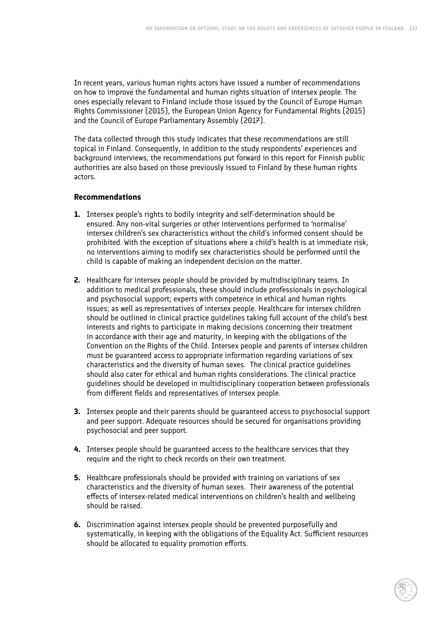In recent years, various human rights actors have issued a number of recommendations on how to improve the fundamental and human rights situation of intersex people. The ones especially relevant to Finland include those issued by the Council of Europe Human Rights Commissioner (2015), the European Union Agency for Fundamental Rights (2015) and the Council of Europe Parliamentary Assembly (2017).

The data collected through this study indicates that these recommendations are still topical in Finland. Consequently, in addition to the study respondents' experiences and background interviews, the recommendations put forward in this report for Finnish public authorities are also based on those previously issued to Finland by these human rights actors.

### **Recommendations**

- **1.** Intersex people's rights to bodily integrity and self-determination should be ensured. Any non-vital surgeries or other interventions performed to 'normalise' intersex children's sex characteristics without the child's informed consent should be prohibited. With the exception of situations where a child's health is at immediate risk, no interventions aiming to modify sex characteristics should be performed until the child is capable of making an independent decision on the matter.
- **2.** Healthcare for intersex people should be provided by multidisciplinary teams. In addition to medical professionals, these should include professionals in psychological and psychosocial support; experts with competence in ethical and human rights issues; as well as representatives of intersex people. Healthcare for intersex children should be outlined in clinical practice guidelines taking full account of the child's best interests and rights to participate in making decisions concerning their treatment in accordance with their age and maturity, in keeping with the obligations of the Convention on the Rights of the Child. Intersex people and parents of intersex children must be guaranteed access to appropriate information regarding variations of sex characteristics and the diversity of human sexes. The clinical practice guidelines should also cater for ethical and human rights considerations. The clinical practice guidelines should be developed in multidisciplinary cooperation between professionals from different fields and representatives of intersex people.
- **3.** Intersex people and their parents should be guaranteed access to psychosocial support and peer support. Adequate resources should be secured for organisations providing psychosocial and peer support.
- **4.** Intersex people should be guaranteed access to the healthcare services that they require and the right to check records on their own treatment.
- **5.** Healthcare professionals should be provided with training on variations of sex characteristics and the diversity of human sexes. Their awareness of the potential effects of intersex-related medical interventions on children's health and wellbeing should be raised.
- **6.** Discrimination against intersex people should be prevented purposefully and systematically, in keeping with the obligations of the Equality Act. Sufficient resources should be allocated to equality promotion efforts.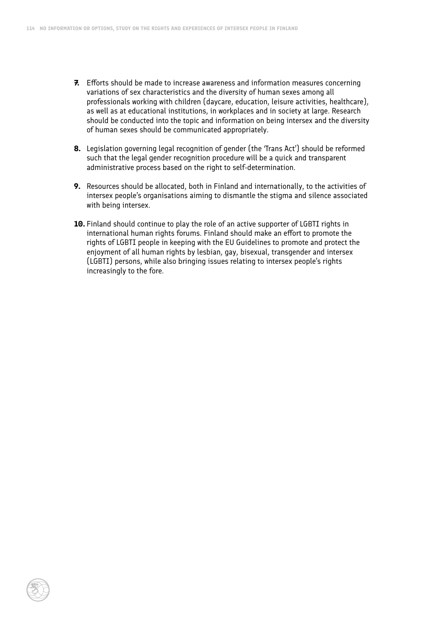- **7.** Efforts should be made to increase awareness and information measures concerning variations of sex characteristics and the diversity of human sexes among all professionals working with children (daycare, education, leisure activities, healthcare), as well as at educational institutions, in workplaces and in society at large. Research should be conducted into the topic and information on being intersex and the diversity of human sexes should be communicated appropriately.
- **8.** Legislation governing legal recognition of gender (the 'Trans Act') should be reformed such that the legal gender recognition procedure will be a quick and transparent administrative process based on the right to self-determination.
- **9.** Resources should be allocated, both in Finland and internationally, to the activities of intersex people's organisations aiming to dismantle the stigma and silence associated with being intersex.
- **10.** Finland should continue to play the role of an active supporter of LGBTI rights in international human rights forums. Finland should make an effort to promote the rights of LGBTI people in keeping with the EU Guidelines to promote and protect the enjoyment of all human rights by lesbian, gay, bisexual, transgender and intersex (LGBTI) persons, while also bringing issues relating to intersex people's rights increasingly to the fore.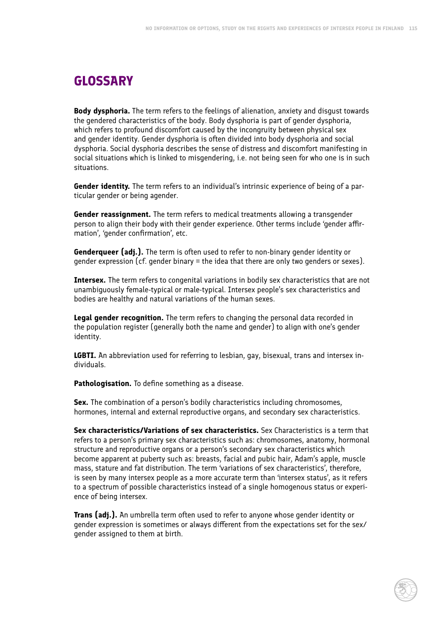# **GLOSSARY**

**Body dysphoria.** The term refers to the feelings of alienation, anxiety and disgust towards the gendered characteristics of the body. Body dysphoria is part of gender dysphoria, which refers to profound discomfort caused by the incongruity between physical sex and gender identity. Gender dysphoria is often divided into body dysphoria and social dysphoria. Social dysphoria describes the sense of distress and discomfort manifesting in social situations which is linked to misgendering, i.e. not being seen for who one is in such situations.

**Gender identity.** The term refers to an individual's intrinsic experience of being of a particular gender or being agender.

**Gender reassignment.** The term refers to medical treatments allowing a transgender person to align their body with their gender experience. Other terms include 'gender affirmation', 'gender confirmation', etc.

**Genderqueer (adj.).** The term is often used to refer to non-binary gender identity or gender expression (cf. gender binary = the idea that there are only two genders or sexes).

**Intersex.** The term refers to congenital variations in bodily sex characteristics that are not unambiguously female-typical or male-typical. Intersex people's sex characteristics and bodies are healthy and natural variations of the human sexes.

**Legal gender recognition.** The term refers to changing the personal data recorded in the population register (generally both the name and gender) to align with one's gender identity.

**LGBTI.** An abbreviation used for referring to lesbian, gay, bisexual, trans and intersex individuals.

**Pathologisation.** To define something as a disease.

**Sex.** The combination of a person's bodily characteristics including chromosomes, hormones, internal and external reproductive organs, and secondary sex characteristics.

**Sex characteristics/Variations of sex characteristics.** Sex Characteristics is a term that refers to a person's primary sex characteristics such as: chromosomes, anatomy, hormonal structure and reproductive organs or a person's secondary sex characteristics which become apparent at puberty such as: breasts, facial and pubic hair, Adam's apple, muscle mass, stature and fat distribution. The term 'variations of sex characteristics', therefore, is seen by many intersex people as a more accurate term than 'intersex status', as it refers to a spectrum of possible characteristics instead of a single homogenous status or experience of being intersex.

**Trans (adj.).** An umbrella term often used to refer to anyone whose gender identity or gender expression is sometimes or always different from the expectations set for the sex/ gender assigned to them at birth.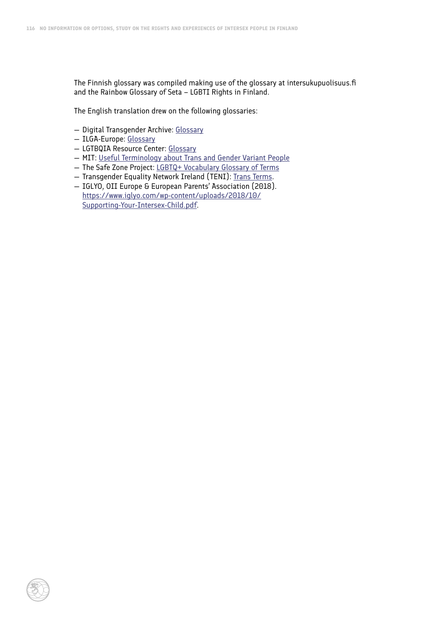The Finnish glossary was compiled making use of the glossary at intersukupuolisuus.fi and the Rainbow Glossary of Seta – LGBTI Rights in Finland.

The English translation drew on the following glossaries:

- Digital Transgender Archive: [Glossary](https://www.digitaltransgenderarchive.net/learn/glossary)
- ILGA-Europe: [Glossary](https://www.ilga-europe.org/resources/glossary)
- LGTBQIA Resource Center: [Glossary](https://lgbtqia.ucdavis.edu/educated/glossary)
- MIT: [Useful Terminology about Trans and Gender Variant People](http://web.mit.edu/trans)
- The Safe Zone Project: [LGBTQ+ Vocabulary Glossary of Terms](https://thesafezoneproject.com/resources/vocabulary/)
- Transgender Equality Network Ireland (TENI): [Trans Terms.](http://teni.ie/page.aspx?contentid=139)
- IGLYO, OII Europe & European Parents' Association (2018). [https://www.iglyo.com/wp-content/uploads/2018/10/](https://www.iglyo.com/wp-content/uploads/2018/10/Supporting-Your-Intersex-Child.pdf) [Supporting-Your-Intersex-Child.pdf.](https://www.iglyo.com/wp-content/uploads/2018/10/Supporting-Your-Intersex-Child.pdf)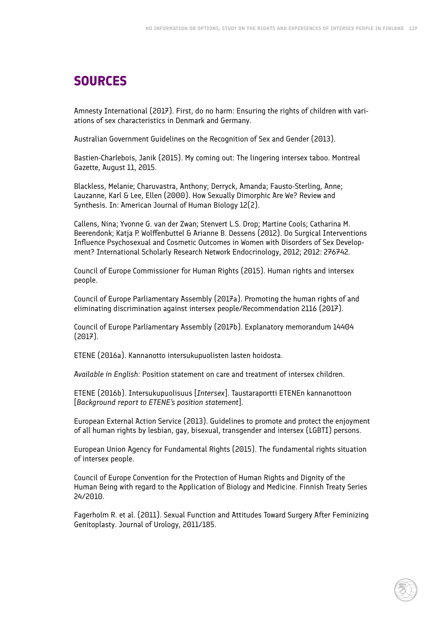## **SOURCES**

Amnesty International (2017). First, do no harm: Ensuring the rights of children with variations of sex characteristics in Denmark and Germany.

Australian Government Guidelines on the Recognition of Sex and Gender (2013).

Bastien-Charlebois, Janik (2015). My coming out: The lingering intersex taboo. Montreal Gazette, August 11, 2015.

Blackless, Melanie; Charuvastra, Anthony; Derryck, Amanda; Fausto-Sterling, Anne; Lauzanne, Karl & Lee, Ellen (2000). How Sexually Dimorphic Are We? Review and Synthesis. In: American Journal of Human Biology 12(2).

Callens, Nina; Yvonne G. van der Zwan; Stenvert L.S. Drop; Martine Cools; Catharina M. Beerendonk; Katja P. Wolffenbuttel & Arianne B. Dessens (2012). Do Surgical Interventions Influence Psychosexual and Cosmetic Outcomes in Women with Disorders of Sex Development? International Scholarly Research Network Endocrinology, 2012; 2012: 276742.

Council of Europe Commissioner for Human Rights (2015). Human rights and intersex people.

Council of Europe Parliamentary Assembly (2017a). Promoting the human rights of and eliminating discrimination against intersex people/Recommendation 2116 (2017).

Council of Europe Parliamentary Assembly (2017b). Explanatory memorandum 14404 (2017).

ETENE (2016a). Kannanotto intersukupuolisten lasten hoidosta.

*Available in English:* Position statement on care and treatment of intersex children.

ETENE (2016b). Intersukupuolisuus [*Intersex*]. Taustaraportti ETENEn kannanottoon [*Background report to ETENE's position statement*].

European External Action Service (2013). Guidelines to promote and protect the enjoyment of all human rights by lesbian, gay, bisexual, transgender and intersex (LGBTI) persons.

European Union Agency for Fundamental Rights (2015). The fundamental rights situation of intersex people.

Council of Europe Convention for the Protection of Human Rights and Dignity of the Human Being with regard to the Application of Biology and Medicine. Finnish Treaty Series 24/2010.

Fagerholm R. et al. (2011). Sexual Function and Attitudes Toward Surgery After Feminizing Genitoplasty. Journal of Urology, 2011/185.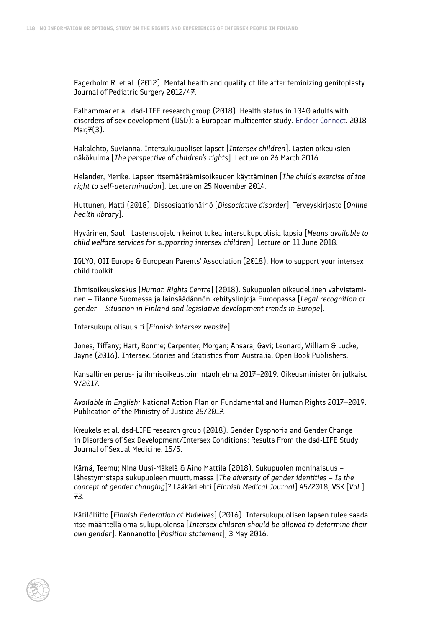Fagerholm R. et al. (2012). Mental health and quality of life after feminizing genitoplasty. Journal of Pediatric Surgery 2012/47.

Falhammar et al. dsd-LIFE research group (2018). Health status in 1040 adults with disorders of sex development (DSD): a European multicenter study. [Endocr Connect.](https://www.ncbi.nlm.nih.gov/pubmed/29490934) 2018 Mar; $\overline{7}(3)$ .

Hakalehto, Suvianna. Intersukupuoliset lapset [*Intersex children*]. Lasten oikeuksien näkökulma [*The perspective of children's rights*]. Lecture on 26 March 2016.

Helander, Merike. Lapsen itsemääräämisoikeuden käyttäminen [*The child's exercise of the right to self-determination*]. Lecture on 25 November 2014.

Huttunen, Matti (2018). Dissosiaatiohäiriö [*Dissociative disorder*]. Terveyskirjasto [*Online health library*].

Hyvärinen, Sauli. Lastensuojelun keinot tukea intersukupuolisia lapsia [*Means available to child welfare services for supporting intersex children*]. Lecture on 11 June 2018.

IGLYO, OII Europe & European Parents' Association (2018). How to support your intersex child toolkit.

Ihmisoikeuskeskus [*Human Rights Centre*] (2018). Sukupuolen oikeudellinen vahvistaminen – Tilanne Suomessa ja lainsäädännön kehityslinjoja Euroopassa [*Legal recognition of gender – Situation in Finland and legislative development trends in Europe*].

Intersukupuolisuus.fi [*Finnish intersex website*].

Jones, Tiffany; Hart, Bonnie; Carpenter, Morgan; Ansara, Gavi; Leonard, William & Lucke, Jayne (2016). Intersex. Stories and Statistics from Australia. Open Book Publishers.

Kansallinen perus- ja ihmisoikeustoimintaohjelma 2017–2019. Oikeusministeriön julkaisu 9/2017.

*Available in English:* National Action Plan on Fundamental and Human Rights 2017–2019. Publication of the Ministry of Justice 25/2017.

Kreukels et al. dsd-LIFE research group (2018). Gender Dysphoria and Gender Change in Disorders of Sex Development/Intersex Conditions: Results From the dsd-LIFE Study. Journal of Sexual Medicine, 15/5.

Kärnä, Teemu; Nina Uusi-Mäkelä & Aino Mattila (2018). Sukupuolen moninaisuus – lähestymistapa sukupuoleen muuttumassa [*The diversity of gender identities – Is the concept of gender changing*]? Lääkärilehti [*Finnish Medical Journal*] 45/2018, VSK [*Vol.*] 73.

Kätilöliitto [*Finnish Federation of Midwives*] (2016). Intersukupuolisen lapsen tulee saada itse määritellä oma sukupuolensa [*Intersex children should be allowed to determine their own gender*]. Kannanotto [*Position statement*], 3 May 2016.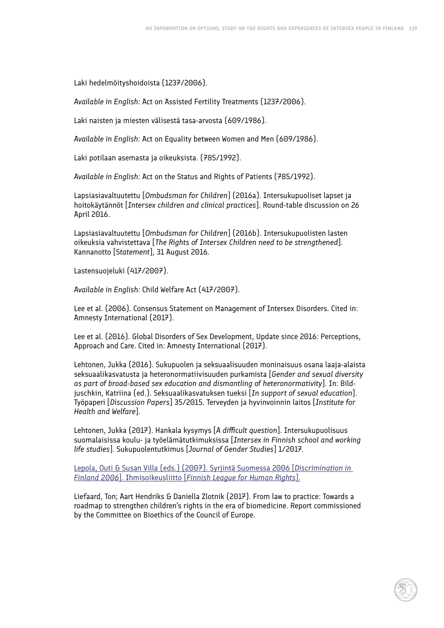Laki hedelmöityshoidoista (1237/2006).

*Available in English:* Act on Assisted Fertility Treatments (1237/2006).

Laki naisten ja miesten välisestä tasa-arvosta (609/1986).

*Available in English:* Act on Equality between Women and Men (609/1986).

Laki potilaan asemasta ja oikeuksista. (785/1992).

*Available in English:* Act on the Status and Rights of Patients (785/1992).

Lapsiasiavaltuutettu [*Ombudsman for Children*] (2016a). Intersukupuoliset lapset ja hoitokäytännöt [*Intersex children and clinical practices*]. Round-table discussion on 26 April 2016.

Lapsiasiavaltuutettu [*Ombudsman for Children*] (2016b). Intersukupuolisten lasten oikeuksia vahvistettava [*The Rights of Intersex Children need to be strengthened*]. Kannanotto [S*tatement*], 31 August 2016.

Lastensuojeluki (417/2007).

*Available in English:* Child Welfare Act (417/2007).

Lee et al. (2006). Consensus Statement on Management of Intersex Disorders. Cited in: Amnesty International (2017).

Lee et al. (2016). Global Disorders of Sex Development, Update since 2016: Perceptions, Approach and Care. Cited in: Amnesty International (2017).

Lehtonen, Jukka (2016). Sukupuolen ja seksuaalisuuden moninaisuus osana laaja-alaista seksuaalikasvatusta ja heteronormatiivisuuden purkamista [*Gender and sexual diversity as part of broad-based sex education and dismantling of heteronormativity*]. In: Bildjuschkin, Katriina (ed.). Seksuaalikasvatuksen tueksi [*In support of sexual education*]. Työpaperi [*Discussion Papers*] 35/2015. Terveyden ja hyvinvoinnin laitos [*Institute for Health and Welfare*].

Lehtonen, Jukka (2017). Hankala kysymys [*A difficult question*]. Intersukupuolisuus suomalaisissa koulu- ja työelämätutkimuksissa [*Intersex in Finnish school and working life studies*]. Sukupuolentutkimus [*Journal of Gender Studies*] 1/2017.

Lepola, Outi & Susan Villa (eds.) (2007). Syrjintä Suomessa 2006 [*Discrimination in Finland 2006*]. Ihmisoikeusliitto [*Finnish League for Human Rights*].

Liefaard, Ton; Aart Hendriks & Daniella Zlotnik (2017). From law to practice: Towards a roadmap to strengthen children's rights in the era of biomedicine. Report commissioned by the Committee on Bioethics of the Council of Europe.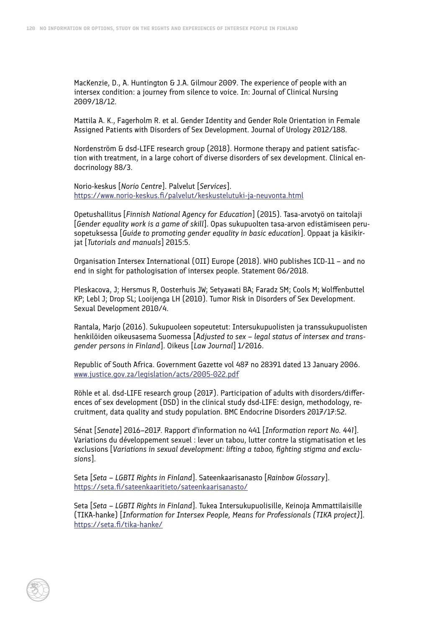MacKenzie, D., A. Huntington & J.A. Gilmour 2009. The experience of people with an intersex condition: a journey from silence to voice. In: Journal of Clinical Nursing 2009/18/12.

Mattila A. K., Fagerholm R. et al. Gender Identity and Gender Role Orientation in Female Assigned Patients with Disorders of Sex Development. Journal of Urology 2012/188.

Nordenström & dsd-LIFE research group (2018). Hormone therapy and patient satisfaction with treatment, in a large cohort of diverse disorders of sex development. Clinical endocrinology 88/3.

Norio-keskus [*Norio Centre*]. Palvelut [*Services*]. <https://www.norio-keskus.fi/palvelut/keskustelutuki-ja-neuvonta.html>

Opetushallitus [*Finnish National Agency for Education*] (2015). Tasa-arvotyö on taitolaji [*Gender equality work is a game of skill*]. Opas sukupuolten tasa-arvon edistämiseen perusopetuksessa [*Guide to promoting gender equality in basic education*]. Oppaat ja käsikirjat [*Tutorials and manuals*] 2015:5.

Organisation Intersex International (OII) Europe (2018). WHO publishes ICD-11 – and no end in sight for pathologisation of intersex people. Statement 06/2018.

Pleskacova, J; Hersmus R, Oosterhuis JW; Setyawati BA; Faradz SM; Cools M; Wolffenbuttel KP; Lebl J; Drop SL; Looijenga LH (2010). Tumor Risk in Disorders of Sex Development. Sexual Development 2010/4.

Rantala, Marjo (2016). Sukupuoleen sopeutetut: Intersukupuolisten ja transsukupuolisten henkilöiden oikeusasema Suomessa [*Adjusted to sex – legal status of intersex and transgender persons in Finland*]. Oikeus [*Law Journal*] 1/2016.

Republic of South Africa. Government Gazette vol 487 no 28391 dated 13 January 2006. [www.justice.gov.za/legislation/acts/2005-022.pdf](http://www.justice.gov.za/legislation/acts/2005-022.pdf)

Röhle et al. dsd-LIFE research group (2017). Participation of adults with disorders/differences of sex development (DSD) in the clinical study dsd-LIFE: design, methodology, recruitment, data quality and study population. BMC Endocrine Disorders 2017/17:52.

Sénat [*Senate*] 2016–2017. Rapport d'information no 441 [*Information report No. 441*]. Variations du développement sexuel : lever un tabou, lutter contre la stigmatisation et les exclusions [*Variations in sexual development: lifting a taboo, fighting stigma and exclusions*].

Seta [*Seta – LGBTI Rights in Finland*]. Sateenkaarisanasto [*Rainbow Glossary*]. <https://seta.fi/sateenkaaritieto/sateenkaarisanasto/>

Seta [*Seta – LGBTI Rights in Finland*]. Tukea Intersukupuolisille, Keinoja Ammattilaisille (TIKA-hanke) [*Information for Intersex People, Means for Professionals (TIKA project)*]. <https://seta.fi/tika-hanke/>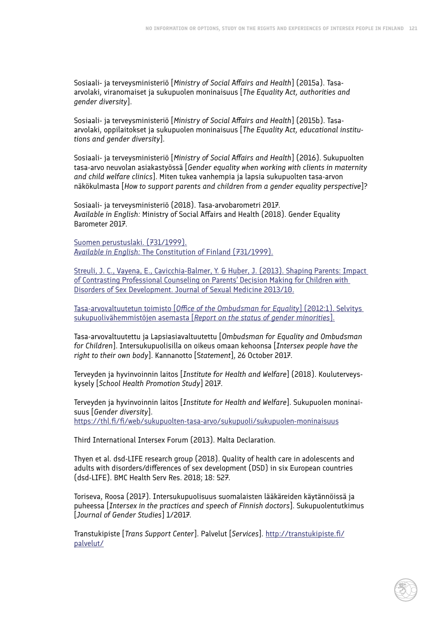Sosiaali- ja terveysministeriö [*Ministry of Social Affairs and Health*] (2015a). Tasaarvolaki, viranomaiset ja sukupuolen moninaisuus [*The Equality Act, authorities and gender diversity*].

Sosiaali- ja terveysministeriö [*Ministry of Social Affairs and Health*] (2015b). Tasaarvolaki, oppilaitokset ja sukupuolen moninaisuus [*The Equality Act, educational institutions and gender diversity*].

Sosiaali- ja terveysministeriö [*Ministry of Social Affairs and Health*] (2016). Sukupuolten tasa-arvo neuvolan asiakastyössä [*Gender equality when working with clients in maternity and child welfare clinics*]. Miten tukea vanhempia ja lapsia sukupuolten tasa-arvon näkökulmasta [*How to support parents and children from a gender equality perspective*]?

Sosiaali- ja terveysministeriö (2018). Tasa-arvobarometri 2017. *Available in English:* Ministry of Social Affairs and Health (2018). Gender Equality Barometer 2017.

Suomen perustuslaki. (731/1999). *Available in English:* The Constitution of Finland (731/1999).

Streuli, J. C., Vayena, E., Cavicchia-Balmer, Y. & Huber, J. (2013). Shaping Parents: Impact of Contrasting Professional Counseling on Parents' Decision Making for Children with Disorders of Sex Development. Journal of Sexual Medicine 2013/10.

Tasa-arvovaltuutetun toimisto [*Office of the Ombudsman for Equality*] (2012:1). Selvitys sukupuolivähemmistöjen asemasta [*Report on the status of gender minorities*].

Tasa-arvovaltuutettu ja Lapsiasiavaltuutettu [*Ombudsman for Equality and Ombudsman for Children*]. Intersukupuolisilla on oikeus omaan kehoonsa [*Intersex people have the right to their own body*]. Kannanotto [S*tatement*], 26 October 2017.

Terveyden ja hyvinvoinnin laitos [*Institute for Health and Welfare*] (2018). Kouluterveyskysely [*School Health Promotion Study*] 2017.

Terveyden ja hyvinvoinnin laitos [*Institute for Health and Welfare*]. Sukupuolen moninaisuus [*Gender diversity*]. <https://thl.fi/fi/web/sukupuolten-tasa-arvo/sukupuoli/sukupuolen-moninaisuus>

Third International Intersex Forum (2013). Malta Declaration.

Thyen et al. dsd-LIFE research group (2018). Quality of health care in adolescents and adults with disorders/differences of sex development (DSD) in six European countries (dsd-LIFE). BMC Health Serv Res. 2018; 18: 527.

Toriseva, Roosa (2017). Intersukupuolisuus suomalaisten lääkäreiden käytännöissä ja puheessa [*Intersex in the practices and speech of Finnish doctors*]. Sukupuolentutkimus [*Journal of Gender Studies*] 1/2017.

Transtukipiste [*Trans Support Center*]. Palvelut [*Services*]. [http://transtukipiste.fi/](http://transtukipiste.fi/palvelut/) [palvelut/](http://transtukipiste.fi/palvelut/)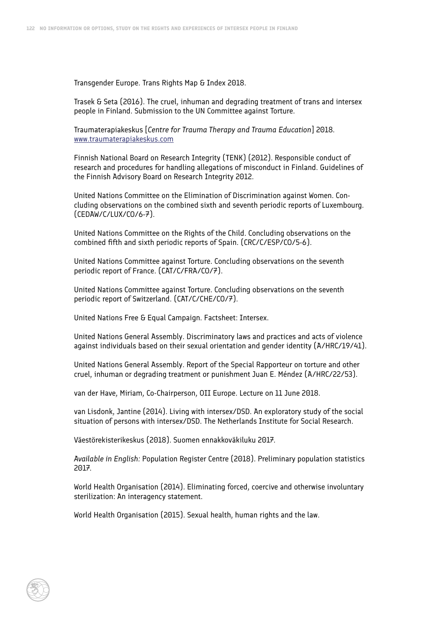Transgender Europe. Trans Rights Map & Index 2018.

Trasek & Seta (2016). The cruel, inhuman and degrading treatment of trans and intersex people in Finland. Submission to the UN Committee against Torture.

Traumaterapiakeskus [*Centre for Trauma Therapy and Trauma Education*] 2018. [www.traumaterapiakeskus.com](http://www.traumaterapiakeskus.com)

Finnish National Board on Research Integrity (TENK) (2012). Responsible conduct of research and procedures for handling allegations of misconduct in Finland. Guidelines of the Finnish Advisory Board on Research Integrity 2012.

United Nations Committee on the Elimination of Discrimination against Women. Concluding observations on the combined sixth and seventh periodic reports of Luxembourg. (CEDAW/C/LUX/CO/6-7).

United Nations Committee on the Rights of the Child. Concluding observations on the combined fifth and sixth periodic reports of Spain. (CRC/C/ESP/CO/5-6).

United Nations Committee against Torture. Concluding observations on the seventh periodic report of France. (CAT/C/FRA/CO/7).

United Nations Committee against Torture. Concluding observations on the seventh periodic report of Switzerland. (CAT/C/CHE/CO/7).

United Nations Free & Equal Campaign. Factsheet: Intersex.

United Nations General Assembly. Discriminatory laws and practices and acts of violence against individuals based on their sexual orientation and gender identity (A/HRC/19/41).

United Nations General Assembly. Report of the Special Rapporteur on torture and other cruel, inhuman or degrading treatment or punishment Juan E. Méndez (A/HRC/22/53).

van der Have, Miriam, Co-Chairperson, OII Europe. Lecture on 11 June 2018.

van Lisdonk, Jantine (2014). Living with intersex/DSD. An exploratory study of the social situation of persons with intersex/DSD. The Netherlands Institute for Social Research.

Väestörekisterikeskus (2018). Suomen ennakkoväkiluku 2017.

*Available in English:* Population Register Centre (2018). Preliminary population statistics 2017.

World Health Organisation (2014). Eliminating forced, coercive and otherwise involuntary sterilization: An interagency statement.

World Health Organisation (2015). Sexual health, human rights and the law.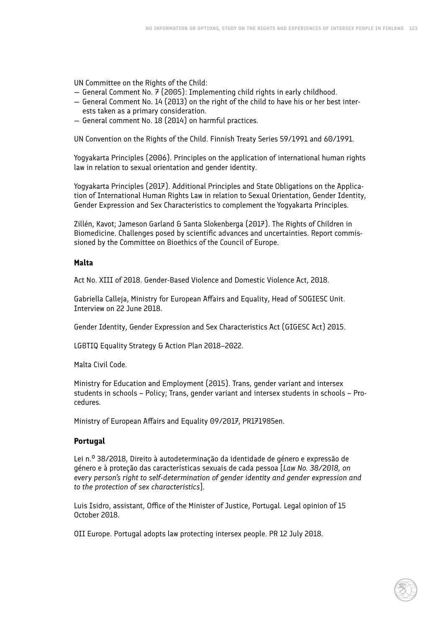UN Committee on the Rights of the Child:

- $-$  General Comment No. 7 (2005): Implementing child rights in early childhood.
- General Comment No. 14 (2013) on the right of the child to have his or her best interests taken as a primary consideration.
- General comment No. 18 (2014) on harmful practices.

UN Convention on the Rights of the Child. Finnish Treaty Series 59/1991 and 60/1991.

Yogyakarta Principles (2006). Principles on the application of international human rights law in relation to sexual orientation and gender identity.

Yogyakarta Principles (2017). Additional Principles and State Obligations on the Application of International Human Rights Law in relation to Sexual Orientation, Gender Identity, Gender Expression and Sex Characteristics to complement the Yogyakarta Principles.

Zillén, Kavot; Jameson Garland & Santa Slokenberga (2017). The Rights of Children in Biomedicine. Challenges posed by scientific advances and uncertainties. Report commissioned by the Committee on Bioethics of the Council of Europe.

### **Malta**

Act No. XIII of 2018. Gender-Based Violence and Domestic Violence Act, 2018.

Gabriella Calleja, Ministry for European Affairs and Equality, Head of SOGIESC Unit. Interview on 22 June 2018.

Gender Identity, Gender Expression and Sex Characteristics Act (GIGESC Act) 2015.

LGBTIQ Equality Strategy & Action Plan 2018–2022.

Malta Civil Code.

Ministry for Education and Employment (2015). Trans, gender variant and intersex students in schools – Policy; Trans, gender variant and intersex students in schools – Procedures.

Ministry of European Affairs and Equality 09/2017, PR171985en.

### **Portugal**

Lei n.º 38/2018, Direito à autodeterminação da identidade de género e expressão de género e à proteção das características sexuais de cada pessoa [*Law No. 38/2018, on every person's right to self-determination of gender identity and gender expression and to the protection of sex characteristics*].

Luis Isidro, assistant, Office of the Minister of Justice, Portugal. Legal opinion of 15 October 2018.

OII Europe. Portugal adopts law protecting intersex people. PR 12 July 2018.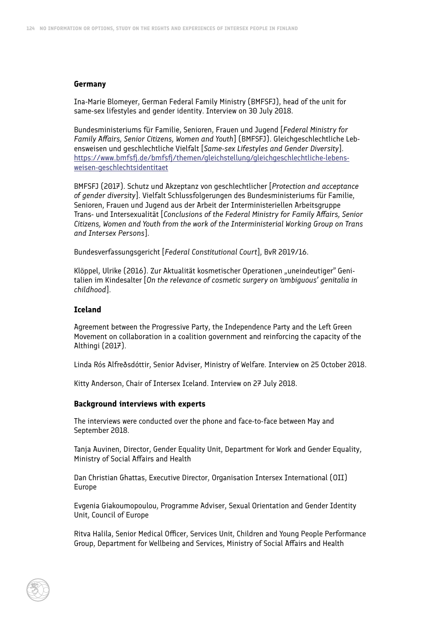#### **Germany**

Ina-Marie Blomeyer, German Federal Family Ministry (BMFSFJ), head of the unit for same-sex lifestyles and gender identity. Interview on 30 July 2018.

Bundesministeriums für Familie, Senioren, Frauen und Jugend [*Federal Ministry for Family Affairs, Senior Citizens, Women and Youth*] (BMFSFJ). Gleichgeschlechtliche Lebensweisen und geschlechtliche Vielfalt [*Same-sex Lifestyles and Gender Diversity*]. [https://www.bmfsfj.de/bmfsfj/themen/gleichstellung/gleichgeschlechtliche-lebens](https://www.bmfsfj.de/bmfsfj/themen/gleichstellung/gleichgeschlechtliche-lebensweisen-geschlechtsidentitaet)[weisen-geschlechtsidentitaet](https://www.bmfsfj.de/bmfsfj/themen/gleichstellung/gleichgeschlechtliche-lebensweisen-geschlechtsidentitaet)

BMFSFJ (2017). Schutz und Akzeptanz von geschlechtlicher [*Protection and acceptance of gender diversity*]. Vielfalt Schlussfolgerungen des Bundesministeriums für Familie, Senioren, Frauen und Jugend aus der Arbeit der Interministeriellen Arbeitsgruppe Trans- und Intersexualität [*Conclusions of the Federal Ministry for Family Affairs, Senior Citizens, Women and Youth from the work of the Interministerial Working Group on Trans and Intersex Persons*].

Bundesverfassungsgericht [*Federal Constitutional Court*], BvR 2019/16.

Klöppel, Ulrike (2016). Zur Aktualität kosmetischer Operationen "uneindeutiger" Genitalien im Kindesalter [*On the relevance of cosmetic surgery on 'ambiguous' genitalia in childhood*].

### **Iceland**

Agreement between the Progressive Party, the Independence Party and the Left Green Movement on collaboration in a coalition government and reinforcing the capacity of the Althingi (2017).

Linda Rós Alfreðsdóttir, Senior Adviser, Ministry of Welfare. Interview on 25 October 2018.

Kitty Anderson, Chair of Intersex Iceland. Interview on 27 July 2018.

#### **Background interviews with experts**

The interviews were conducted over the phone and face-to-face between May and September 2018.

Tanja Auvinen, Director, Gender Equality Unit, Department for Work and Gender Equality, Ministry of Social Affairs and Health

Dan Christian Ghattas, Executive Director, Organisation Intersex International (OII) Europe

Evgenia Giakoumopoulou, Programme Adviser, Sexual Orientation and Gender Identity Unit, Council of Europe

Ritva Halila, Senior Medical Officer, Services Unit, Children and Young People Performance Group, Department for Wellbeing and Services, Ministry of Social Affairs and Health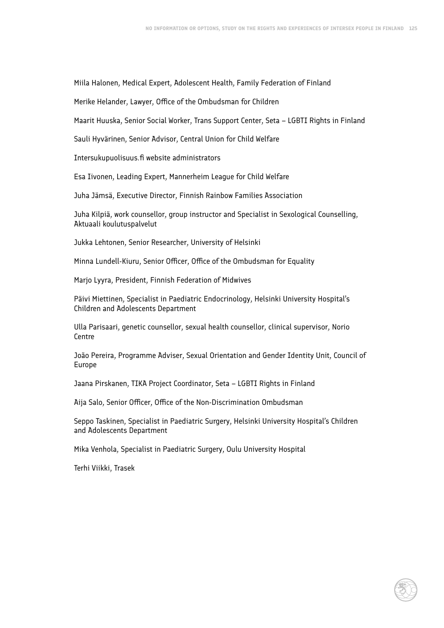Miila Halonen, Medical Expert, Adolescent Health, Family Federation of Finland

Merike Helander, Lawyer, Office of the Ombudsman for Children

Maarit Huuska, Senior Social Worker, Trans Support Center, Seta – LGBTI Rights in Finland

Sauli Hyvärinen, Senior Advisor, Central Union for Child Welfare

Intersukupuolisuus.fi website administrators

Esa Iivonen, Leading Expert, Mannerheim League for Child Welfare

Juha Jämsä, Executive Director, Finnish Rainbow Families Association

Juha Kilpiä, work counsellor, group instructor and Specialist in Sexological Counselling, Aktuaali koulutuspalvelut

Jukka Lehtonen, Senior Researcher, University of Helsinki

Minna Lundell-Kiuru, Senior Officer, Office of the Ombudsman for Equality

Marjo Lyyra, President, Finnish Federation of Midwives

Päivi Miettinen, Specialist in Paediatric Endocrinology, Helsinki University Hospital's Children and Adolescents Department

Ulla Parisaari, genetic counsellor, sexual health counsellor, clinical supervisor, Norio Centre

João Pereira, Programme Adviser, Sexual Orientation and Gender Identity Unit, Council of Europe

Jaana Pirskanen, TIKA Project Coordinator, Seta – LGBTI Rights in Finland

Aija Salo, Senior Officer, Office of the Non-Discrimination Ombudsman

Seppo Taskinen, Specialist in Paediatric Surgery, Helsinki University Hospital's Children and Adolescents Department

Mika Venhola, Specialist in Paediatric Surgery, Oulu University Hospital

Terhi Viikki, Trasek